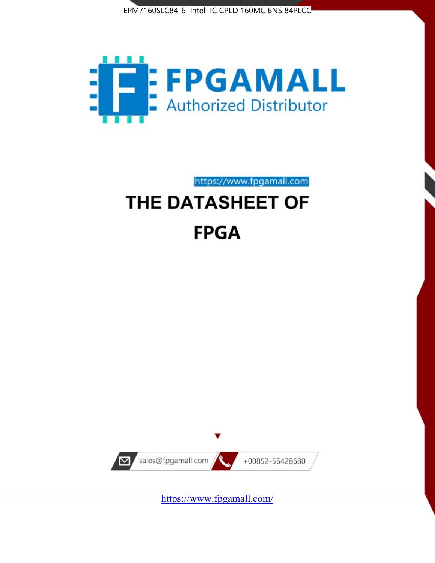



https://www.fpgamall.com

# THE DATASHEET OF **FPGA**



<https://www.fpgamall.com/>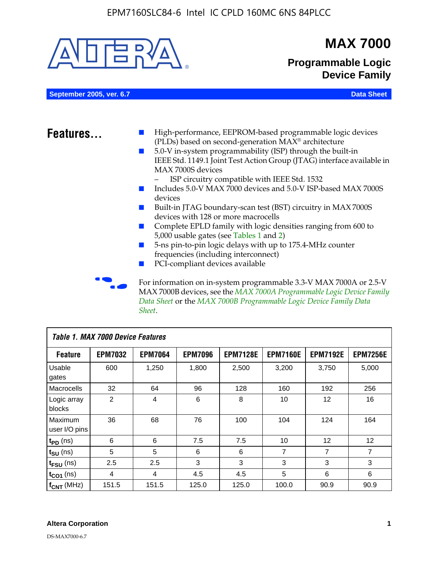

MAX 7000B devices, see the *MAX 7000A Programmable Logic Device Family Data Sheet* or the *MAX 7000B Programmable Logic Device Family Data Sheet*.

| Table 1. MAX 7000 Device Features |                |                |                |                 |                 |                   |                 |
|-----------------------------------|----------------|----------------|----------------|-----------------|-----------------|-------------------|-----------------|
| <b>Feature</b>                    | <b>EPM7032</b> | <b>EPM7064</b> | <b>EPM7096</b> | <b>EPM7128E</b> | <b>EPM7160E</b> | <b>EPM7192E</b>   | <b>EPM7256E</b> |
| Usable<br>gates                   | 600            | 1,250          | 1,800          | 2,500           | 3,200           | 3.750             | 5,000           |
| Macrocells                        | 32             | 64             | 96             | 128             | 160             | 192               | 256             |
| Logic array<br>blocks             | 2              | $\overline{4}$ | 6              | 8               | 10              | 12                | 16              |
| Maximum<br>user I/O pins          | 36             | 68             | 76             | 100             | 104             | 124               | 164             |
| $t_{PD}$ (ns)                     | 6              | 6              | 7.5            | 7.5             | 10              | $12 \overline{ }$ | 12              |
| $t_{SU}$ (ns)                     | 5              | 5              | 6              | 6               | $\overline{7}$  | 7                 | $\overline{7}$  |
| $t_{FSU}$ (ns)                    | 2.5            | 2.5            | 3              | 3               | 3               | 3                 | 3               |
| $t_{CO1}$ (ns)                    | 4              | 4              | 4.5            | 4.5             | 5               | 6                 | 6               |
| $f_{CNT}$ (MHz)                   | 151.5          | 151.5          | 125.0          | 125.0           | 100.0           | 90.9              | 90.9            |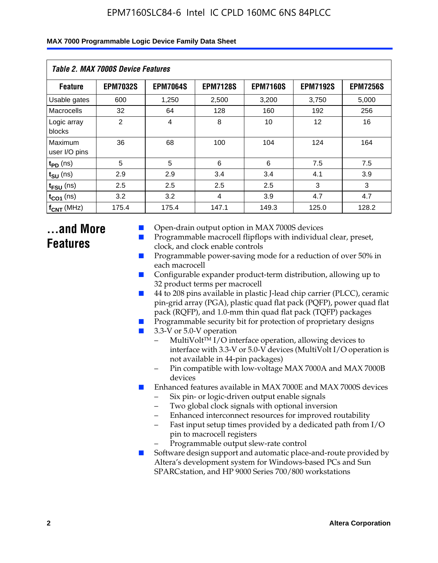| Table 2. MAX 7000S Device Features |                 |                 |                 |                 |                   |                 |  |  |
|------------------------------------|-----------------|-----------------|-----------------|-----------------|-------------------|-----------------|--|--|
| <b>Feature</b>                     | <b>EPM7032S</b> | <b>EPM7064S</b> | <b>EPM7128S</b> | <b>EPM7160S</b> | <b>EPM7192S</b>   | <b>EPM7256S</b> |  |  |
| Usable gates                       | 600             | 1,250           | 2,500           | 3,200           | 3,750             | 5,000           |  |  |
| Macrocells                         | 32              | 64              | 128             | 160             | 192               | 256             |  |  |
| Logic array<br>blocks              | $\overline{2}$  | $\overline{4}$  | 8               | 10              | $12 \overline{ }$ | 16              |  |  |
| Maximum<br>user I/O pins           | 36              | 68              | 100             | 104             | 124               | 164             |  |  |
| $t_{PD}$ (ns)                      | 5               | 5               | 6               | 6               | 7.5               | 7.5             |  |  |
| $t_{SU}$ (ns)                      | 2.9             | 2.9             | 3.4             | 3.4             | 4.1               | 3.9             |  |  |
| $t_{\text{FSU}}$ (ns)              | 2.5             | 2.5             | 2.5             | 2.5             | 3                 | 3               |  |  |
| $t_{CO1}$ (ns)                     | 3.2             | 3.2             | 4               | 3.9             | 4.7               | 4.7             |  |  |
| $f_{\text{CNT}}$ (MHz)             | 175.4           | 175.4           | 147.1           | 149.3           | 125.0             | 128.2           |  |  |

### **...and More Features**

- Open-drain output option in MAX 7000S devices
- Programmable macrocell flipflops with individual clear, preset, clock, and clock enable controls
- Programmable power-saving mode for a reduction of over 50% in each macrocell
- Configurable expander product-term distribution, allowing up to 32 product terms per macrocell
- 44 to 208 pins available in plastic J-lead chip carrier (PLCC), ceramic pin-grid array (PGA), plastic quad flat pack (PQFP), power quad flat pack (RQFP), and 1.0-mm thin quad flat pack (TQFP) packages
- Programmable security bit for protection of proprietary designs
- 3.3-V or 5.0-V operation
	- MultiVolt<sup>TM</sup> I/O interface operation, allowing devices to interface with 3.3-V or 5.0-V devices (MultiVolt I/O operation is not available in 44-pin packages)
	- Pin compatible with low-voltage MAX 7000A and MAX 7000B devices
- Enhanced features available in MAX 7000E and MAX 7000S devices
	- Six pin- or logic-driven output enable signals
	- Two global clock signals with optional inversion
	- Enhanced interconnect resources for improved routability
	- Fast input setup times provided by a dedicated path from I/O pin to macrocell registers
	- Programmable output slew-rate control
- Software design support and automatic place-and-route provided by Altera's development system for Windows-based PCs and Sun SPARCstation, and HP 9000 Series 700/800 workstations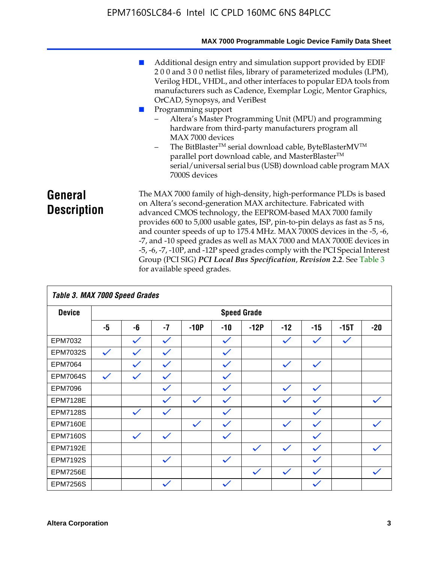|                               | MAX 7000 Programmable Logic Device Family Data Sheet                                                                                                                                                                                                                                                                                                                                                                                                                                                                                                                                                                                                                            |
|-------------------------------|---------------------------------------------------------------------------------------------------------------------------------------------------------------------------------------------------------------------------------------------------------------------------------------------------------------------------------------------------------------------------------------------------------------------------------------------------------------------------------------------------------------------------------------------------------------------------------------------------------------------------------------------------------------------------------|
|                               | Additional design entry and simulation support provided by EDIF<br>200 and 300 netlist files, library of parameterized modules (LPM),<br>Verilog HDL, VHDL, and other interfaces to popular EDA tools from<br>manufacturers such as Cadence, Exemplar Logic, Mentor Graphics,<br>OrCAD, Synopsys, and VeriBest<br>Programming support<br>Altera's Master Programming Unit (MPU) and programming<br>hardware from third-party manufacturers program all<br>MAX 7000 devices<br>The BitBlaster™ serial download cable, ByteBlasterMV™<br>$-$<br>parallel port download cable, and MasterBlaster™<br>serial/universal serial bus (USB) download cable program MAX<br>7000S devices |
| General<br><b>Description</b> | The MAX 7000 family of high-density, high-performance PLDs is based<br>on Altera's second-generation MAX architecture. Fabricated with<br>advanced CMOS technology, the EEPROM-based MAX 7000 family<br>provides 600 to 5,000 usable gates, ISP, pin-to-pin delays as fast as 5 ns,<br>and counter speeds of up to 175.4 MHz. MAX 7000S devices in the -5, -6,<br>-7, and -10 speed grades as well as MAX 7000 and MAX 7000E devices in<br>-5, -6, -7, -10P, and -12P speed grades comply with the PCI Special Interest<br>Group (PCI SIG) PCI Local Bus Specification, Revision 2.2. See Table 3                                                                               |

| Table 3. MAX 7000 Speed Grades |              |              |              |              |              |                    |              |              |              |              |
|--------------------------------|--------------|--------------|--------------|--------------|--------------|--------------------|--------------|--------------|--------------|--------------|
| <b>Device</b>                  |              |              |              |              |              | <b>Speed Grade</b> |              |              |              |              |
|                                | -5           | -6           | $-7$         | $-10P$       | -10          | $-12P$             | $-12$        | $-15$        | $-15T$       | $-20$        |
| EPM7032                        |              | $\checkmark$ | $\checkmark$ |              | $\checkmark$ |                    | $\checkmark$ | $\checkmark$ | $\checkmark$ |              |
| EPM7032S                       | $\checkmark$ | $\checkmark$ | $\checkmark$ |              | $\checkmark$ |                    |              |              |              |              |
| <b>EPM7064</b>                 |              | $\checkmark$ | $\checkmark$ |              | $\checkmark$ |                    | $\checkmark$ | $\checkmark$ |              |              |
| <b>EPM7064S</b>                | $\checkmark$ | $\checkmark$ | $\checkmark$ |              | $\checkmark$ |                    |              |              |              |              |
| EPM7096                        |              |              | $\checkmark$ |              | $\checkmark$ |                    | $\checkmark$ | $\checkmark$ |              |              |
| <b>EPM7128E</b>                |              |              | $\checkmark$ | $\checkmark$ | $\checkmark$ |                    | $\checkmark$ | $\checkmark$ |              | $\checkmark$ |
| <b>EPM7128S</b>                |              | $\checkmark$ | $\checkmark$ |              | $\checkmark$ |                    |              | $\checkmark$ |              |              |
| <b>EPM7160E</b>                |              |              |              | $\checkmark$ | $\checkmark$ |                    | $\checkmark$ | $\checkmark$ |              | $\checkmark$ |
| <b>EPM7160S</b>                |              | $\checkmark$ | $\checkmark$ |              | $\checkmark$ |                    |              | $\checkmark$ |              |              |
| <b>EPM7192E</b>                |              |              |              |              |              | $\checkmark$       | $\checkmark$ | $\checkmark$ |              | $\checkmark$ |
| <b>EPM7192S</b>                |              |              | $\checkmark$ |              | $\checkmark$ |                    |              | $\checkmark$ |              |              |
| <b>EPM7256E</b>                |              |              |              |              |              | $\checkmark$       | $\checkmark$ | $\checkmark$ |              | $\checkmark$ |
| <b>EPM7256S</b>                |              |              | $\checkmark$ |              | $\checkmark$ |                    |              | $\checkmark$ |              |              |

for available speed grades.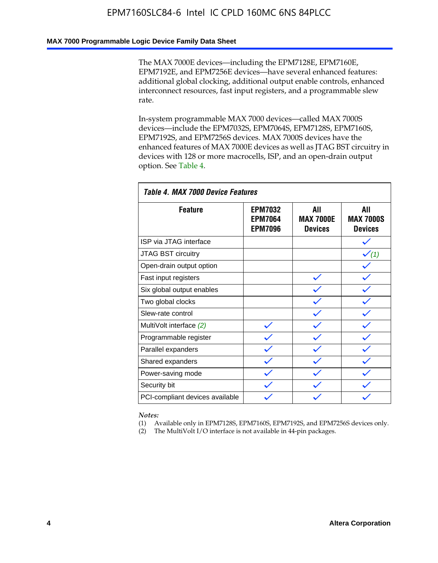#### **MAX 7000 Programmable Logic Device Family Data Sheet**

The MAX 7000E devices—including the EPM7128E, EPM7160E, EPM7192E, and EPM7256E devices—have several enhanced features: additional global clocking, additional output enable controls, enhanced interconnect resources, fast input registers, and a programmable slew rate.

In-system programmable MAX 7000 devices—called MAX 7000S devices—include the EPM7032S, EPM7064S, EPM7128S, EPM7160S, EPM7192S, and EPM7256S devices. MAX 7000S devices have the enhanced features of MAX 7000E devices as well as JTAG BST circuitry in devices with 128 or more macrocells, ISP, and an open-drain output option. See Table 4.

| Table 4. MAX 7000 Device Features |                                                    |                                           |                                           |  |  |  |  |
|-----------------------------------|----------------------------------------------------|-------------------------------------------|-------------------------------------------|--|--|--|--|
| <b>Feature</b>                    | <b>EPM7032</b><br><b>EPM7064</b><br><b>EPM7096</b> | All<br><b>MAX 7000E</b><br><b>Devices</b> | All<br><b>MAX 7000S</b><br><b>Devices</b> |  |  |  |  |
| ISP via JTAG interface            |                                                    |                                           |                                           |  |  |  |  |
| JTAG BST circuitry                |                                                    |                                           | $\checkmark$ (1)                          |  |  |  |  |
| Open-drain output option          |                                                    |                                           |                                           |  |  |  |  |
| Fast input registers              |                                                    |                                           |                                           |  |  |  |  |
| Six global output enables         |                                                    |                                           |                                           |  |  |  |  |
| Two global clocks                 |                                                    |                                           |                                           |  |  |  |  |
| Slew-rate control                 |                                                    |                                           |                                           |  |  |  |  |
| MultiVolt interface (2)           |                                                    |                                           |                                           |  |  |  |  |
| Programmable register             |                                                    |                                           |                                           |  |  |  |  |
| Parallel expanders                |                                                    |                                           |                                           |  |  |  |  |
| Shared expanders                  |                                                    |                                           |                                           |  |  |  |  |
| Power-saving mode                 |                                                    |                                           |                                           |  |  |  |  |
| Security bit                      |                                                    |                                           |                                           |  |  |  |  |
| PCI-compliant devices available   |                                                    |                                           |                                           |  |  |  |  |

*Notes:*

(1) Available only in EPM7128S, EPM7160S, EPM7192S, and EPM7256S devices only.

(2) The MultiVolt I/O interface is not available in 44-pin packages.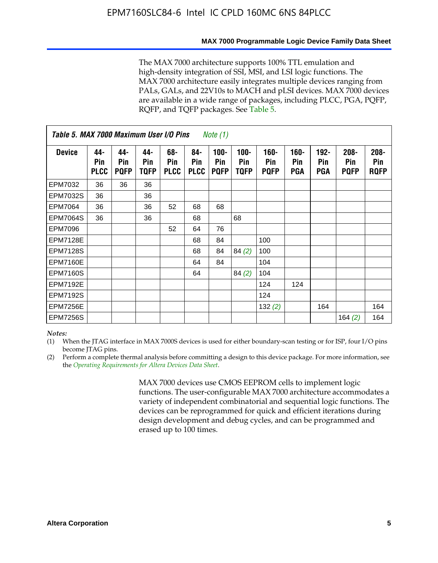#### **MAX 7000 Programmable Logic Device Family Data Sheet**

The MAX 7000 architecture supports 100% TTL emulation and high-density integration of SSI, MSI, and LSI logic functions. The MAX 7000 architecture easily integrates multiple devices ranging from PALs, GALs, and 22V10s to MACH and pLSI devices. MAX 7000 devices are available in a wide range of packages, including PLCC, PGA, PQFP, RQFP, and TQFP packages. See Table 5.

| Table 5. MAX 7000 Maximum User I/O Pins<br><i>Note</i> $(1)$ |                           |                           |                           |                           |                           |                               |                        |                            |                       |                                     |                               |                               |
|--------------------------------------------------------------|---------------------------|---------------------------|---------------------------|---------------------------|---------------------------|-------------------------------|------------------------|----------------------------|-----------------------|-------------------------------------|-------------------------------|-------------------------------|
| <b>Device</b>                                                | 44-<br>Pin<br><b>PLCC</b> | 44-<br>Pin<br><b>PQFP</b> | 44-<br><b>Pin</b><br>TQFP | 68-<br>Pin<br><b>PLCC</b> | 84-<br>Pin<br><b>PLCC</b> | $100 -$<br>Pin<br><b>PQFP</b> | $100 -$<br>Pin<br>TQFP | 160-<br>Pin<br><b>PQFP</b> | $160 -$<br>Pin<br>PGA | $192 -$<br><b>Pin</b><br><b>PGA</b> | $208 -$<br>Pin<br><b>PQFP</b> | $208 -$<br>Pin<br><b>ROFP</b> |
| EPM7032                                                      | 36                        | 36                        | 36                        |                           |                           |                               |                        |                            |                       |                                     |                               |                               |
| <b>EPM7032S</b>                                              | 36                        |                           | 36                        |                           |                           |                               |                        |                            |                       |                                     |                               |                               |
| EPM7064                                                      | 36                        |                           | 36                        | 52                        | 68                        | 68                            |                        |                            |                       |                                     |                               |                               |
| <b>EPM7064S</b>                                              | 36                        |                           | 36                        |                           | 68                        |                               | 68                     |                            |                       |                                     |                               |                               |
| EPM7096                                                      |                           |                           |                           | 52                        | 64                        | 76                            |                        |                            |                       |                                     |                               |                               |
| <b>EPM7128E</b>                                              |                           |                           |                           |                           | 68                        | 84                            |                        | 100                        |                       |                                     |                               |                               |
| <b>EPM7128S</b>                                              |                           |                           |                           |                           | 68                        | 84                            | 84(2)                  | 100                        |                       |                                     |                               |                               |
| <b>EPM7160E</b>                                              |                           |                           |                           |                           | 64                        | 84                            |                        | 104                        |                       |                                     |                               |                               |
| <b>EPM7160S</b>                                              |                           |                           |                           |                           | 64                        |                               | 84(2)                  | 104                        |                       |                                     |                               |                               |
| <b>EPM7192E</b>                                              |                           |                           |                           |                           |                           |                               |                        | 124                        | 124                   |                                     |                               |                               |
| <b>EPM7192S</b>                                              |                           |                           |                           |                           |                           |                               |                        | 124                        |                       |                                     |                               |                               |
| <b>EPM7256E</b>                                              |                           |                           |                           |                           |                           |                               |                        | 132(2)                     |                       | 164                                 |                               | 164                           |
| <b>EPM7256S</b>                                              |                           |                           |                           |                           |                           |                               |                        |                            |                       |                                     | 164 $(2)$                     | 164                           |

#### *Notes:*

(1) When the JTAG interface in MAX 7000S devices is used for either boundary-scan testing or for ISP, four I/O pins become JTAG pins.

(2) Perform a complete thermal analysis before committing a design to this device package. For more information, see the *Operating Requirements for Altera Devices Data Sheet*.

> MAX 7000 devices use CMOS EEPROM cells to implement logic functions. The user-configurable MAX 7000 architecture accommodates a variety of independent combinatorial and sequential logic functions. The devices can be reprogrammed for quick and efficient iterations during design development and debug cycles, and can be programmed and erased up to 100 times.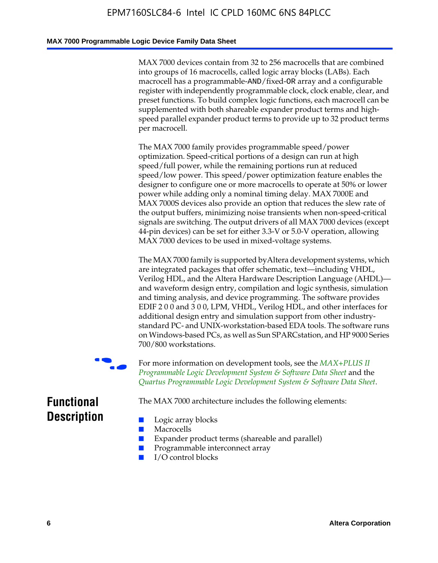#### **MAX 7000 Programmable Logic Device Family Data Sheet**

MAX 7000 devices contain from 32 to 256 macrocells that are combined into groups of 16 macrocells, called logic array blocks (LABs). Each macrocell has a programmable-AND/fixed-OR array and a configurable register with independently programmable clock, clock enable, clear, and preset functions. To build complex logic functions, each macrocell can be supplemented with both shareable expander product terms and highspeed parallel expander product terms to provide up to 32 product terms per macrocell.

The MAX 7000 family provides programmable speed/power optimization. Speed-critical portions of a design can run at high speed/full power, while the remaining portions run at reduced speed/low power. This speed/power optimization feature enables the designer to configure one or more macrocells to operate at 50% or lower power while adding only a nominal timing delay. MAX 7000E and MAX 7000S devices also provide an option that reduces the slew rate of the output buffers, minimizing noise transients when non-speed-critical signals are switching. The output drivers of all MAX 7000 devices (except 44-pin devices) can be set for either 3.3-V or 5.0-V operation, allowing MAX 7000 devices to be used in mixed-voltage systems.

The MAX 7000 family is supported byAltera development systems, which are integrated packages that offer schematic, text—including VHDL, Verilog HDL, and the Altera Hardware Description Language (AHDL) and waveform design entry, compilation and logic synthesis, simulation and timing analysis, and device programming. The [software provides](http://www.altera.com/literature/ds/dsmii.pdf)  [EDIF 2 0 0 and 3 0 0, LPM, VHDL, Verilog HDL, and other in](http://www.altera.com/literature/ds/dsmii.pdf)terfaces for [additional design entry and simulation support from other industry](http://www.altera.com/literature/ds/quartus.pdf)standard PC- and UNIX-workstation-based EDA tools. The software runs on Windows-based PCs, as well as Sun SPARCstation, and HP 9000 Series 700/800 workstations.

For more information on development tools, see the **MAX+PLUS II** *Programmable Logic Development System & Software Data Sheet* and the *Quartus Programmable Logic Development System & Software Data Sheet*.

The MAX 7000 architecture includes the following elements:

### **Functional Description**

- Logic array blocks
- **Macrocells**
- Expander product terms (shareable and parallel)
- Programmable interconnect array
- I/O control blocks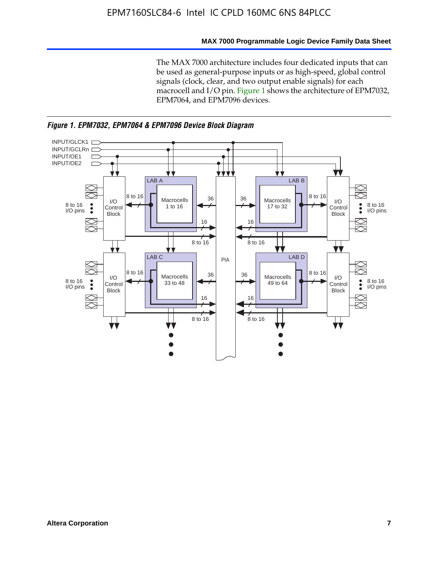#### **MAX 7000 Programmable Logic Device Family Data Sheet**

The MAX 7000 architecture includes four dedicated inputs that can be used as general-purpose inputs or as high-speed, global control signals (clock, clear, and two output enable signals) for each macrocell and I/O pin. Figure 1 shows the architecture of EPM7032, EPM7064, and EPM7096 devices.



*Figure 1. EPM7032, EPM7064 & EPM7096 Device Block Diagram*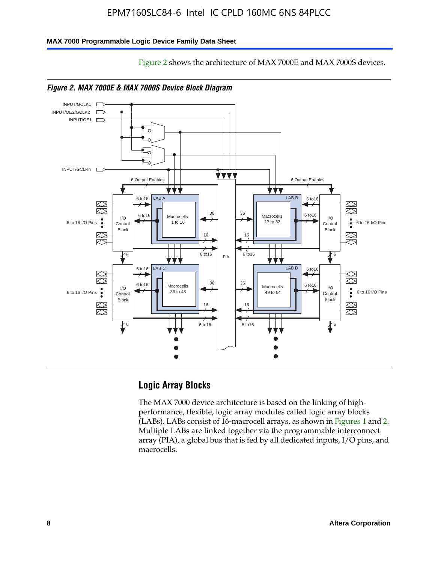Figure 2 shows the architecture of MAX 7000E and MAX 7000S devices.

#### **MAX 7000 Programmable Logic Device Family Data Sheet**





#### **Logic Array Blocks**

The MAX 7000 device architecture is based on the linking of highperformance, flexible, logic array modules called logic array blocks (LABs). LABs consist of 16-macrocell arrays, as shown in Figures 1 and 2. Multiple LABs are linked together via the programmable interconnect array (PIA), a global bus that is fed by all dedicated inputs, I/O pins, and macrocells.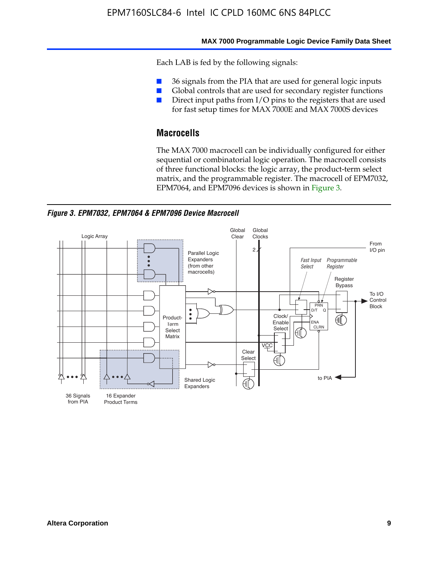#### **MAX 7000 Programmable Logic Device Family Data Sheet**

Each LAB is fed by the following signals:

- 36 signals from the PIA that are used for general logic inputs
- Global controls that are used for secondary register functions
- Direct input paths from I/O pins to the registers that are used for fast setup times for MAX 7000E and MAX 7000S devices

#### **Macrocells**

The MAX 7000 macrocell can be individually configured for either sequential or combinatorial logic operation. The macrocell consists of three functional blocks: the logic array, the product-term select matrix, and the programmable register. The macrocell of EPM7032, EPM7064, and EPM7096 devices is shown in Figure 3.

*Figure 3. EPM7032, EPM7064 & EPM7096 Device Macrocell*

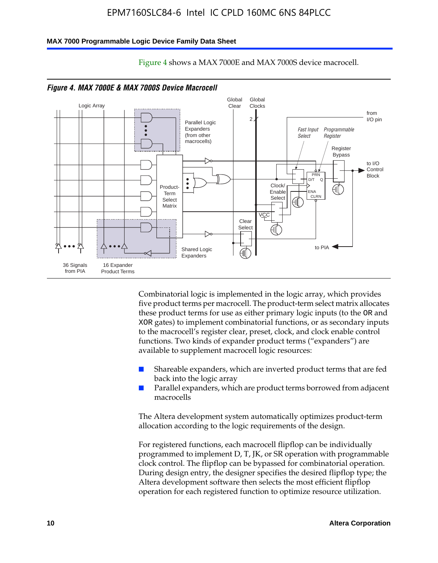#### **MAX 7000 Programmable Logic Device Family Data Sheet**



Figure 4 shows a MAX 7000E and MAX 7000S device macrocell.

Combinatorial logic is implemented in the logic array, which provides five product terms per macrocell. The product-term select matrix allocates these product terms for use as either primary logic inputs (to the OR and XOR gates) to implement combinatorial functions, or as secondary inputs to the macrocell's register clear, preset, clock, and clock enable control functions. Two kinds of expander product terms ("expanders") are available to supplement macrocell logic resources:

- Shareable expanders, which are inverted product terms that are fed back into the logic array
- Parallel expanders, which are product terms borrowed from adjacent macrocells

The Altera development system automatically optimizes product-term allocation according to the logic requirements of the design.

For registered functions, each macrocell flipflop can be individually programmed to implement D, T, JK, or SR operation with programmable clock control. The flipflop can be bypassed for combinatorial operation. During design entry, the designer specifies the desired flipflop type; the Altera development software then selects the most efficient flipflop operation for each registered function to optimize resource utilization.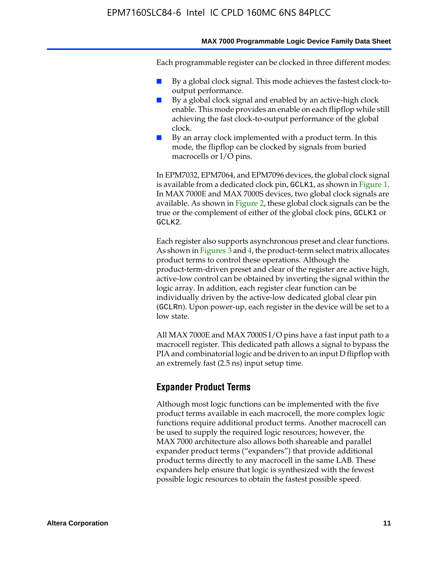#### **MAX 7000 Programmable Logic Device Family Data Sheet**

Each programmable register can be clocked in three different modes:

- By a global clock signal. This mode achieves the fastest clock-tooutput performance.
- By a global clock signal and enabled by an active-high clock enable. This mode provides an enable on each flipflop while still achieving the fast clock-to-output performance of the global clock.
- By an array clock implemented with a product term. In this mode, the flipflop can be clocked by signals from buried macrocells or I/O pins.

In EPM7032, EPM7064, and EPM7096 devices, the global clock signal is available from a dedicated clock pin, GCLK1, as shown in Figure 1. In MAX 7000E and MAX 7000S devices, two global clock signals are available. As shown in Figure 2, these global clock signals can be the true or the complement of either of the global clock pins, GCLK1 or GCLK2.

Each register also supports asynchronous preset and clear functions. As shown in Figures 3 and 4, the product-term select matrix allocates product terms to control these operations. Although the product-term-driven preset and clear of the register are active high, active-low control can be obtained by inverting the signal within the logic array. In addition, each register clear function can be individually driven by the active-low dedicated global clear pin (GCLRn). Upon power-up, each register in the device will be set to a low state.

All MAX 7000E and MAX 7000S I/O pins have a fast input path to a macrocell register. This dedicated path allows a signal to bypass the PIA and combinatorial logic and be driven to an input D flipflop with an extremely fast (2.5 ns) input setup time.

#### **Expander Product Terms**

Although most logic functions can be implemented with the five product terms available in each macrocell, the more complex logic functions require additional product terms. Another macrocell can be used to supply the required logic resources; however, the MAX 7000 architecture also allows both shareable and parallel expander product terms ("expanders") that provide additional product terms directly to any macrocell in the same LAB. These expanders help ensure that logic is synthesized with the fewest possible logic resources to obtain the fastest possible speed.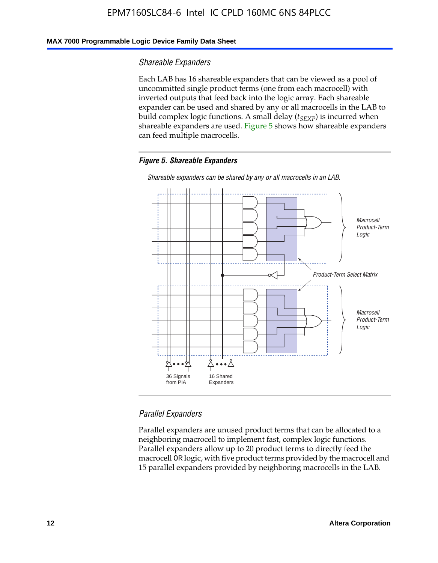#### **MAX 7000 Programmable Logic Device Family Data Sheet**

#### *Shareable Expanders*

Each LAB has 16 shareable expanders that can be viewed as a pool of uncommitted single product terms (one from each macrocell) with inverted outputs that feed back into the logic array. Each shareable expander can be used and shared by any or all macrocells in the LAB to build complex logic functions. A small delay ( $t_{SEXP}$ ) is incurred when shareable expanders are used. Figure 5 shows how shareable expanders can feed multiple macrocells.

#### *Figure 5. Shareable Expanders*



*Shareable expanders can be shared by any or all macrocells in an LAB.*

#### *Parallel Expanders*

Parallel expanders are unused product terms that can be allocated to a neighboring macrocell to implement fast, complex logic functions. Parallel expanders allow up to 20 product terms to directly feed the macrocell OR logic, with five product terms provided by the macrocell and 15 parallel expanders provided by neighboring macrocells in the LAB.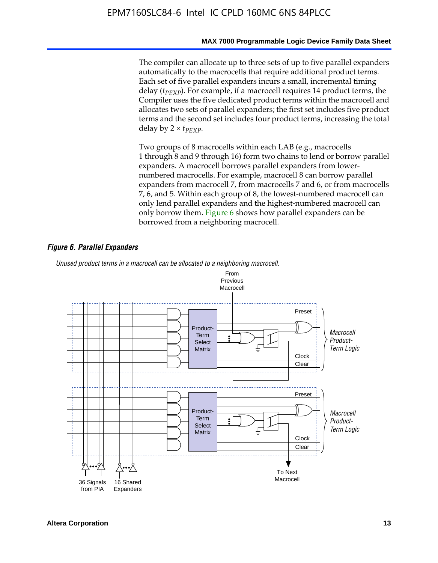#### **MAX 7000 Programmable Logic Device Family Data Sheet**

The compiler can allocate up to three sets of up to five parallel expanders automatically to the macrocells that require additional product terms. Each set of five parallel expanders incurs a small, incremental timing delay (*t<sub>PEXP</sub>*). For example, if a macrocell requires 14 product terms, the Compiler uses the five dedicated product terms within the macrocell and allocates two sets of parallel expanders; the first set includes five product terms and the second set includes four product terms, increasing the total delay by  $2 \times t_{PFXP}$ .

Two groups of 8 macrocells within each LAB (e.g., macrocells 1 through 8 and 9 through 16) form two chains to lend or borrow parallel expanders. A macrocell borrows parallel expanders from lowernumbered macrocells. For example, macrocell 8 can borrow parallel expanders from macrocell 7, from macrocells 7 and 6, or from macrocells 7, 6, and 5. Within each group of 8, the lowest-numbered macrocell can only lend parallel expanders and the highest-numbered macrocell can only borrow them. Figure 6 shows how parallel expanders can be borrowed from a neighboring macrocell.

#### *Figure 6. Parallel Expanders*

*Unused product terms in a macrocell can be allocated to a neighboring macrocell.*

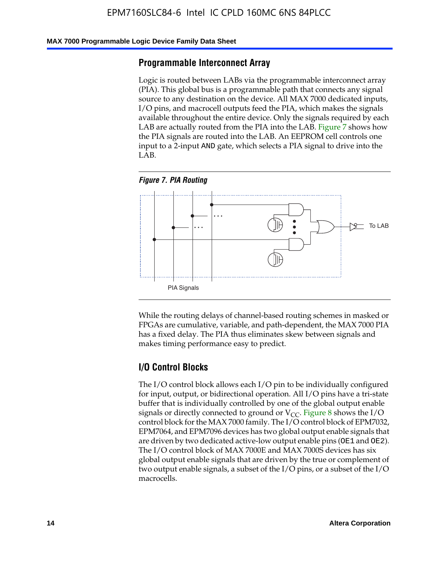#### **MAX 7000 Programmable Logic Device Family Data Sheet**

#### **Programmable Interconnect Array**

Logic is routed between LABs via the programmable interconnect array (PIA). This global bus is a programmable path that connects any signal source to any destination on the device. All MAX 7000 dedicated inputs, I/O pins, and macrocell outputs feed the PIA, which makes the signals available throughout the entire device. Only the signals required by each LAB are actually routed from the PIA into the LAB. Figure 7 shows how the PIA signals are routed into the LAB. An EEPROM cell controls one input to a 2-input AND gate, which selects a PIA signal to drive into the LAB.





While the routing delays of channel-based routing schemes in masked or FPGAs are cumulative, variable, and path-dependent, the MAX 7000 PIA has a fixed delay. The PIA thus eliminates skew between signals and makes timing performance easy to predict.

#### **I/O Control Blocks**

The I/O control block allows each I/O pin to be individually configured for input, output, or bidirectional operation. All I/O pins have a tri-state buffer that is individually controlled by one of the global output enable signals or directly connected to ground or  $V_{CC}$ . Figure 8 shows the I/O control block for the MAX 7000 family. The I/O control block of EPM7032, EPM7064, and EPM7096 devices has two global output enable signals that are driven by two dedicated active-low output enable pins (OE1 and OE2). The I/O control block of MAX 7000E and MAX 7000S devices has six global output enable signals that are driven by the true or complement of two output enable signals, a subset of the I/O pins, or a subset of the I/O macrocells.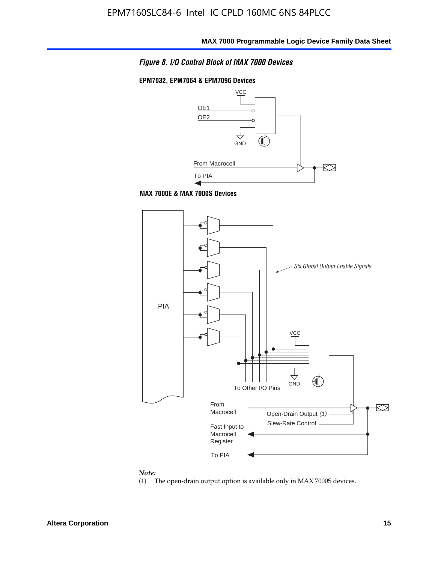#### *Figure 8. I/O Control Block of MAX 7000 Devices*

#### **EPM7032, EPM7064 & EPM7096 Devices**







#### *Note:*

(1) The open-drain output option is available only in MAX 7000S devices.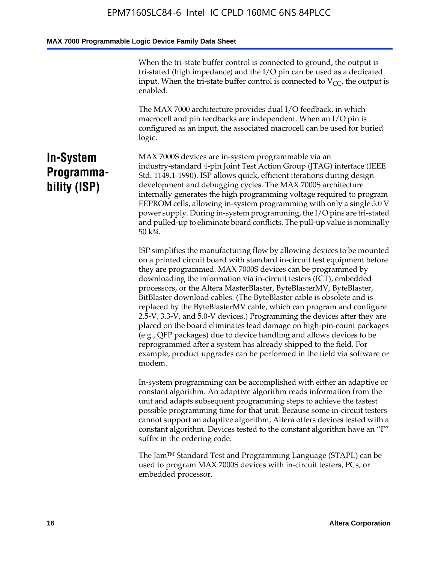When the tri-state buffer control is connected to ground, the output is tri-stated (high impedance) and the I/O pin can be used as a dedicated input. When the tri-state buffer control is connected to  $V_{CC}$ , the output is enabled.

The MAX 7000 architecture provides dual I/O feedback, in which macrocell and pin feedbacks are independent. When an I/O pin is configured as an input, the associated macrocell can be used for buried logic.

### **In-System Programmability (ISP)**

MAX 7000S devices are in-system programmable via an industry-standard 4-pin Joint Test Action Group (JTAG) interface (IEEE Std. 1149.1-1990). ISP allows quick, efficient iterations during design development and debugging cycles. The MAX 7000S architecture internally generates the high programming voltage required to program EEPROM cells, allowing in-system programming with only a single 5.0 V power supply. During in-system programming, the I/O pins are tri-stated and pulled-up to eliminate board conflicts. The pull-up value is nominally 50 k¾.

ISP simplifies the manufacturing flow by allowing devices to be mounted on a printed circuit board with standard in-circuit test equipment before they are programmed. MAX 7000S devices can be programmed by downloading the information via in-circuit testers (ICT), embedded processors, or the Altera MasterBlaster, ByteBlasterMV, ByteBlaster, BitBlaster download cables. (The ByteBlaster cable is obsolete and is replaced by the ByteBlasterMV cable, which can program and configure 2.5-V, 3.3-V, and 5.0-V devices.) Programming the devices after they are placed on the board eliminates lead damage on high-pin-count packages (e.g., QFP packages) due to device handling and allows devices to be reprogrammed after a system has already shipped to the field. For example, product upgrades can be performed in the field via software or modem.

In-system programming can be accomplished with either an adaptive or constant algorithm. An adaptive algorithm reads information from the unit and adapts subsequent programming steps to achieve the fastest possible programming time for that unit. Because some in-circuit testers cannot support an adaptive algorithm, Altera offers devices tested with a constant algorithm. Devices tested to the constant algorithm have an "F" suffix in the ordering code.

The Jam™ Standard Test and Programming Language (STAPL) can be used to program MAX 7000S devices with in-circuit testers, PCs, or embedded processor.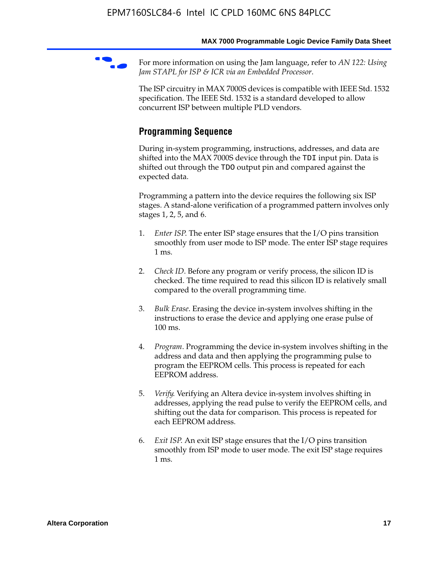For more information on using the Jam language, refer to *AN* 122: Using *Jam STAPL for ISP & ICR via an Embedded Processor*.

The ISP circuitry in MAX 7000S devices is compatible with IEEE Std. 1532 specification. The IEEE Std. 1532 is a standard developed to allow concurrent ISP between multiple PLD vendors.

#### **Programming Sequence**

During in-system programming, instructions, addresses, and data are shifted into the MAX 7000S device through the TDI input pin. Data is shifted out through the TDO output pin and compared against the expected data.

Programming a pattern into the device requires the following six ISP stages. A stand-alone verification of a programmed pattern involves only stages 1, 2, 5, and 6.

- 1. *Enter ISP*. The enter ISP stage ensures that the I/O pins transition smoothly from user mode to ISP mode. The enter ISP stage requires 1 ms.
- 2. *Check ID*. Before any program or verify process, the silicon ID is checked. The time required to read this silicon ID is relatively small compared to the overall programming time.
- 3. *Bulk Erase*. Erasing the device in-system involves shifting in the instructions to erase the device and applying one erase pulse of 100 ms.
- 4. *Program*. Programming the device in-system involves shifting in the address and data and then applying the programming pulse to program the EEPROM cells. This process is repeated for each EEPROM address.
- 5. *Verify*. Verifying an Altera device in-system involves shifting in addresses, applying the read pulse to verify the EEPROM cells, and shifting out the data for comparison. This process is repeated for each EEPROM address.
- 6. *Exit ISP*. An exit ISP stage ensures that the I/O pins transition smoothly from ISP mode to user mode. The exit ISP stage requires 1 ms.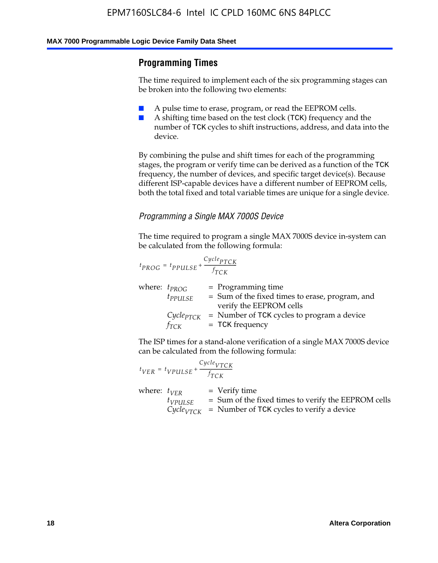#### **Programming Times**

The time required to implement each of the six programming stages can be broken into the following two elements:

- A pulse time to erase, program, or read the EEPROM cells.
- A shifting time based on the test clock (TCK) frequency and the number of TCK cycles to shift instructions, address, and data into the device.

By combining the pulse and shift times for each of the programming stages, the program or verify time can be derived as a function of the TCK frequency, the number of devices, and specific target device(s). Because different ISP-capable devices have a different number of EEPROM cells, both the total fixed and total variable times are unique for a single device.

#### *Programming a Single MAX 7000S Device*

The time required to program a single MAX 7000S device in-system can be calculated from the following formula:

$$
t_{PROG} = t_{PPULSE} + \frac{C_{ycle_{PTCK}}}{f_{TCK}}
$$
  
where:  $t_{PROG}$  = Programming time  
 $t_{PPULSE}$  = Sum of the fixed times to erase, program, and  
verify the EEPROM cells  
 $C_{ycle_{PTCK}}$  = Number of TCK cycles to program a device  
 $f_{TCK}$  = TCK frequency

The ISP times for a stand-alone verification of a single MAX 7000S device can be calculated from the following formula:

|                  | $t_{VER} = t_{VPULSE} + \frac{Cycle_{VTCK}}{f_{TCK}}$ |                                                                                                                                 |
|------------------|-------------------------------------------------------|---------------------------------------------------------------------------------------------------------------------------------|
| where: $t_{VFR}$ | $t_{VPULSE}$                                          | = Verify time<br>$=$ Sum of the fixed times to verify the EEPROM cells<br>$CycleVTCK$ = Number of TCK cycles to verify a device |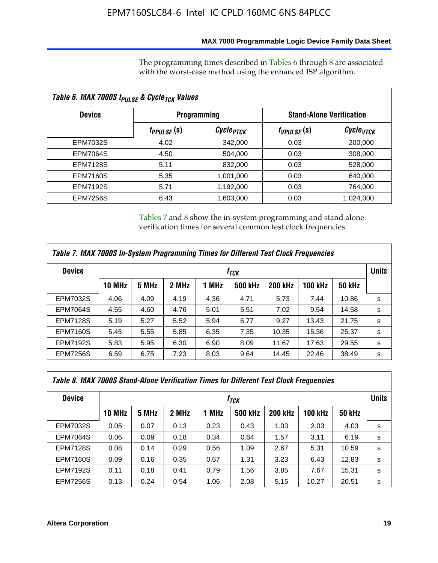#### **MAX 7000 Programmable Logic Device Family Data Sheet**

The programming times described in Tables 6 through 8 are associated with the worst-case method using the enhanced ISP algorithm.

| Table 6. MAX 7000S t <sub>PULSE</sub> & Cycle <sub>TCK</sub> Values |                         |                       |                 |                                 |  |  |  |
|---------------------------------------------------------------------|-------------------------|-----------------------|-----------------|---------------------------------|--|--|--|
| <b>Device</b>                                                       | <b>Programming</b>      |                       |                 | <b>Stand-Alone Verification</b> |  |  |  |
|                                                                     | t <sub>PPULSE</sub> (S) | Cycle <sub>PTCK</sub> | $t_{VPULSE}(s)$ | $\mathcal C$ ycle $_{VTCK}$     |  |  |  |
| EPM7032S                                                            | 4.02                    | 342,000               | 0.03            | 200,000                         |  |  |  |
| <b>EPM7064S</b>                                                     | 4.50                    | 504,000               | 0.03            | 308,000                         |  |  |  |
| <b>EPM7128S</b>                                                     | 5.11                    | 832,000               | 0.03            | 528,000                         |  |  |  |
| <b>EPM7160S</b>                                                     | 5.35                    | 1,001,000             | 0.03            | 640,000                         |  |  |  |
| <b>EPM7192S</b>                                                     | 5.71                    | 1,192,000             | 0.03            | 764,000                         |  |  |  |
| <b>EPM7256S</b>                                                     | 6.43                    | 1,603,000             | 0.03            | 1,024,000                       |  |  |  |

Tables 7 and 8 show the in-system programming and stand alone verification times for several common test clock frequencies.

| Table 7. MAX 7000S In-System Programming Times for Different Test Clock Frequencies |                  |       |       |       |                |                |                |               |              |
|-------------------------------------------------------------------------------------|------------------|-------|-------|-------|----------------|----------------|----------------|---------------|--------------|
| <b>Device</b>                                                                       | † <sub>TCK</sub> |       |       |       |                |                |                |               | <b>Units</b> |
|                                                                                     | <b>10 MHz</b>    | 5 MHz | 2 MHz | 1 MHz | <b>500 kHz</b> | <b>200 kHz</b> | <b>100 kHz</b> | <b>50 kHz</b> |              |
| <b>EPM7032S</b>                                                                     | 4.06             | 4.09  | 4.19  | 4.36  | 4.71           | 5.73           | 7.44           | 10.86         | s            |
| <b>EPM7064S</b>                                                                     | 4.55             | 4.60  | 4.76  | 5.01  | 5.51           | 7.02           | 9.54           | 14.58         | s            |
| <b>EPM7128S</b>                                                                     | 5.19             | 5.27  | 5.52  | 5.94  | 6.77           | 9.27           | 13.43          | 21.75         | s            |
| <b>EPM7160S</b>                                                                     | 5.45             | 5.55  | 5.85  | 6.35  | 7.35           | 10.35          | 15.36          | 25.37         | s            |
| <b>EPM7192S</b>                                                                     | 5.83             | 5.95  | 6.30  | 6.90  | 8.09           | 11.67          | 17.63          | 29.55         | s            |
| <b>EPM7256S</b>                                                                     | 6.59             | 6.75  | 7.23  | 8.03  | 9.64           | 14.45          | 22.46          | 38.49         | s            |

| Table 8. MAX 7000S Stand-Alone Verification Times for Different Test Clock Frequencies |               |       |       |       |                  |                |                |               |              |
|----------------------------------------------------------------------------------------|---------------|-------|-------|-------|------------------|----------------|----------------|---------------|--------------|
| <b>Device</b>                                                                          |               |       |       |       | f <sub>тск</sub> |                |                |               | <b>Units</b> |
|                                                                                        | <b>10 MHz</b> | 5 MHz | 2 MHz | 1 MHz | <b>500 kHz</b>   | <b>200 kHz</b> | <b>100 kHz</b> | <b>50 kHz</b> |              |
| <b>EPM7032S</b>                                                                        | 0.05          | 0.07  | 0.13  | 0.23  | 0.43             | 1.03           | 2.03           | 4.03          | s            |
| <b>EPM7064S</b>                                                                        | 0.06          | 0.09  | 0.18  | 0.34  | 0.64             | 1.57           | 3.11           | 6.19          | s            |
| <b>EPM7128S</b>                                                                        | 0.08          | 0.14  | 0.29  | 0.56  | 1.09             | 2.67           | 5.31           | 10.59         | s            |
| <b>EPM7160S</b>                                                                        | 0.09          | 0.16  | 0.35  | 0.67  | 1.31             | 3.23           | 6.43           | 12.83         | s            |
| <b>EPM7192S</b>                                                                        | 0.11          | 0.18  | 0.41  | 0.79  | 1.56             | 3.85           | 7.67           | 15.31         | s            |
| <b>EPM7256S</b>                                                                        | 0.13          | 0.24  | 0.54  | 1.06  | 2.08             | 5.15           | 10.27          | 20.51         | s            |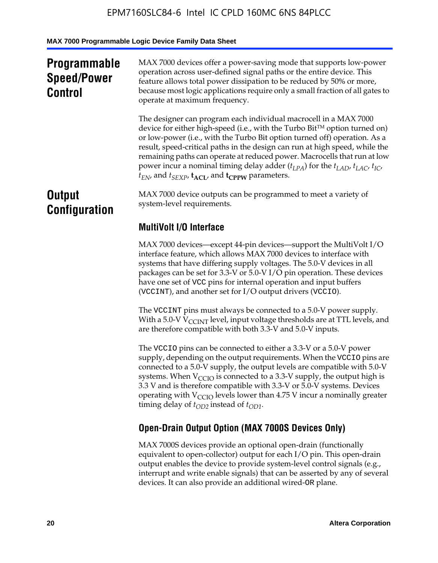### **Programmable Speed/Power Control**

MAX 7000 devices offer a power-saving mode that supports low-power operation across user-defined signal paths or the entire device. This feature allows total power dissipation to be reduced by 50% or more, because most logic applications require only a small fraction of all gates to operate at maximum frequency.

The designer can program each individual macrocell in a MAX 7000 device for either high-speed (i.e., with the Turbo  $Bit^{TM}$  option turned on) or low-power (i.e., with the Turbo Bit option turned off) operation. As a result, speed-critical paths in the design can run at high speed, while the remaining paths can operate at reduced power. Macrocells that run at low power incur a nominal timing delay adder  $(t_{LPA})$  for the  $t_{LAD}$ ,  $t_{LAC}$ ,  $t_{IC}$ ,  $t_{EN}$ , and  $t_{SEXP}$ ,  $t_{ACL}$ , and  $t_{CPPW}$  parameters.

### **Output Configuration**

MAX 7000 device outputs can be programmed to meet a variety of system-level requirements.

### **MultiVolt I/O Interface**

MAX 7000 devices—except 44-pin devices—support the MultiVolt I/O interface feature, which allows MAX 7000 devices to interface with systems that have differing supply voltages. The 5.0-V devices in all packages can be set for 3.3-V or 5.0-V I/O pin operation. These devices have one set of VCC pins for internal operation and input buffers (VCCINT), and another set for I/O output drivers (VCCIO).

The VCCINT pins must always be connected to a 5.0-V power supply. With a 5.0-V  $V_{\text{CCINT}}$  level, input voltage thresholds are at TTL levels, and are therefore compatible with both 3.3-V and 5.0-V inputs.

The VCCIO pins can be connected to either a 3.3-V or a 5.0-V power supply, depending on the output requirements. When the VCCIO pins are connected to a 5.0-V supply, the output levels are compatible with 5.0-V systems. When  $V_{\text{CGO}}$  is connected to a 3.3-V supply, the output high is 3.3 V and is therefore compatible with 3.3-V or 5.0-V systems. Devices operating with  $V_{\text{CCIO}}$  levels lower than 4.75 V incur a nominally greater timing delay of  $t_{OD2}$  instead of  $t_{OD1}$ .

### **Open-Drain Output Option (MAX 7000S Devices Only)**

MAX 7000S devices provide an optional open-drain (functionally equivalent to open-collector) output for each I/O pin. This open-drain output enables the device to provide system-level control signals (e.g., interrupt and write enable signals) that can be asserted by any of several devices. It can also provide an additional wired-OR plane.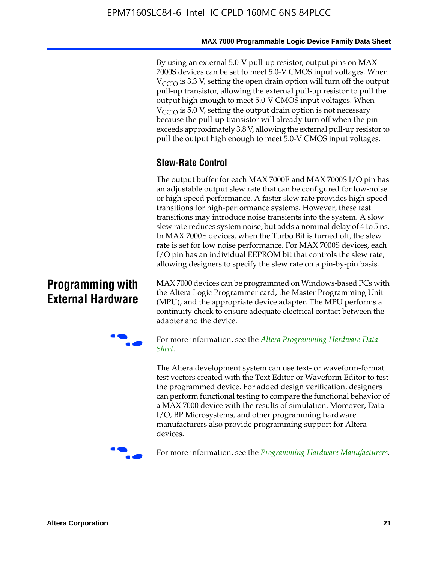By using an external 5.0-V pull-up resistor, output pins on MAX 7000S devices can be set to meet 5.0-V CMOS input voltages. When  $V<sub>CCIO</sub>$  is 3.3 V, setting the open drain option will turn off the output pull-up transistor, allowing the external pull-up resistor to pull the output high enough to meet 5.0-V CMOS input voltages. When  $V_{\text{CCIO}}$  is 5.0 V, setting the output drain option is not necessary because the pull-up transistor will already turn off when the pin exceeds approximately 3.8 V, allowing the external pull-up resistor to pull the output high enough to meet 5.0-V CMOS input voltages.

#### **Slew-Rate Control**

The output buffer for each MAX 7000E and MAX 7000S I/O pin has an adjustable output slew rate that can be configured for low-noise or high-speed performance. A faster slew rate provides high-speed transitions for high-performance systems. However, these fast transitions may introduce noise transients into the system. A slow slew rate reduces system noise, but adds a nominal delay of 4 to 5 ns. In MAX 7000E devices, when the Turbo Bit is turned off, the slew rate is set for low noise performance. For MAX 7000S devices, each I/O pin has an individual EEPROM bit that controls the slew rate, allowing designers to specify the slew rate on a pin-by-pin basis.

### **Programming with External Hardware**

[MAX](http://www.altera.com/literature/ds/dspghd.pdf) 7000 devices can be prog[rammed on Windows-based PCs with](http://www.altera.com/literature/ds/dspghd.pdf)  the Altera Logic Programmer card, the Master Programming Unit (MPU), and the appropriate device adapter. The MPU performs a continuity check to ensure adequate electrical contact between the adapter and the device.



For more information, see the *Altera Programming Hardware Data Sheet*.

The Altera development system can use text- or waveform-format test vectors created with the Text Editor or Waveform Editor to test the programmed device. For added design verification, designers can perform functional testing to compare the functional behavior of a MAX 7000 device with the results of simulation. Moreover, Data I/O, BP Microsystems, and other programming hardware manufacturers also provide programming support for Altera devices.



For more information, see the *Programming Hardware Manufacturers*.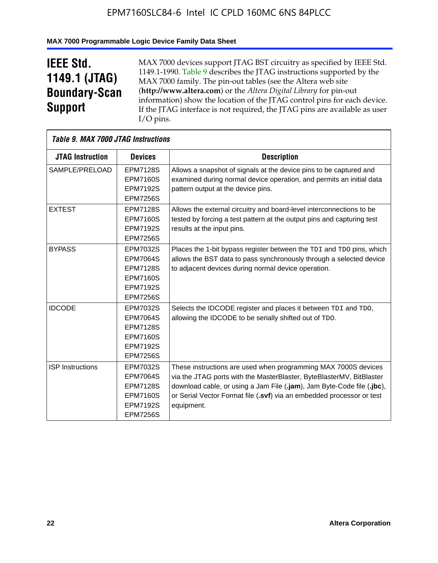#### **MAX 7000 Programmable Logic Device Family Data Sheet**

## **IEEE Std. 1149.1 (JTAG) Boundary-Scan Support**

 $\mathsf{r}$ 

MAX 7000 devices support JTAG BST circuitry as specified by IEEE Std. 1149.1-1990. Table 9 describes the JTAG instructions supported by the MAX 7000 family. The pin-out tables (see the Altera web site (**http://www.altera.com**) or the *Altera Digital Library* for pin-out information) show the location of the JTAG control pins for each device. If the JTAG interface is not required, the JTAG pins are available as user I/O pins.

| <b>Table 9. MAX 7000 JTAG Instructions</b> |                 |                                                                        |
|--------------------------------------------|-----------------|------------------------------------------------------------------------|
| <b>JTAG Instruction</b>                    | <b>Devices</b>  | <b>Description</b>                                                     |
| SAMPLE/PRELOAD                             | <b>EPM7128S</b> | Allows a snapshot of signals at the device pins to be captured and     |
|                                            | <b>EPM7160S</b> | examined during normal device operation, and permits an initial data   |
|                                            | <b>EPM7192S</b> | pattern output at the device pins.                                     |
|                                            | <b>EPM7256S</b> |                                                                        |
| <b>EXTEST</b>                              | <b>EPM7128S</b> | Allows the external circuitry and board-level interconnections to be   |
|                                            | <b>EPM7160S</b> | tested by forcing a test pattern at the output pins and capturing test |
|                                            | <b>EPM7192S</b> | results at the input pins.                                             |
|                                            | <b>EPM7256S</b> |                                                                        |
| <b>BYPASS</b>                              | EPM7032S        | Places the 1-bit bypass register between the TDI and TDO pins, which   |
|                                            | <b>EPM7064S</b> | allows the BST data to pass synchronously through a selected device    |
|                                            | <b>EPM7128S</b> | to adjacent devices during normal device operation.                    |
|                                            | <b>EPM7160S</b> |                                                                        |
|                                            | <b>EPM7192S</b> |                                                                        |
|                                            | <b>EPM7256S</b> |                                                                        |
| <b>IDCODE</b>                              | <b>EPM7032S</b> | Selects the IDCODE register and places it between TDI and TDO,         |
|                                            | <b>EPM7064S</b> | allowing the IDCODE to be serially shifted out of TDO.                 |
|                                            | <b>EPM7128S</b> |                                                                        |
|                                            | <b>EPM7160S</b> |                                                                        |
|                                            | <b>EPM7192S</b> |                                                                        |
|                                            | <b>EPM7256S</b> |                                                                        |
| <b>ISP Instructions</b>                    | EPM7032S        | These instructions are used when programming MAX 7000S devices         |
|                                            | <b>EPM7064S</b> | via the JTAG ports with the MasterBlaster, ByteBlasterMV, BitBlaster   |
|                                            | <b>EPM7128S</b> | download cable, or using a Jam File (.jam), Jam Byte-Code file (.jbc), |
|                                            | <b>EPM7160S</b> | or Serial Vector Format file (.svf) via an embedded processor or test  |
|                                            | <b>EPM7192S</b> | equipment.                                                             |
|                                            | <b>EPM7256S</b> |                                                                        |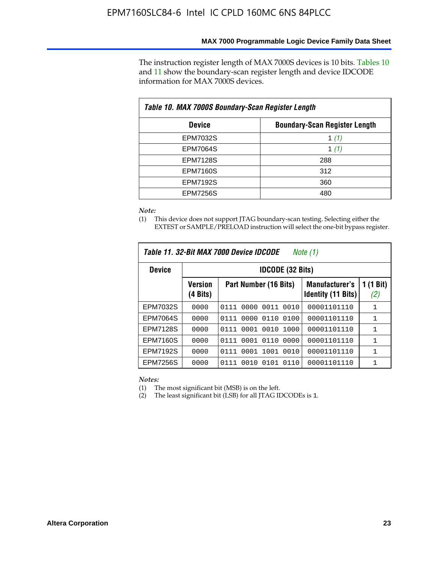The instruction register length of MAX 7000S devices is 10 bits. Tables 10 and 11 show the boundary-scan register length and device IDCODE information for MAX 7000S devices.

| Table 10. MAX 7000S Boundary-Scan Register Length |                                      |  |  |  |  |  |
|---------------------------------------------------|--------------------------------------|--|--|--|--|--|
| <b>Device</b>                                     | <b>Boundary-Scan Register Length</b> |  |  |  |  |  |
| <b>EPM7032S</b>                                   | 1 $(1)$                              |  |  |  |  |  |
| <b>EPM7064S</b>                                   | 1 $(1)$                              |  |  |  |  |  |
| <b>EPM7128S</b>                                   | 288                                  |  |  |  |  |  |
| <b>EPM7160S</b>                                   | 312                                  |  |  |  |  |  |
| <b>EPM7192S</b>                                   | 360                                  |  |  |  |  |  |
| <b>EPM7256S</b>                                   | 480                                  |  |  |  |  |  |

*Note:*

(1) This device does not support JTAG boundary-scan testing. Selecting either the EXTEST or SAMPLE/PRELOAD instruction will select the one-bit bypass register.

| Table 11, 32-Bit MAX 7000 Device IDCODE<br>Note (1) |                            |                              |                                                    |                  |  |  |  |
|-----------------------------------------------------|----------------------------|------------------------------|----------------------------------------------------|------------------|--|--|--|
| <b>Device</b>                                       |                            | <b>IDCODE (32 Bits)</b>      |                                                    |                  |  |  |  |
|                                                     | <b>Version</b><br>(4 Bits) | Part Number (16 Bits)        | <b>Manufacturer's</b><br><b>Identity (11 Bits)</b> | 1 (1 Bit)<br>(2) |  |  |  |
| EPM7032S                                            | 0000                       | 0010<br>0111<br>0000<br>0011 | 00001101110                                        | 1                |  |  |  |
| <b>EPM7064S</b>                                     | 0000                       | 0000<br>0110<br>0100<br>0111 | 00001101110                                        | 1                |  |  |  |
| <b>EPM7128S</b>                                     | 0000                       | 0001 0010<br>1000<br>0111    | 00001101110                                        | 1                |  |  |  |
| <b>EPM7160S</b>                                     | 0000                       | 0001<br>0110<br>0000<br>0111 | 00001101110                                        | $\mathbf{1}$     |  |  |  |
| <b>EPM7192S</b>                                     | 0000                       | 1001<br>0010<br>0111<br>0001 | 00001101110                                        | 1                |  |  |  |
| EPM7256S                                            | 0000                       | 0111<br>0010<br>0101<br>0110 | 00001101110                                        | 1                |  |  |  |

*Notes:*

(1) The most significant bit (MSB) is on the left.

(2) The least significant bit (LSB) for all JTAG IDCODEs is 1.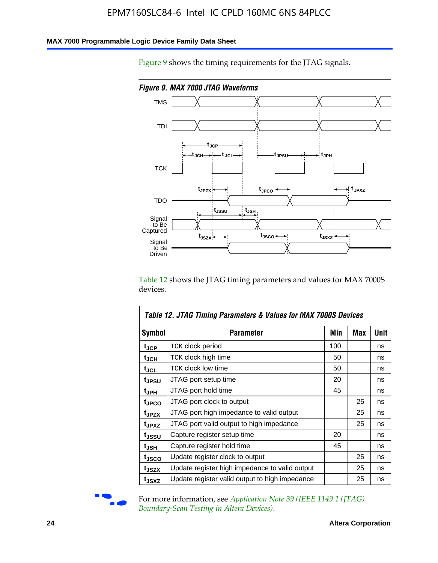#### **MAX 7000 Programmable Logic Device Family Data Sheet**

Figure 9 shows the timing requirements for the JTAG signals.



Table 12 shows the JTAG timing parameters and values for MAX 7000S devices.

|                   | Table 12. JTAG Timing Parameters & Values for MAX 7000S Devices |     |     |      |
|-------------------|-----------------------------------------------------------------|-----|-----|------|
| <b>Symbol</b>     | Parameter                                                       | Min | Max | Unit |
| t <sub>JCP</sub>  | TCK clock period                                                | 100 |     | ns   |
| t <sub>JCH</sub>  | TCK clock high time                                             | 50  |     | ns   |
| $t_{JCL}$         | <b>TCK clock low time</b>                                       | 50  |     | ns   |
| tjpsu             | JTAG port setup time                                            | 20  |     | ns   |
| t <sub>JPH</sub>  | JTAG port hold time                                             | 45  |     | ns   |
| tjpco             | JTAG port clock to output                                       |     | 25  | ns   |
| t <sub>JPZX</sub> | JTAG port high impedance to valid output                        |     | 25  | ns   |
| t <sub>JPXZ</sub> | JTAG port valid output to high impedance                        |     | 25  | ns   |
| tjssu             | Capture register setup time                                     | 20  |     | ns   |
| t <sub>JSH</sub>  | Capture register hold time                                      | 45  |     | ns   |
| tjsco             | Update register clock to output                                 |     | 25  | ns   |
| t <sub>JSZX</sub> | Update register high impedance to valid output                  |     | 25  | ns   |
| tjsxz             | Update register valid output to high impedance                  |     | 25  | ns   |



For more information, see *Application Note 39* (IEEE 1149.1 (JTAG) *Boundary-Scan Testing in Altera Devices)*.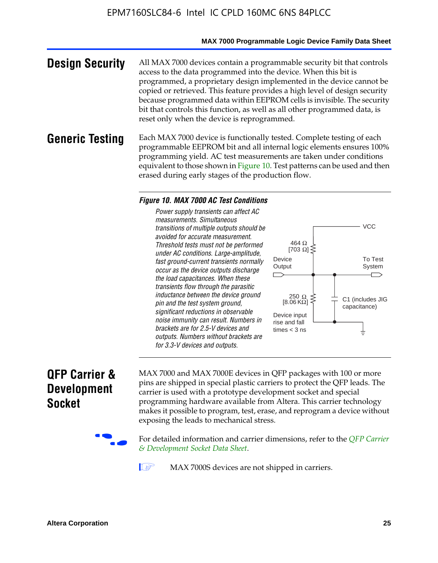#### **MAX 7000 Programmable Logic Device Family Data Sheet**

**Design Security** All MAX 7000 devices contain a programmable security bit that controls access to the data programmed into the device. When this bit is programmed, a proprietary design implemented in the device cannot be copied or retrieved. This feature provides a high level of design security because programmed data within EEPROM cells is invisible. The security bit that controls this function, as well as all other programmed data, is reset only when the device is reprogrammed.

#### **Generic Testing** Each MAX 7000 device is functionally tested. Complete testing of each programmable EEPROM bit and all internal logic elements ensures 100% programming yield. AC test measurements are taken under conditions equivalent to those shown in Figure 10. Test patterns can be used and then erased during early stages of the production flow.

#### *Figure 10. MAX 7000 AC Test Conditions*

*Power supply transients can affect AC measurements. Simultaneous transitions of multiple outputs should be avoided for accurate measurement. Threshold tests must not be performed under AC conditions. Large-amplitude, fast ground-current transients normally occur as the device outputs discharge the load capacitances. When these transients flow through the parasitic inductance between the device ground pin and the test system ground, significant reductions in observable noise immunity can result. Numbers in brackets are for 2.5-V devices and outputs. Numbers without brackets are for 3.3-V devices and outputs.*



### **QFP Carrier & Development Socket**

MAX 7000 and MAX 7000E devices in QFP packages with 10[0 or more](http://www.altera.com/literature/ds/dsqfp.pdf)  [pins are shipped in special plas](http://www.altera.com/literature/ds/dsqfp.pdf)tic carriers to protect the QFP leads. The carrier is used with a prototype development socket and special programming hardware available from Altera. This carrier technology makes it possible to program, test, erase, and reprogram a device without exposing the leads to mechanical stress.

For detailed information and carrier dimensions, refer to the *QFP Carrier & Development Socket Data Sheet*.

MAX 7000S devices are not shipped in carriers.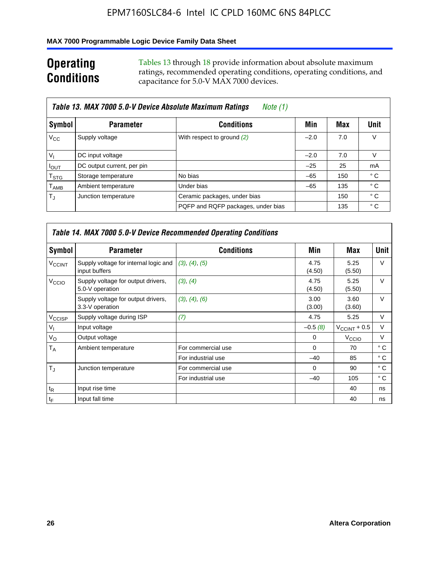#### **MAX 7000 Programmable Logic Device Family Data Sheet**

### **Operating Conditions**

Tables 13 through 18 provide information about absolute maximum ratings, recommended operating conditions, operating conditions, and capacitance for 5.0-V MAX 7000 devices.

|                             | Table 13. MAX 7000 5.0-V Device Absolute Maximum Ratings<br>Note (1) |                                    |        |     |                |  |  |  |  |
|-----------------------------|----------------------------------------------------------------------|------------------------------------|--------|-----|----------------|--|--|--|--|
| Symbol                      | <b>Parameter</b>                                                     | <b>Conditions</b>                  | Min    | Max | Unit           |  |  |  |  |
| $V_{\rm CC}$                | Supply voltage                                                       | With respect to ground (2)         | $-2.0$ | 7.0 | V              |  |  |  |  |
| $V_{1}$                     | DC input voltage                                                     |                                    | $-2.0$ | 7.0 | V              |  |  |  |  |
| $I_{OUT}$                   | DC output current, per pin                                           |                                    | $-25$  | 25  | m <sub>A</sub> |  |  |  |  |
| $\mathsf{T}_{\textsf{STG}}$ | Storage temperature                                                  | No bias                            | $-65$  | 150 | ° C            |  |  |  |  |
| $\mathsf{T}_{\mathsf{AMB}}$ | Ambient temperature                                                  | Under bias                         | $-65$  | 135 | ° C            |  |  |  |  |
| $T_{\rm J}$                 | Junction temperature                                                 | Ceramic packages, under bias       |        | 150 | $^{\circ}$ C   |  |  |  |  |
|                             |                                                                      | PQFP and RQFP packages, under bias |        | 135 | ° C            |  |  |  |  |

|                          | <b>Table 14. MAX 7000 5.0-V Device Recommended Operating Conditions</b> |                    |                |                       |              |  |  |  |
|--------------------------|-------------------------------------------------------------------------|--------------------|----------------|-----------------------|--------------|--|--|--|
| Symbol                   | <b>Parameter</b>                                                        | <b>Conditions</b>  | Min            | Max                   | <b>Unit</b>  |  |  |  |
| <b>V<sub>CCINT</sub></b> | Supply voltage for internal logic and<br>input buffers                  | (3), (4), (5)      | 4.75<br>(4.50) | 5.25<br>(5.50)        | $\vee$       |  |  |  |
| V <sub>CCIO</sub>        | Supply voltage for output drivers,<br>5.0-V operation                   | (3), (4)           | 4.75<br>(4.50) | 5.25<br>(5.50)        | $\vee$       |  |  |  |
|                          | Supply voltage for output drivers,<br>3.3-V operation                   | (3), (4), (6)      | 3.00<br>(3.00) | 3.60<br>(3.60)        | $\vee$       |  |  |  |
| V <sub>CCISP</sub>       | Supply voltage during ISP                                               | (7)                | 4.75           | 5.25                  | V            |  |  |  |
| $V_{1}$                  | Input voltage                                                           |                    | $-0.5(8)$      | $V_{\rm CCINT}$ + 0.5 | V            |  |  |  |
| $V_{\rm O}$              | Output voltage                                                          |                    | 0              | V <sub>CCIO</sub>     | V            |  |  |  |
| T <sub>A</sub>           | Ambient temperature                                                     | For commercial use | $\Omega$       | 70                    | $^{\circ}$ C |  |  |  |
|                          |                                                                         | For industrial use | $-40$          | 85                    | $^{\circ}$ C |  |  |  |
| $T_{\rm J}$              | Junction temperature                                                    | For commercial use | $\Omega$       | 90                    | ° C          |  |  |  |
|                          |                                                                         | For industrial use | $-40$          | 105                   | ° C          |  |  |  |
| $t_{\mathsf{R}}$         | Input rise time                                                         |                    |                | 40                    | ns           |  |  |  |
| $t_{\mathsf{F}}$         | Input fall time                                                         |                    |                | 40                    | ns           |  |  |  |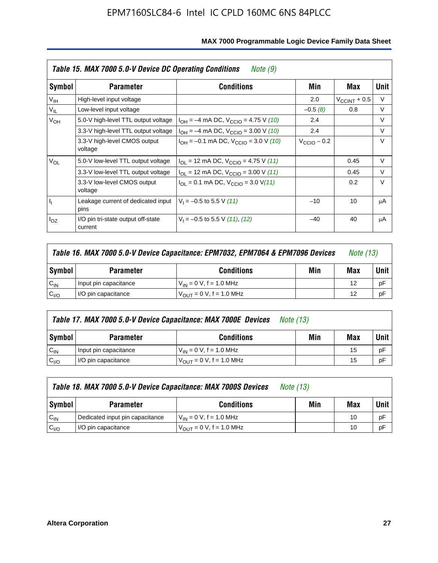|                 | Table 15. MAX 7000 5.0-V Device DC Operating Conditions | Note (9)                                                                  |                 |                          |        |
|-----------------|---------------------------------------------------------|---------------------------------------------------------------------------|-----------------|--------------------------|--------|
| Symbol          | <b>Parameter</b>                                        | <b>Conditions</b>                                                         | Min             | Max                      | Unit   |
| V <sub>IH</sub> | High-level input voltage                                |                                                                           | 2.0             | $V_{\text{CCINT}} + 0.5$ | $\vee$ |
| $V_{IL}$        | Low-level input voltage                                 |                                                                           | $-0.5(8)$       | 0.8                      | V      |
| $V_{OH}$        | 5.0-V high-level TTL output voltage                     | $I_{OH} = -4$ mA DC, $V_{CCIO} = 4.75$ V (10)                             | 2.4             |                          | $\vee$ |
|                 | 3.3-V high-level TTL output voltage                     | $I_{OH} = -4$ mA DC, $V_{CClO} = 3.00$ V (10)                             | 2.4             |                          | $\vee$ |
|                 | 3.3-V high-level CMOS output<br>voltage                 | $I_{OH} = -0.1$ mA DC, $V_{CClO} = 3.0$ V (10)                            | $V_{CCD}$ – 0.2 |                          | $\vee$ |
| $V_{OL}$        | 5.0-V low-level TTL output voltage                      | $I_{\text{OI}}$ = 12 mA DC, $V_{\text{CCIO}}$ = 4.75 V (11)               |                 | 0.45                     | $\vee$ |
|                 | 3.3-V low-level TTL output voltage                      | $I_{OL}$ = 12 mA DC, $V_{CCIO}$ = 3.00 V (11)                             |                 | 0.45                     | $\vee$ |
|                 | 3.3-V low-level CMOS output<br>voltage                  | $I_{\text{OI}} = 0.1 \text{ mA DC}, V_{\text{CCIO}} = 3.0 \text{ V} (11)$ |                 | 0.2                      | $\vee$ |
| h,              | Leakage current of dedicated input<br>pins              | $V_1 = -0.5$ to 5.5 V (11)                                                | $-10$           | 10                       | μA     |
| $I_{OZ}$        | I/O pin tri-state output off-state<br>current           | $V_1 = -0.5$ to 5.5 V (11), (12)                                          | $-40$           | 40                       | μA     |

| Table 16. MAX 7000 5.0-V Device Capacitance: EPM7032, EPM7064 & EPM7096 Devices |                                              |                                     |  |    | <i>Note (13)</i> |
|---------------------------------------------------------------------------------|----------------------------------------------|-------------------------------------|--|----|------------------|
| Symbol                                                                          | Min<br><b>Conditions</b><br><b>Parameter</b> |                                     |  |    |                  |
| $C_{IN}$                                                                        | Input pin capacitance                        | $V_{IN} = 0 V$ , f = 1.0 MHz        |  | 12 | рF               |
| C <sub>I/O</sub>                                                                | I/O pin capacitance                          | $V_{\text{OUT}} = 0$ V, f = 1.0 MHz |  | 12 | рF               |

|                  | Table 17. MAX 7000 5.0-V Device Capacitance: MAX 7000E Devices<br><i>Note (13)</i> |                                |     |     |        |  |
|------------------|------------------------------------------------------------------------------------|--------------------------------|-----|-----|--------|--|
| Symbol           | <b>Parameter</b>                                                                   | <b>Conditions</b>              | Min | Max | Unit I |  |
| $C_{IN}$         | Input pin capacitance                                                              | $V_{1N} = 0 V$ , f = 1.0 MHz   |     | 15  | pF     |  |
| C <sub>I/O</sub> | I/O pin capacitance                                                                | $V_{OIII} = 0 V$ , f = 1.0 MHz |     | 15  | pF     |  |

|                  | Table 18. MAX 7000 5.0-V Device Capacitance: MAX 7000S Devices | <i>Note (13)</i>                    |     |     |        |
|------------------|----------------------------------------------------------------|-------------------------------------|-----|-----|--------|
| Symbol           | <b>Parameter</b>                                               | <b>Conditions</b>                   | Min | Max | Unit I |
| $C_{IN}$         | Dedicated input pin capacitance                                | $V_{IN} = 0 V$ , f = 1.0 MHz        |     | 10  | pF     |
| C <sub>I/O</sub> | I/O pin capacitance                                            | $V_{\text{OUT}} = 0 V, f = 1.0 MHz$ |     | 10  | pF     |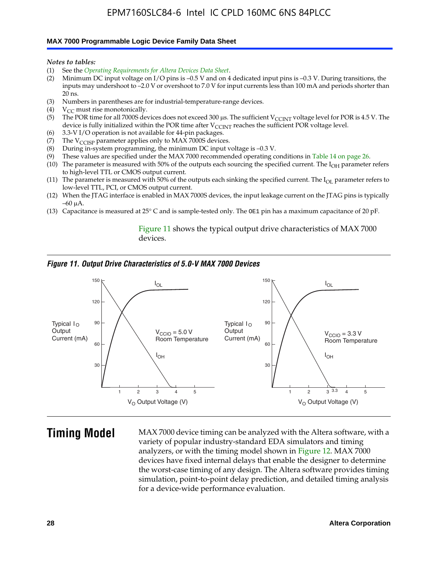#### **MAX 7000 Programmable Logic Device Family Data Sheet**

*Notes to tables:*

- (1) See the *Operating Requirements for Altera Devices Data Sheet*.
- (2) Minimum DC input voltage on I/O pins is –0.5 V and on 4 dedicated input pins is –0.3 V. During transitions, the inputs may undershoot to –2.0 V or overshoot to 7.0 V for input currents less than 100 mA and periods shorter than  $20$  ns.
- (3) Numbers in parentheses are for industrial-temperature-range devices.<br>(4)  ${\rm V}_{CC}$  must rise monotonically.
- $V_{CC}$  must rise monotonically.
- (5) The POR time for all 7000S devices does not exceed 300 µs. The sufficient V<sub>CCINT</sub> voltage level for POR is 4.5 V. The device is fully initialized within the POR time after  $V_{\text{CCINT}}$  reaches the sufficient POR voltage level.
- (6) 3.3-V I/O operation is not available for 44-pin packages.
- (7) The  $V_{\text{CCISP}}$  parameter applies only to MAX 7000S devices.
- (8) During in-system programming, the minimum DC input voltage is –0.3 V.
- (9) These values are specified under the MAX 7000 recommended operating conditions in Table 14 on page 26.
- (10) The parameter is measured with 50% of the outputs each sourcing the specified current. The  $I_{OH}$  parameter refers to high-level TTL or CMOS output current.
- (11) The parameter is measured with 50% of the outputs each sinking the specified current. The  $I_{OL}$  parameter refers to low-level TTL, PCI, or CMOS output current.
- (12) When the JTAG interface is enabled in MAX 7000S devices, the input leakage current on the JTAG pins is typically –60 μA.
- (13) Capacitance is measured at 25° C and is sample-tested only. The OE1 pin has a maximum capacitance of 20 pF.

Figure 11 shows the typical output drive characteristics of MAX 7000 devices.

#### *Figure 11. Output Drive Characteristics of 5.0-V MAX 7000 Devices*



**Timing Model** MAX 7000 device timing can be analyzed with the Altera software, with a variety of popular industry-standard EDA simulators and timing analyzers, or with the timing model shown in Figure 12. MAX 7000 devices have fixed internal delays that enable the designer to determine the worst-case timing of any design. The Altera software provides timing simulation, point-to-point delay prediction, and detailed timing analysis for a device-wide performance evaluation.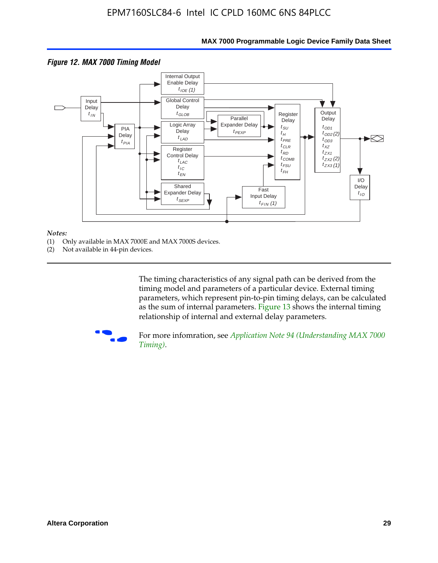

#### **MAX 7000 Programmable Logic Device Family Data Sheet**

#### *Notes:*

- (1) Only available in MAX 7000E and MAX 7000S devices.
- (2) Not available in 44-pin devices.

[The tim](http://www.altera.com/literature/an/an094.pdf)ing characteristics [of any signal path can be derived from the](http://www.altera.com/literature/an/an094.pdf)  timing model and parameters of a particular device. External timing parameters, which represent pin-to-pin timing delays, can be calculated as the sum of internal parameters. Figure 13 shows the internal timing relationship of internal and external delay parameters.



For more infomration, see *Application Note 94 (Understanding MAX 7000 Timing)*.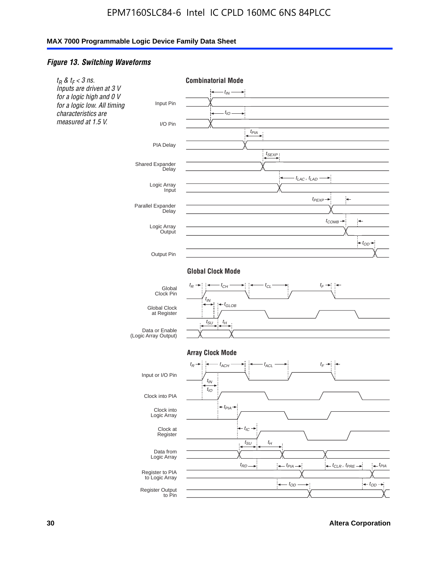#### *Figure 13. Switching Waveforms*

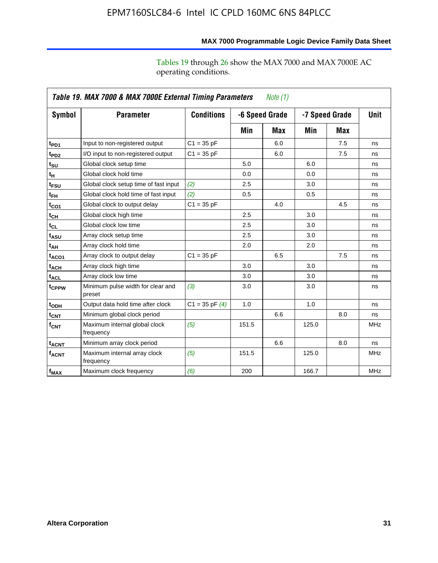operating conditions.

|                         | Table 19. MAX 7000 & MAX 7000E External Timing Parameters<br>Note $(1)$ |                    |       |                |                |     |             |  |
|-------------------------|-------------------------------------------------------------------------|--------------------|-------|----------------|----------------|-----|-------------|--|
| Symbol                  | <b>Parameter</b>                                                        | <b>Conditions</b>  |       | -6 Speed Grade | -7 Speed Grade |     | <b>Unit</b> |  |
|                         |                                                                         |                    | Min   | Max            | Min            | Max |             |  |
| t <sub>PD1</sub>        | Input to non-registered output                                          | $C1 = 35 pF$       |       | 6.0            |                | 7.5 | ns          |  |
| t <sub>PD2</sub>        | I/O input to non-registered output                                      | $C1 = 35 pF$       |       | 6.0            |                | 7.5 | ns          |  |
| t <sub>su</sub>         | Global clock setup time                                                 |                    | 5.0   |                | 6.0            |     | ns          |  |
| tμ                      | Global clock hold time                                                  |                    | 0.0   |                | 0.0            |     | ns          |  |
| t <sub>FSU</sub>        | Global clock setup time of fast input                                   | (2)                | 2.5   |                | 3.0            |     | ns          |  |
| t <sub>FH</sub>         | Global clock hold time of fast input                                    | (2)                | 0.5   |                | 0.5            |     | ns          |  |
| t <sub>CO1</sub>        | Global clock to output delay                                            | $C1 = 35 pF$       |       | 4.0            |                | 4.5 | ns          |  |
| t <sub>СН</sub>         | Global clock high time                                                  |                    | 2.5   |                | 3.0            |     | ns          |  |
| $t_{CL}$                | Global clock low time                                                   |                    | 2.5   |                | 3.0            |     | ns          |  |
| t <sub>ASU</sub>        | Array clock setup time                                                  |                    | 2.5   |                | 3.0            |     | ns          |  |
| t <sub>АН</sub>         | Array clock hold time                                                   |                    | 2.0   |                | 2.0            |     | ns          |  |
| $t_{ACO1}$              | Array clock to output delay                                             | $C1 = 35 pF$       |       | 6.5            |                | 7.5 | ns          |  |
| t <sub>ACH</sub>        | Array clock high time                                                   |                    | 3.0   |                | 3.0            |     | ns          |  |
| $t_{\sf ACL}$           | Array clock low time                                                    |                    | 3.0   |                | 3.0            |     | ns          |  |
| t <sub>CPPW</sub>       | Minimum pulse width for clear and<br>preset                             | (3)                | 3.0   |                | 3.0            |     | ns          |  |
| t <sub>ODH</sub>        | Output data hold time after clock                                       | $C1 = 35$ pF $(4)$ | 1.0   |                | 1.0            |     | ns          |  |
| t <sub>CNT</sub>        | Minimum global clock period                                             |                    |       | 6.6            |                | 8.0 | ns          |  |
| $f_{\mathsf{CNT}}$      | Maximum internal global clock<br>frequency                              | (5)                | 151.5 |                | 125.0          |     | <b>MHz</b>  |  |
| <b>t<sub>ACNT</sub></b> | Minimum array clock period                                              |                    |       | 6.6            |                | 8.0 | ns          |  |
| f <sub>ACNT</sub>       | Maximum internal array clock<br>frequency                               | (5)                | 151.5 |                | 125.0          |     | <b>MHz</b>  |  |
| $f_{MAX}$               | Maximum clock frequency                                                 | (6)                | 200   |                | 166.7          |     | <b>MHz</b>  |  |

#### **MAX 7000 Programmable Logic Device Family Data Sheet**

Tables 19 through 26 show the MAX 7000 and MAX 7000E AC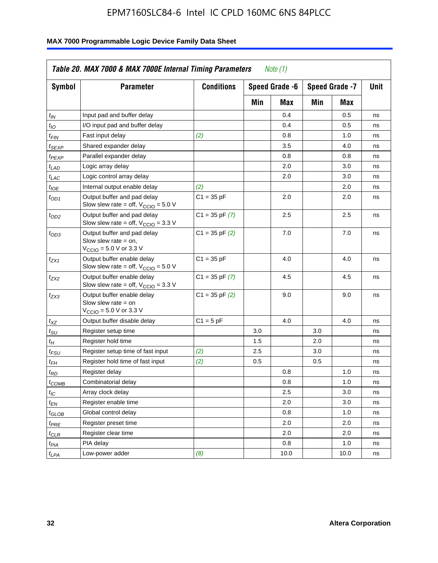| <b>Symbol</b>               | <b>Parameter</b>                                                                                             | <b>Conditions</b>  |     | Speed Grade -6 |     | Speed Grade -7 | Unit |
|-----------------------------|--------------------------------------------------------------------------------------------------------------|--------------------|-----|----------------|-----|----------------|------|
|                             |                                                                                                              |                    | Min | Max            | Min | Max            |      |
| $t_{IN}$                    | Input pad and buffer delay                                                                                   |                    |     | 0.4            |     | 0.5            | ns   |
| $t_{IO}$                    | I/O input pad and buffer delay                                                                               |                    |     | 0.4            |     | 0.5            | ns   |
| $t_{\sf FIN}$               | Fast input delay                                                                                             | (2)                |     | 0.8            |     | 1.0            | ns   |
| <sup>t</sup> SEXP           | Shared expander delay                                                                                        |                    |     | 3.5            |     | 4.0            | ns   |
| t <sub>PEXP</sub>           | Parallel expander delay                                                                                      |                    |     | 0.8            |     | 0.8            | ns   |
| t <sub>LAD</sub>            | Logic array delay                                                                                            |                    |     | 2.0            |     | 3.0            | ns   |
| $t_{LAC}$                   | Logic control array delay                                                                                    |                    |     | 2.0            |     | 3.0            | ns   |
| $t_{IOE}$                   | Internal output enable delay                                                                                 | (2)                |     |                |     | 2.0            | ns   |
| $t_{OD1}$                   | Output buffer and pad delay<br>Slow slew rate = off, $V_{\text{CCIO}} = 5.0 V$                               | $C1 = 35 pF$       |     | 2.0            |     | 2.0            | ns   |
| $t_{OD2}$                   | Output buffer and pad delay<br>Slow slew rate = off, $V_{\text{CCIO}} = 3.3$ V                               | $C1 = 35$ pF $(7)$ |     | 2.5            |     | 2.5            | ns   |
| $t_{OD3}$                   | Output buffer and pad delay<br>Slow slew rate $=$ on,<br>$V_{\text{CCIO}} = 5.0 \text{ V or } 3.3 \text{ V}$ | $C1 = 35$ pF $(2)$ |     | 7.0            |     | 7.0            | ns   |
| $t_{ZX1}$                   | Output buffer enable delay<br>Slow slew rate = off, $V_{\text{CCIO}} = 5.0 V$                                | $C1 = 35 pF$       |     | 4.0            |     | 4.0            | ns   |
| t <sub>ZX2</sub>            | Output buffer enable delay<br>Slow slew rate = off, $V_{\text{CCIO}} = 3.3 \text{ V}$                        | $C1 = 35$ pF $(7)$ |     | 4.5            |     | 4.5            | ns   |
| tzx3                        | Output buffer enable delay<br>Slow slew rate $=$ on<br>$V_{\text{CCIO}} = 5.0 \text{ V or } 3.3 \text{ V}$   | $C1 = 35$ pF $(2)$ |     | 9.0            |     | 9.0            | ns   |
| $t_{\mathsf{XZ}}$           | Output buffer disable delay                                                                                  | $C1 = 5pF$         |     | 4.0            |     | 4.0            | ns   |
| $t_{\scriptstyle\text{SU}}$ | Register setup time                                                                                          |                    | 3.0 |                | 3.0 |                | ns   |
| $t_H$                       | Register hold time                                                                                           |                    | 1.5 |                | 2.0 |                | ns   |
| t <sub>FSU</sub>            | Register setup time of fast input                                                                            | (2)                | 2.5 |                | 3.0 |                | ns   |
| $t_{FH}$                    | Register hold time of fast input                                                                             | (2)                | 0.5 |                | 0.5 |                | ns   |
| t <sub>RD</sub>             | Register delay                                                                                               |                    |     | 0.8            |     | 1.0            | ns   |
| $t_{\mathsf{COMB}}$         | Combinatorial delay                                                                                          |                    |     | 0.8            |     | 1.0            | ns   |
| $t_{IC}$                    | Array clock delay                                                                                            |                    |     | 2.5            |     | 3.0            | ns   |
| $t_{EN}$                    | Register enable time                                                                                         |                    |     | 2.0            |     | 3.0            | ns   |
| t <sub>GLOB</sub>           | Global control delay                                                                                         |                    |     | 0.8            |     | 1.0            | ns   |
| $t_{PRE}$                   | Register preset time                                                                                         |                    |     | 2.0            |     | 2.0            | ns   |
| $t_{\sf CLR}$               | Register clear time                                                                                          |                    |     | 2.0            |     | 2.0            | ns   |
| $t_{PIA}$                   | PIA delay                                                                                                    |                    |     | 0.8            |     | 1.0            | ns   |
| $t_{LPA}$                   | Low-power adder                                                                                              | (8)                |     | 10.0           |     | 10.0           | ns   |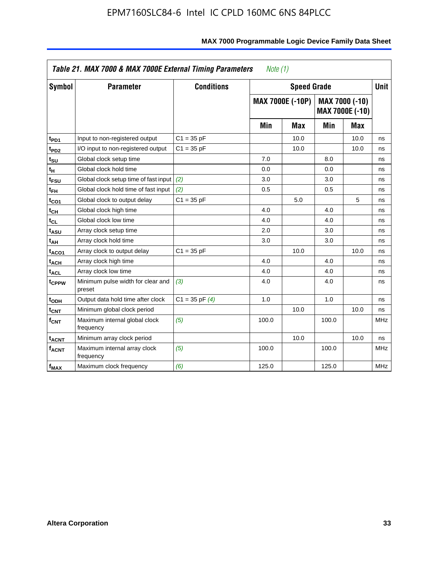|                              | Table 21. MAX 7000 & MAX 7000E External Timing Parameters<br>Note $(1)$ |                    |       |                         |       |                                   |             |  |
|------------------------------|-------------------------------------------------------------------------|--------------------|-------|-------------------------|-------|-----------------------------------|-------------|--|
| Symbol                       | <b>Parameter</b>                                                        | <b>Conditions</b>  |       | <b>Speed Grade</b>      |       |                                   | <b>Unit</b> |  |
|                              |                                                                         |                    |       | <b>MAX 7000E (-10P)</b> |       | MAX 7000 (-10)<br>MAX 7000E (-10) |             |  |
|                              |                                                                         |                    | Min   | Max                     | Min   | Max                               |             |  |
| t <sub>PD1</sub>             | Input to non-registered output                                          | $C1 = 35 pF$       |       | 10.0                    |       | 10.0                              | ns          |  |
| $t_{PD2}$                    | I/O input to non-registered output                                      | $C1 = 35 pF$       |       | 10.0                    |       | 10.0                              | ns          |  |
| t <sub>su</sub>              | Global clock setup time                                                 |                    | 7.0   |                         | 8.0   |                                   | ns          |  |
| tμ                           | Global clock hold time                                                  |                    | 0.0   |                         | 0.0   |                                   | ns          |  |
| $t_{FSU}$                    | Global clock setup time of fast input (2)                               |                    | 3.0   |                         | 3.0   |                                   | ns          |  |
| $t_{FH}$                     | Global clock hold time of fast input                                    | (2)                | 0.5   |                         | 0.5   |                                   | ns          |  |
| t <sub>CO1</sub>             | Global clock to output delay                                            | $C1 = 35 pF$       |       | 5.0                     |       | 5                                 | ns          |  |
| $\mathfrak{t}_{\textsf{CH}}$ | Global clock high time                                                  |                    | 4.0   |                         | 4.0   |                                   | ns          |  |
| t <sub>CL</sub>              | Global clock low time                                                   |                    | 4.0   |                         | 4.0   |                                   | ns          |  |
| t <sub>ASU</sub>             | Array clock setup time                                                  |                    | 2.0   |                         | 3.0   |                                   | ns          |  |
| t <sub>АН</sub>              | Array clock hold time                                                   |                    | 3.0   |                         | 3.0   |                                   | ns          |  |
| t <sub>ACO1</sub>            | Array clock to output delay                                             | $C1 = 35 pF$       |       | 10.0                    |       | 10.0                              | ns          |  |
| t <sub>ACH</sub>             | Array clock high time                                                   |                    | 4.0   |                         | 4.0   |                                   | ns          |  |
| $t_{\sf ACL}$                | Array clock low time                                                    |                    | 4.0   |                         | 4.0   |                                   | ns          |  |
| t <sub>CPPW</sub>            | Minimum pulse width for clear and<br>preset                             | (3)                | 4.0   |                         | 4.0   |                                   | ns          |  |
| t <sub>ODH</sub>             | Output data hold time after clock                                       | $C1 = 35$ pF $(4)$ | 1.0   |                         | 1.0   |                                   | ns          |  |
| $t_{\mathsf{CNT}}$           | Minimum global clock period                                             |                    |       | 10.0                    |       | 10.0                              | ns          |  |
| $f_{\text{CNT}}$             | Maximum internal global clock<br>frequency                              | (5)                | 100.0 |                         | 100.0 |                                   | <b>MHz</b>  |  |
| <b>t<sub>ACNT</sub></b>      | Minimum array clock period                                              |                    |       | 10.0                    |       | 10.0                              | ns          |  |
| <b>f<sub>ACNT</sub></b>      | Maximum internal array clock<br>frequency                               | (5)                | 100.0 |                         | 100.0 |                                   | <b>MHz</b>  |  |
| $f_{MAX}$                    | Maximum clock frequency                                                 | (6)                | 125.0 |                         | 125.0 |                                   | MHz         |  |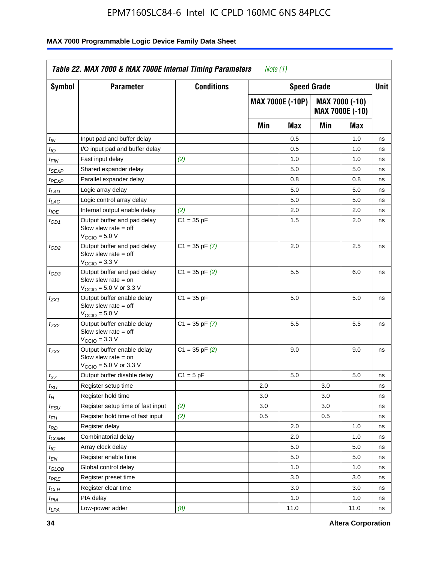| <b>Symbol</b>               | <b>Parameter</b>                                                                                            | <b>Conditions</b>  |     | <b>Speed Grade</b>      |     |                                   | Unit |
|-----------------------------|-------------------------------------------------------------------------------------------------------------|--------------------|-----|-------------------------|-----|-----------------------------------|------|
|                             |                                                                                                             |                    |     | <b>MAX 7000E (-10P)</b> |     | MAX 7000 (-10)<br>MAX 7000E (-10) |      |
|                             |                                                                                                             |                    | Min | Max                     | Min | Max                               |      |
| $t_{IN}$                    | Input pad and buffer delay                                                                                  |                    |     | 0.5                     |     | 1.0                               | ns   |
| $t_{IO}$                    | I/O input pad and buffer delay                                                                              |                    |     | 0.5                     |     | 1.0                               | ns   |
| t <sub>FIN</sub>            | Fast input delay                                                                                            | (2)                |     | 1.0                     |     | 1.0                               | ns   |
| <sup>t</sup> SEXP           | Shared expander delay                                                                                       |                    |     | 5.0                     |     | 5.0                               | ns   |
| t <sub>PEXP</sub>           | Parallel expander delay                                                                                     |                    |     | 0.8                     |     | 0.8                               | ns   |
| $t_{LAD}$                   | Logic array delay                                                                                           |                    |     | 5.0                     |     | 5.0                               | ns   |
| $t_{LAC}$                   | Logic control array delay                                                                                   |                    |     | 5.0                     |     | 5.0                               | ns   |
| $t_{IOE}$                   | Internal output enable delay                                                                                | (2)                |     | 2.0                     |     | 2.0                               | ns   |
| $t_{OD1}$                   | Output buffer and pad delay<br>Slow slew rate $=$ off<br>V <sub>CCIO</sub> = 5.0 V                          | $C1 = 35 pF$       |     | 1.5                     |     | 2.0                               | ns   |
| $t_{OD2}$                   | Output buffer and pad delay<br>Slow slew rate $=$ off<br>$VCCIO = 3.3 V$                                    | $C1 = 35$ pF $(7)$ |     | 2.0                     |     | 2.5                               | ns   |
| $t_{OD3}$                   | Output buffer and pad delay<br>Slow slew rate $=$ on<br>$V_{\text{CCIO}} = 5.0 \text{ V or } 3.3 \text{ V}$ | $C1 = 35$ pF $(2)$ |     | 5.5                     |     | 6.0                               | ns   |
| $t_{ZX1}$                   | Output buffer enable delay<br>Slow slew rate $=$ off<br>$V_{\text{CCIO}} = 5.0 V$                           | $C1 = 35 pF$       |     | 5.0                     |     | 5.0                               | ns   |
| t <sub>ZX2</sub>            | Output buffer enable delay<br>Slow slew rate $=$ off<br>$V_{\text{CCIO}} = 3.3 \text{ V}$                   | $C1 = 35$ pF $(7)$ |     | 5.5                     |     | 5.5                               | ns   |
| t <sub>ZX3</sub>            | Output buffer enable delay<br>Slow slew rate $=$ on<br>$V_{\text{CCIO}} = 5.0 \text{ V or } 3.3 \text{ V}$  | $C1 = 35$ pF $(2)$ |     | 9.0                     |     | 9.0                               | ns   |
| $t_{\mathsf{XZ}}$           | Output buffer disable delay                                                                                 | $C1 = 5$ pF        |     | 5.0                     |     | 5.0                               | ns   |
| $t_{\scriptstyle\text{SU}}$ | Register setup time                                                                                         |                    | 2.0 |                         | 3.0 |                                   | ns   |
| $t_H$                       | Register hold time                                                                                          |                    | 3.0 |                         | 3.0 |                                   | ns   |
| t <sub>FSU</sub>            | Register setup time of fast input                                                                           | (2)                | 3.0 |                         | 3.0 |                                   | ns   |
| $t_{FH}$                    | Register hold time of fast input                                                                            | (2)                | 0.5 |                         | 0.5 |                                   | ns   |
| $t_{RD}$                    | Register delay                                                                                              |                    |     | 2.0                     |     | 1.0                               | ns   |
| $t_{COMB}$                  | Combinatorial delay                                                                                         |                    |     | 2.0                     |     | 1.0                               | ns   |
| $I_{\textrm{IC}}$           | Array clock delay                                                                                           |                    |     | 5.0                     |     | 5.0                               | ns   |
| $t_{EN}$                    | Register enable time                                                                                        |                    |     | 5.0                     |     | 5.0                               | ns   |
| $t_{GLOB}$                  | Global control delay                                                                                        |                    |     | 1.0                     |     | 1.0                               | ns   |
| $t_{PRE}$                   | Register preset time                                                                                        |                    |     | 3.0                     |     | 3.0                               | ns   |
| $t_{CLR}$                   | Register clear time                                                                                         |                    |     | 3.0                     |     | 3.0                               | ns   |
| t <sub>PIA</sub>            | PIA delay                                                                                                   |                    |     | 1.0                     |     | 1.0                               | ns   |
| $t_{LPA}$                   | Low-power adder                                                                                             | (8)                |     | 11.0                    |     | 11.0                              | ns   |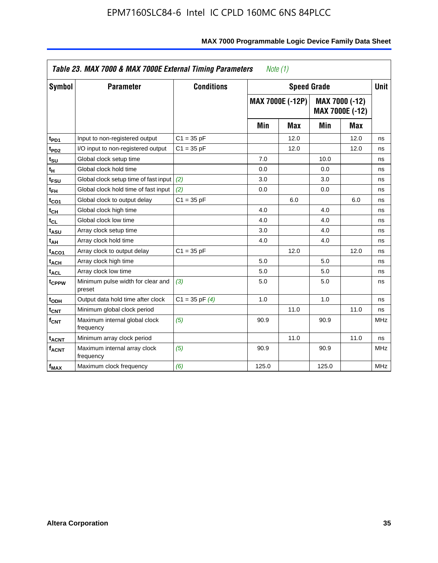| <b>Symbol</b>                | <b>Parameter</b>                            | <b>Conditions</b>  |       | <b>Speed Grade</b>      |       |                                   | <b>Unit</b> |
|------------------------------|---------------------------------------------|--------------------|-------|-------------------------|-------|-----------------------------------|-------------|
|                              |                                             |                    |       | <b>MAX 7000E (-12P)</b> |       | MAX 7000 (-12)<br>MAX 7000E (-12) |             |
|                              |                                             |                    | Min   | <b>Max</b>              | Min   | <b>Max</b>                        |             |
| t <sub>PD1</sub>             | Input to non-registered output              | $C1 = 35 pF$       |       | 12.0                    |       | 12.0                              | ns          |
| t <sub>PD2</sub>             | I/O input to non-registered output          | $C1 = 35 pF$       |       | 12.0                    |       | 12.0                              | ns          |
| t <sub>su</sub>              | Global clock setup time                     |                    | 7.0   |                         | 10.0  |                                   | ns          |
| tμ                           | Global clock hold time                      |                    | 0.0   |                         | 0.0   |                                   | ns          |
| t <sub>FSU</sub>             | Global clock setup time of fast input       | (2)                | 3.0   |                         | 3.0   |                                   | ns          |
| t <sub>FH</sub>              | Global clock hold time of fast input        | (2)                | 0.0   |                         | 0.0   |                                   | ns          |
| t <sub>CO1</sub>             | Global clock to output delay                | $C1 = 35 pF$       |       | 6.0                     |       | 6.0                               | ns          |
| t <sub>СН</sub>              | Global clock high time                      |                    | 4.0   |                         | 4.0   |                                   | ns          |
| $\mathfrak{t}_{\texttt{CL}}$ | Global clock low time                       |                    | 4.0   |                         | 4.0   |                                   | ns          |
| t <sub>ASU</sub>             | Array clock setup time                      |                    | 3.0   |                         | 4.0   |                                   | ns          |
| t <sub>АН</sub>              | Array clock hold time                       |                    | 4.0   |                         | 4.0   |                                   | ns          |
| t <sub>ACO1</sub>            | Array clock to output delay                 | $C1 = 35 pF$       |       | 12.0                    |       | 12.0                              | ns          |
| t <sub>ACH</sub>             | Array clock high time                       |                    | 5.0   |                         | 5.0   |                                   | ns          |
| $t_{\sf ACL}$                | Array clock low time                        |                    | 5.0   |                         | 5.0   |                                   | ns          |
| t <sub>CPPW</sub>            | Minimum pulse width for clear and<br>preset | (3)                | 5.0   |                         | 5.0   |                                   | ns          |
| t <sub>ODH</sub>             | Output data hold time after clock           | $C1 = 35$ pF $(4)$ | 1.0   |                         | 1.0   |                                   | ns          |
| $t_{\mathsf{CNT}}$           | Minimum global clock period                 |                    |       | 11.0                    |       | 11.0                              | ns          |
| $f_{\mathsf{CNT}}$           | Maximum internal global clock<br>frequency  | (5)                | 90.9  |                         | 90.9  |                                   | <b>MHz</b>  |
| <b>t<sub>ACNT</sub></b>      | Minimum array clock period                  |                    |       | 11.0                    |       | 11.0                              | ns          |
| f <sub>ACNT</sub>            | Maximum internal array clock<br>frequency   | (5)                | 90.9  |                         | 90.9  |                                   | <b>MHz</b>  |
| $f_{MAX}$                    | Maximum clock frequency                     | (6)                | 125.0 |                         | 125.0 |                                   | MHz         |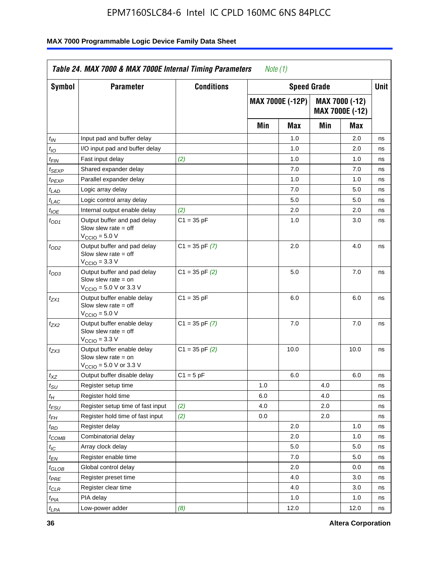| <b>Symbol</b>               | <b>Parameter</b>                                                                                           | <b>Conditions</b>  |     | <b>Speed Grade</b>      |     |                                   | <b>Unit</b> |
|-----------------------------|------------------------------------------------------------------------------------------------------------|--------------------|-----|-------------------------|-----|-----------------------------------|-------------|
|                             |                                                                                                            |                    |     | <b>MAX 7000E (-12P)</b> |     | MAX 7000 (-12)<br>MAX 7000E (-12) |             |
|                             |                                                                                                            |                    | Min | Max                     | Min | Max                               |             |
| t <sub>IN</sub>             | Input pad and buffer delay                                                                                 |                    |     | 1.0                     |     | 2.0                               | ns          |
| $t_{IO}$                    | I/O input pad and buffer delay                                                                             |                    |     | 1.0                     |     | 2.0                               | ns          |
| $t_{\sf FIN}$               | Fast input delay                                                                                           | (2)                |     | 1.0                     |     | 1.0                               | ns          |
| t <sub>SEXP</sub>           | Shared expander delay                                                                                      |                    |     | 7.0                     |     | 7.0                               | ns          |
| $t_{PEXP}$                  | Parallel expander delay                                                                                    |                    |     | 1.0                     |     | 1.0                               | ns          |
| t <sub>LAD</sub>            | Logic array delay                                                                                          |                    |     | 7.0                     |     | 5.0                               | ns          |
| $t_{LAC}$                   | Logic control array delay                                                                                  |                    |     | 5.0                     |     | 5.0                               | ns          |
| $t_{IOE}$                   | Internal output enable delay                                                                               | (2)                |     | 2.0                     |     | 2.0                               | ns          |
| $t_{OD1}$                   | Output buffer and pad delay<br>Slow slew rate $=$ off<br>$V_{\text{CCIO}} = 5.0 V$                         | $C1 = 35 pF$       |     | 1.0                     |     | 3.0                               | ns          |
| $t_{OD2}$                   | Output buffer and pad delay<br>Slow slew rate $=$ off<br>$VCCIO = 3.3 V$                                   | $C1 = 35$ pF $(7)$ |     | 2.0                     |     | 4.0                               | ns          |
| $t_{OD3}$                   | Output buffer and pad delay<br>Slow slew rate = on<br>$V_{\text{CCIO}} = 5.0 \text{ V or } 3.3 \text{ V}$  | $C1 = 35$ pF $(2)$ |     | 5.0                     |     | 7.0                               | ns          |
| $t_{ZX1}$                   | Output buffer enable delay<br>Slow slew rate $=$ off<br>$V_{\text{CCIO}} = 5.0 V$                          | $C1 = 35 pF$       |     | 6.0                     |     | 6.0                               | ns          |
| t <sub>ZX2</sub>            | Output buffer enable delay<br>Slow slew rate $=$ off<br>$V_{\text{CCIO}} = 3.3 \text{ V}$                  | $C1 = 35$ pF $(7)$ |     | 7.0                     |     | 7.0                               | ns          |
| $t_{ZX3}$                   | Output buffer enable delay<br>Slow slew rate $=$ on<br>$V_{\text{CCIO}} = 5.0 \text{ V or } 3.3 \text{ V}$ | $C1 = 35$ pF $(2)$ |     | 10.0                    |     | 10.0                              | ns          |
| $t_{XZ}$                    | Output buffer disable delay                                                                                | $C1 = 5 pF$        |     | 6.0                     |     | 6.0                               | ns          |
| $t_{\scriptstyle\text{SU}}$ | Register setup time                                                                                        |                    | 1.0 |                         | 4.0 |                                   | ns          |
| $t_H$                       | Register hold time                                                                                         |                    | 6.0 |                         | 4.0 |                                   | ns          |
| $t_{\mathit{FSU}}$          | Register setup time of fast input                                                                          | (2)                | 4.0 |                         | 2.0 |                                   | ns          |
| t <sub>FH</sub>             | Register hold time of fast input                                                                           | (2)                | 0.0 |                         | 2.0 |                                   | ns          |
| $t_{RD}$                    | Register delay                                                                                             |                    |     | 2.0                     |     | 1.0                               | ns          |
| $t_{COMB}$                  | Combinatorial delay                                                                                        |                    |     | 2.0                     |     | 1.0                               | ns          |
| ЧC                          | Array clock delay                                                                                          |                    |     | $5.0\,$                 |     | 5.0                               | 115         |
| $t_{EN}$                    | Register enable time                                                                                       |                    |     | 7.0                     |     | 5.0                               | ns          |
| $t_{GLOB}$                  | Global control delay                                                                                       |                    |     | 2.0                     |     | 0.0                               | ns          |
| t <sub>PRE</sub>            | Register preset time                                                                                       |                    |     | 4.0                     |     | 3.0                               | ns          |
| $t_{CLR}$                   | Register clear time                                                                                        |                    |     | 4.0                     |     | 3.0                               | ns          |
| t <sub>PIA</sub>            | PIA delay                                                                                                  |                    |     | 1.0                     |     | 1.0                               | ns          |
| $t_{LPA}$                   | Low-power adder                                                                                            | (8)                |     | 12.0                    |     | 12.0                              | ns          |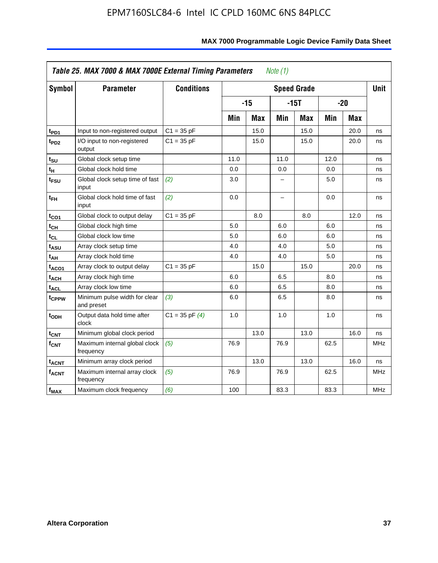| <b>Symbol</b>           | <b>Parameter</b>                            | <b>Conditions</b>  |      |            |                          | <b>Speed Grade</b> |      |            | <b>Unit</b> |
|-------------------------|---------------------------------------------|--------------------|------|------------|--------------------------|--------------------|------|------------|-------------|
|                         |                                             |                    |      | $-15$      |                          | $-15T$             |      | $-20$      |             |
|                         |                                             |                    | Min  | <b>Max</b> | Min                      | <b>Max</b>         | Min  | <b>Max</b> |             |
| t <sub>PD1</sub>        | Input to non-registered output              | $C1 = 35 pF$       |      | 15.0       |                          | 15.0               |      | 20.0       | ns          |
| t <sub>PD2</sub>        | I/O input to non-registered<br>output       | $C1 = 35 pF$       |      | 15.0       |                          | 15.0               |      | 20.0       | ns          |
| tsu                     | Global clock setup time                     |                    | 11.0 |            | 11.0                     |                    | 12.0 |            | ns          |
| $t_H$                   | Global clock hold time                      |                    | 0.0  |            | 0.0                      |                    | 0.0  |            | ns          |
| t <sub>FSU</sub>        | Global clock setup time of fast<br>input    | (2)                | 3.0  |            | -                        |                    | 5.0  |            | ns          |
| $t_{FH}$                | Global clock hold time of fast<br>input     | (2)                | 0.0  |            | $\overline{\phantom{0}}$ |                    | 0.0  |            | ns          |
| $t_{CO1}$               | Global clock to output delay                | $C1 = 35 pF$       |      | 8.0        |                          | 8.0                |      | 12.0       | ns          |
| $t_{\mathsf{CH}}$       | Global clock high time                      |                    | 5.0  |            | 6.0                      |                    | 6.0  |            | ns          |
| t <sub>CL</sub>         | Global clock low time                       |                    | 5.0  |            | 6.0                      |                    | 6.0  |            | ns          |
| t <sub>ASU</sub>        | Array clock setup time                      |                    | 4.0  |            | 4.0                      |                    | 5.0  |            | ns          |
| t <sub>АН</sub>         | Array clock hold time                       |                    | 4.0  |            | 4.0                      |                    | 5.0  |            | ns          |
| t <sub>ACO1</sub>       | Array clock to output delay                 | $C1 = 35 pF$       |      | 15.0       |                          | 15.0               |      | 20.0       | ns          |
| $t_{\sf ACH}$           | Array clock high time                       |                    | 6.0  |            | 6.5                      |                    | 8.0  |            | ns          |
| t <sub>ACL</sub>        | Array clock low time                        |                    | 6.0  |            | 6.5                      |                    | 8.0  |            | ns          |
| t <sub>CPPW</sub>       | Minimum pulse width for clear<br>and preset | (3)                | 6.0  |            | 6.5                      |                    | 8.0  |            | ns          |
| $t_{ODH}$               | Output data hold time after<br>clock        | $C1 = 35$ pF $(4)$ | 1.0  |            | 1.0                      |                    | 1.0  |            | ns          |
| $t_{\mathsf{CNT}}$      | Minimum global clock period                 |                    |      | 13.0       |                          | 13.0               |      | 16.0       | ns          |
| f <sub>CNT</sub>        | Maximum internal global clock<br>frequency  | (5)                | 76.9 |            | 76.9                     |                    | 62.5 |            | <b>MHz</b>  |
| <b>t<sub>ACNT</sub></b> | Minimum array clock period                  |                    |      | 13.0       |                          | 13.0               |      | 16.0       | ns          |
| <b>fACNT</b>            | Maximum internal array clock<br>frequency   | (5)                | 76.9 |            | 76.9                     |                    | 62.5 |            | <b>MHz</b>  |
| $f_{MAX}$               | Maximum clock frequency                     | (6)                | 100  |            | 83.3                     |                    | 83.3 |            | MHz         |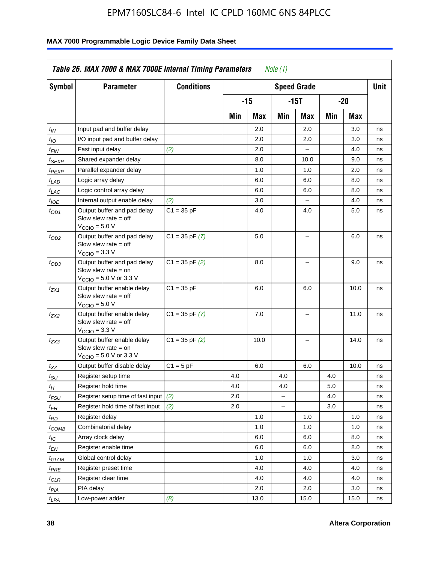| Symbol                        | <b>Parameter</b>                                                                                            | <b>Conditions</b>  |     |       |     | <b>Speed Grade</b>       |     |      | Unit |
|-------------------------------|-------------------------------------------------------------------------------------------------------------|--------------------|-----|-------|-----|--------------------------|-----|------|------|
|                               |                                                                                                             |                    |     | $-15$ |     | -15T                     |     | -20  |      |
|                               |                                                                                                             |                    | Min | Max   | Min | Max                      | Min | Max  |      |
| $t_{IN}$                      | Input pad and buffer delay                                                                                  |                    |     | 2.0   |     | 2.0                      |     | 3.0  | ns   |
| $t_{IO}$                      | I/O input pad and buffer delay                                                                              |                    |     | 2.0   |     | 2.0                      |     | 3.0  | ns   |
| $t_{\sf FIN}$                 | Fast input delay                                                                                            | (2)                |     | 2.0   |     | $\qquad \qquad -$        |     | 4.0  | ns   |
| t <sub>SEXP</sub>             | Shared expander delay                                                                                       |                    |     | 8.0   |     | 10.0                     |     | 9.0  | ns   |
| $t_{PEXP}$                    | Parallel expander delay                                                                                     |                    |     | 1.0   |     | 1.0                      |     | 2.0  | ns   |
| $t_{LAD}$                     | Logic array delay                                                                                           |                    |     | 6.0   |     | 6.0                      |     | 8.0  | ns   |
| $t_{LAC}$                     | Logic control array delay                                                                                   |                    |     | 6.0   |     | 6.0                      |     | 8.0  | ns   |
| $t_{IOE}$                     | Internal output enable delay                                                                                | (2)                |     | 3.0   |     | $\equiv$                 |     | 4.0  | ns   |
| $t_{OD1}$                     | Output buffer and pad delay<br>Slow slew rate $=$ off<br>$V_{\text{CCIO}} = 5.0 V$                          | $C1 = 35 pF$       |     | 4.0   |     | 4.0                      |     | 5.0  | ns   |
| $t_{OD2}$                     | Output buffer and pad delay<br>Slow slew rate $=$ off<br>$VCCIO = 3.3 V$                                    | $C1 = 35$ pF $(7)$ |     | 5.0   |     |                          |     | 6.0  | ns   |
| $t_{OD3}$                     | Output buffer and pad delay<br>Slow slew rate $=$ on<br>$V_{\text{CCIO}} = 5.0 \text{ V or } 3.3 \text{ V}$ | $C1 = 35$ pF $(2)$ |     | 8.0   |     |                          |     | 9.0  | ns   |
| $t_{ZX1}$                     | Output buffer enable delay<br>Slow slew rate $=$ off<br>$V_{\text{CCIO}} = 5.0 V$                           | $C1 = 35 pF$       |     | 6.0   |     | 6.0                      |     | 10.0 | ns   |
| t <sub>ZX2</sub>              | Output buffer enable delay<br>Slow slew rate $=$ off<br>$V_{\text{CCIO}} = 3.3 V$                           | $C1 = 35$ pF $(7)$ |     | 7.0   |     | $\overline{\phantom{0}}$ |     | 11.0 | ns   |
| t <sub>ZX3</sub>              | Output buffer enable delay<br>Slow slew rate $=$ on<br>$V_{\text{CCIO}} = 5.0 \text{ V or } 3.3 \text{ V}$  | $C1 = 35$ pF $(2)$ |     | 10.0  |     | $\overline{\phantom{0}}$ |     | 14.0 | ns   |
| $t_{\mathsf{XZ}}$             | Output buffer disable delay                                                                                 | $C1 = 5pF$         |     | 6.0   |     | 6.0                      |     | 10.0 | ns   |
| $t_{\scriptstyle\text{SU}}$   | Register setup time                                                                                         |                    | 4.0 |       | 4.0 |                          | 4.0 |      | ns   |
| tμ                            | Register hold time                                                                                          |                    | 4.0 |       | 4.0 |                          | 5.0 |      | ns   |
| t <sub>FSU</sub>              | Register setup time of fast input                                                                           | (2)                | 2.0 |       |     |                          | 4.0 |      | ns   |
| t <sub>FH</sub>               | Register hold time of fast input                                                                            | (2)                | 2.0 |       |     |                          | 3.0 |      | ns   |
| t <sub>RD</sub>               | Register delay                                                                                              |                    |     | 1.0   |     | 1.0                      |     | 1.0  | ns   |
| $t_{\mathsf{COMB}}$           | Combinatorial delay                                                                                         |                    |     | 1.0   |     | 1.0                      |     | 1.0  | ns   |
| $t_{IC}$                      | Array clock delay                                                                                           |                    |     | 6.0   |     | 6.0                      |     | 8.0  | ns   |
| $t_{EN}$                      | Register enable time                                                                                        |                    |     | 6.0   |     | 6.0                      |     | 8.0  | ns   |
| $t_{\scriptstyle\text{GLOB}}$ | Global control delay                                                                                        |                    |     | 1.0   |     | 1.0                      |     | 3.0  | ns   |
| $t_{PRE}$                     | Register preset time                                                                                        |                    |     | 4.0   |     | 4.0                      |     | 4.0  | ns   |
| $t_{\sf CLR}$                 | Register clear time                                                                                         |                    |     | 4.0   |     | 4.0                      |     | 4.0  | ns   |
| $t_{PIA}$                     | PIA delay                                                                                                   |                    |     | 2.0   |     | 2.0                      |     | 3.0  | ns   |
| $t_{LPA}$                     | Low-power adder                                                                                             | (8)                |     | 13.0  |     | 15.0                     |     | 15.0 | ns   |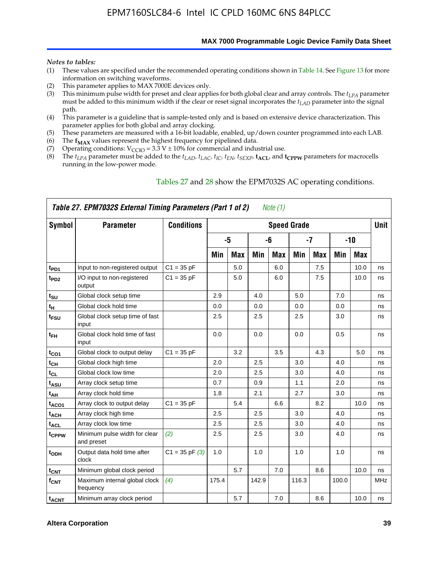**MAX 7000 Programmable Logic Device Family Data Sheet**

#### *Notes to tables:*

- (1) These values are specified under the recommended operating conditions shown in Table 14. See Figure 13 for more information on switching waveforms.
- (2) This parameter applies to MAX 7000E devices only.
- (3) This minimum pulse width for preset and clear applies for both global clear and array controls. The *tLPA* parameter must be added to this minimum width if the clear or reset signal incorporates the  $t_{LAD}$  parameter into the signal path.
- (4) This parameter is a guideline that is sample-tested only and is based on extensive device characterization. This parameter applies for both global and array clocking.
- (5) These parameters are measured with a 16-bit loadable, enabled, up/down counter programmed into each LAB.
- (6) The  $f_{MAX}$  values represent the highest frequency for pipelined data.
- (7) Operating conditions:  $V_{\text{CCIO}} = 3.3 \text{ V} \pm 10\%$  for commercial and industrial use.
- (8) The  $t_{LPA}$  parameter must be added to the  $t_{LAD}$ ,  $t_{LAC}$ ,  $t_{IC}$ ,  $t_{EN}$ ,  $t_{SEXP}$ ,  $t_{ACL}$ , and  $t_{CPPW}$  parameters for macrocells running in the low-power mode.

|                          | Table 27. EPM7032S External Timing Parameters (Part 1 of 2) |                    |       |            |       | Note (1)   |                    |            |       |            |             |
|--------------------------|-------------------------------------------------------------|--------------------|-------|------------|-------|------------|--------------------|------------|-------|------------|-------------|
| Symbol                   | <b>Parameter</b>                                            | <b>Conditions</b>  |       |            |       |            | <b>Speed Grade</b> |            |       |            | <b>Unit</b> |
|                          |                                                             |                    |       | -5         |       | -6         |                    | $-7$       |       | $-10$      |             |
|                          |                                                             |                    | Min   | <b>Max</b> | Min   | <b>Max</b> | Min                | <b>Max</b> | Min   | <b>Max</b> |             |
| t <sub>PD1</sub>         | Input to non-registered output                              | $C1 = 35 pF$       |       | 5.0        |       | 6.0        |                    | 7.5        |       | 10.0       | ns          |
| $t_{PD2}$                | I/O input to non-registered<br>output                       | $C1 = 35 pF$       |       | 5.0        |       | 6.0        |                    | 7.5        |       | 10.0       | ns          |
| tsu                      | Global clock setup time                                     |                    | 2.9   |            | 4.0   |            | 5.0                |            | 7.0   |            | ns          |
| t <sub>Η</sub>           | Global clock hold time                                      |                    | 0.0   |            | 0.0   |            | 0.0                |            | 0.0   |            | ns          |
| t <sub>FSU</sub>         | Global clock setup time of fast<br>input                    |                    | 2.5   |            | 2.5   |            | 2.5                |            | 3.0   |            | ns          |
| $t_{FH}$                 | Global clock hold time of fast<br>input                     |                    | 0.0   |            | 0.0   |            | 0.0                |            | 0.5   |            | ns          |
| $t_{CO1}$                | Global clock to output delay                                | $C1 = 35 pF$       |       | 3.2        |       | 3.5        |                    | 4.3        |       | 5.0        | ns          |
| $t_{\mathsf{CH}}$        | Global clock high time                                      |                    | 2.0   |            | 2.5   |            | 3.0                |            | 4.0   |            | ns          |
| $t_{CL}$                 | Global clock low time                                       |                    | 2.0   |            | 2.5   |            | 3.0                |            | 4.0   |            | ns          |
| t <sub>ASU</sub>         | Array clock setup time                                      |                    | 0.7   |            | 0.9   |            | 1.1                |            | 2.0   |            | ns          |
| t <sub>АН</sub>          | Array clock hold time                                       |                    | 1.8   |            | 2.1   |            | 2.7                |            | 3.0   |            | ns          |
| t <sub>ACO1</sub>        | Array clock to output delay                                 | $C1 = 35 pF$       |       | 5.4        |       | 6.6        |                    | 8.2        |       | 10.0       | ns          |
| t <sub>ACH</sub>         | Array clock high time                                       |                    | 2.5   |            | 2.5   |            | 3.0                |            | 4.0   |            | ns          |
| $\mathfrak{t}_{\sf ACL}$ | Array clock low time                                        |                    | 2.5   |            | 2.5   |            | 3.0                |            | 4.0   |            | ns          |
| tcppw                    | Minimum pulse width for clear<br>and preset                 | (2)                | 2.5   |            | 2.5   |            | 3.0                |            | 4.0   |            | ns          |
| t <sub>ODH</sub>         | Output data hold time after<br>clock                        | $C1 = 35$ pF $(3)$ | 1.0   |            | 1.0   |            | 1.0                |            | 1.0   |            | ns          |
| $t_{\text{CNT}}$         | Minimum global clock period                                 |                    |       | 5.7        |       | 7.0        |                    | 8.6        |       | 10.0       | ns          |
| $f_{\mathsf{CNT}}$       | Maximum internal global clock<br>frequency                  | (4)                | 175.4 |            | 142.9 |            | 116.3              |            | 100.0 |            | <b>MHz</b>  |
| <b>t<sub>ACNT</sub></b>  | Minimum array clock period                                  |                    |       | 5.7        |       | 7.0        |                    | 8.6        |       | 10.0       | ns          |

#### Tables 27 and 28 show the EPM7032S AC operating conditions.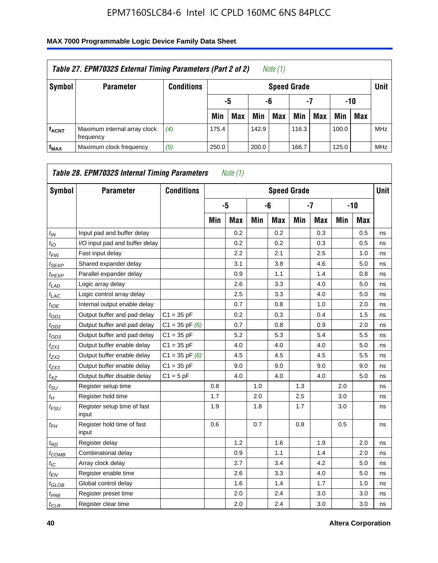| Table 27. EPM7032S External Timing Parameters (Part 2 of 2)<br>Note (1) |                                           |                   |       |                       |       |                    |       |     |       |            |            |  |  |
|-------------------------------------------------------------------------|-------------------------------------------|-------------------|-------|-----------------------|-------|--------------------|-------|-----|-------|------------|------------|--|--|
| Symbol                                                                  | <b>Parameter</b>                          | <b>Conditions</b> |       |                       |       | <b>Speed Grade</b> |       |     |       |            | Unit       |  |  |
|                                                                         |                                           |                   |       | -7<br>-10<br>-6<br>-5 |       |                    |       |     |       |            |            |  |  |
|                                                                         |                                           |                   | Min   | <b>Max</b>            | Min   | <b>Max</b>         | Min   | Max | Min   | <b>Max</b> |            |  |  |
| <b>fACNT</b>                                                            | Maximum internal array clock<br>frequency | (4)               | 175.4 |                       | 142.9 |                    | 116.3 |     | 100.0 |            | <b>MHz</b> |  |  |
| f <sub>MAX</sub>                                                        | Maximum clock frequency                   | (5)               | 250.0 |                       | 200.0 |                    | 166.7 |     | 125.0 |            | <b>MHz</b> |  |  |

| Symbol                        | <b>Parameter</b>                     | <b>Conditions</b>  |     |            |     | <b>Speed Grade</b> |     |            |     |            | <b>Unit</b> |
|-------------------------------|--------------------------------------|--------------------|-----|------------|-----|--------------------|-----|------------|-----|------------|-------------|
|                               |                                      |                    |     | -5         |     | -6                 |     | $-7$       |     | -10        |             |
|                               |                                      |                    | Min | <b>Max</b> | Min | <b>Max</b>         | Min | <b>Max</b> | Min | <b>Max</b> |             |
| $t_{IN}$                      | Input pad and buffer delay           |                    |     | 0.2        |     | 0.2                |     | 0.3        |     | 0.5        | ns          |
| $t_{IO}$                      | I/O input pad and buffer delay       |                    |     | 0.2        |     | 0.2                |     | 0.3        |     | 0.5        | ns          |
| $t_{\textit{FIN}}$            | Fast input delay                     |                    |     | 2.2        |     | 2.1                |     | 2.5        |     | 1.0        | ns          |
| $t_{SEXP}$                    | Shared expander delay                |                    |     | 3.1        |     | 3.8                |     | 4.6        |     | 5.0        | ns          |
| <sup>t</sup> PEXP             | Parallel expander delay              |                    |     | 0.9        |     | 1.1                |     | 1.4        |     | 0.8        | ns          |
| $t_{LAD}$                     | Logic array delay                    |                    |     | 2.6        |     | 3.3                |     | 4.0        |     | 5.0        | ns          |
| $t_{LAC}$                     | Logic control array delay            |                    |     | 2.5        |     | 3.3                |     | 4.0        |     | 5.0        | ns          |
| $t_{IOE}$                     | Internal output enable delay         |                    |     | 0.7        |     | 0.8                |     | 1.0        |     | 2.0        | ns          |
| $t_{OD1}$                     | Output buffer and pad delay          | $C1 = 35 pF$       |     | 0.2        |     | 0.3                |     | 0.4        |     | 1.5        | ns          |
| $t_{OD2}$                     | Output buffer and pad delay          | $C1 = 35$ pF $(6)$ |     | 0.7        |     | 0.8                |     | 0.9        |     | 2.0        | ns          |
| $t_{OD3}$                     | Output buffer and pad delay          | $C1 = 35 pF$       |     | 5.2        |     | 5.3                |     | 5.4        |     | 5.5        | ns          |
| $t_{ZX1}$                     | Output buffer enable delay           | $C1 = 35 pF$       |     | 4.0        |     | 4.0                |     | 4.0        |     | 5.0        | ns          |
| tzx2                          | Output buffer enable delay           | $C1 = 35$ pF $(6)$ |     | 4.5        |     | 4.5                |     | 4.5        |     | 5.5        | ns          |
| $t_{ZX3}$                     | Output buffer enable delay           | $C1 = 35 pF$       |     | 9.0        |     | 9.0                |     | 9.0        |     | 9.0        | ns          |
| $t_{XZ}$                      | Output buffer disable delay          | $C1 = 5pF$         |     | 4.0        |     | 4.0                |     | 4.0        |     | 5.0        | ns          |
| $t_{\text{SU}}$               | Register setup time                  |                    | 0.8 |            | 1.0 |                    | 1.3 |            | 2.0 |            | ns          |
| $t_H$                         | Register hold time                   |                    | 1.7 |            | 2.0 |                    | 2.5 |            | 3.0 |            | ns          |
| $t_{\mathit{FSU}}$            | Register setup time of fast<br>input |                    | 1.9 |            | 1.8 |                    | 1.7 |            | 3.0 |            | ns          |
| t <sub>FН</sub>               | Register hold time of fast<br>input  |                    | 0.6 |            | 0.7 |                    | 0.8 |            | 0.5 |            | ns          |
| $t_{RD}$                      | Register delay                       |                    |     | 1.2        |     | 1.6                |     | 1.9        |     | 2.0        | ns          |
| $t_{COMB}$                    | Combinatorial delay                  |                    |     | 0.9        |     | 1.1                |     | 1.4        |     | 2.0        | ns          |
| $t_{IC}$                      | Array clock delay                    |                    |     | 2.7        |     | 3.4                |     | 4.2        |     | 5.0        | ns          |
| $t_{EN}$                      | Register enable time                 |                    |     | 2.6        |     | 3.3                |     | 4.0        |     | 5.0        | ns          |
| $t_{\scriptstyle\text{GLOB}}$ | Global control delay                 |                    |     | 1.6        |     | 1.4                |     | 1.7        |     | 1.0        | ns          |
| $t_{PRE}$                     | Register preset time                 |                    |     | 2.0        |     | 2.4                |     | 3.0        |     | 3.0        | ns          |
| $t_{CLR}$                     | Register clear time                  |                    |     | 2.0        |     | 2.4                |     | 3.0        |     | 3.0        | ns          |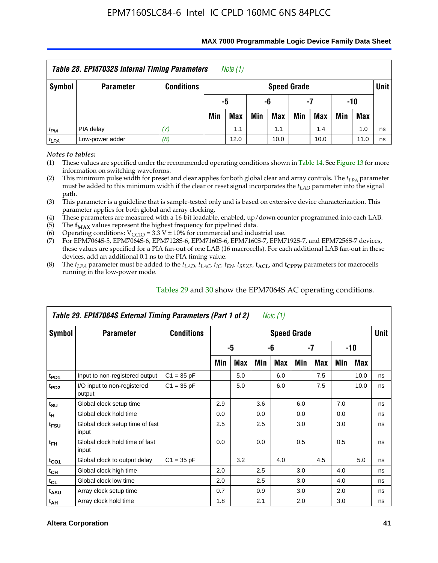| Table 28. EPM7032S Internal Timing Parameters<br>Note (1)                 |                  |                   |                       |            |     |                    |     |            |     |            |        |  |
|---------------------------------------------------------------------------|------------------|-------------------|-----------------------|------------|-----|--------------------|-----|------------|-----|------------|--------|--|
| Symbol                                                                    | <b>Parameter</b> | <b>Conditions</b> |                       |            |     | <b>Speed Grade</b> |     |            |     |            | Unit I |  |
|                                                                           |                  |                   | -10<br>-5<br>-6<br>-7 |            |     |                    |     |            |     |            |        |  |
|                                                                           |                  |                   | Min                   | <b>Max</b> | Min | Max                | Min | <b>Max</b> | Min | <b>Max</b> |        |  |
| $t_{PIA}$                                                                 | PIA delay        | 17.               |                       | 1.1        |     | 1.1                |     | 1.4        |     | 1.0        | ns     |  |
| Low-power adder<br>(8)<br>$t_{LPA}$<br>12.0<br>10.0<br>10.0<br>11.0<br>ns |                  |                   |                       |            |     |                    |     |            |     |            |        |  |

#### **MAX 7000 Programmable Logic Device Family Data Sheet**

*Notes to tables:*

(1) These values are specified under the recommended operating conditions shown in Table 14. See Figure 13 for more information on switching waveforms.

(2) This minimum pulse width for preset and clear applies for both global clear and array controls. The  $t_{LPA}$  parameter must be added to this minimum width if the clear or reset signal incorporates the *tLAD* parameter into the signal path.

(3) This parameter is a guideline that is sample-tested only and is based on extensive device characterization. This parameter applies for both global and array clocking.

(4) These parameters are measured with a 16-bit loadable, enabled, up/down counter programmed into each LAB.

(5) The  $f_{MAX}$  values represent the highest frequency for pipelined data.

(6) Operating conditions:  $V_{\text{CCIO}} = 3.3 \text{ V} \pm 10\%$  for commercial and industrial use.

(7) For EPM7064S-5, EPM7064S-6, EPM7128S-6, EPM7160S-6, EPM7160S-7, EPM7192S-7, and EPM7256S-7 devices, these values are specified for a PIA fan-out of one LAB (16 macrocells). For each additional LAB fan-out in these devices, add an additional 0.1 ns to the PIA timing value.

(8) The  $t_{LPA}$  parameter must be added to the  $t_{LAD}$ ,  $t_{LAC}$ ,  $t_{IC}$ ,  $t_{EN}$ ,  $t_{SEXP}$ ,  $t_{ACL}$ , and  $t_{CPPW}$  parameters for macrocells running in the low-power mode.

|                  | Table 29. EPM7064S External Timing Parameters (Part 1 of 2) |                   |     |     |     | Note (1)           |     |     |     |      |      |
|------------------|-------------------------------------------------------------|-------------------|-----|-----|-----|--------------------|-----|-----|-----|------|------|
| Symbol           | <b>Parameter</b>                                            | <b>Conditions</b> |     |     |     | <b>Speed Grade</b> |     |     |     |      | Unit |
|                  |                                                             |                   |     | -5  |     | -6                 |     | -7  |     | -10  |      |
|                  |                                                             |                   | Min | Max | Min | Max                | Min | Max | Min | Max  |      |
| t <sub>PD1</sub> | Input to non-registered output                              | $C1 = 35 pF$      |     | 5.0 |     | 6.0                |     | 7.5 |     | 10.0 | ns   |
| t <sub>PD2</sub> | I/O input to non-registered<br>output                       | $C1 = 35 pF$      |     | 5.0 |     | 6.0                |     | 7.5 |     | 10.0 | ns   |
| $t_{\text{SU}}$  | Global clock setup time                                     |                   | 2.9 |     | 3.6 |                    | 6.0 |     | 7.0 |      | ns   |
| $t_H$            | Global clock hold time                                      |                   | 0.0 |     | 0.0 |                    | 0.0 |     | 0.0 |      | ns   |
| t <sub>FSU</sub> | Global clock setup time of fast<br>input                    |                   | 2.5 |     | 2.5 |                    | 3.0 |     | 3.0 |      | ns   |
| $t_{FH}$         | Global clock hold time of fast<br>input                     |                   | 0.0 |     | 0.0 |                    | 0.5 |     | 0.5 |      | ns   |
| $t_{CO1}$        | Global clock to output delay                                | $C1 = 35 pF$      |     | 3.2 |     | 4.0                |     | 4.5 |     | 5.0  | ns   |
| $t_{CH}$         | Global clock high time                                      |                   | 2.0 |     | 2.5 |                    | 3.0 |     | 4.0 |      | ns   |
| $t_{CL}$         | Global clock low time                                       |                   | 2.0 |     | 2.5 |                    | 3.0 |     | 4.0 |      | ns   |
| $t_{ASU}$        | Array clock setup time                                      |                   | 0.7 |     | 0.9 |                    | 3.0 |     | 2.0 |      | ns   |
| $t_{AH}$         | Array clock hold time                                       |                   | 1.8 |     | 2.1 |                    | 2.0 |     | 3.0 |      | ns   |

Tables 29 and 30 show the EPM7064S AC operating conditions.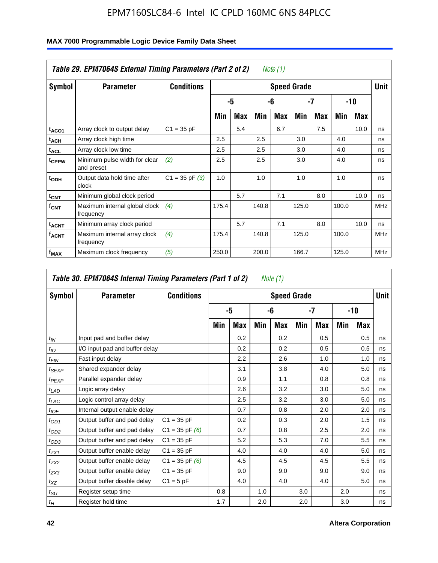| Symbol                  | <b>Parameter</b>                            | <b>Conditions</b>  |       |            |       |     | <b>Speed Grade</b> |     |       |      | Unit |
|-------------------------|---------------------------------------------|--------------------|-------|------------|-------|-----|--------------------|-----|-------|------|------|
|                         |                                             |                    |       | -5         |       | -6  |                    | -7  |       | -10  |      |
|                         |                                             |                    | Min   | <b>Max</b> | Min   | Max | Min                | Max | Min   | Max  |      |
| t <sub>ACO1</sub>       | Array clock to output delay                 | $C1 = 35 pF$       |       | 5.4        |       | 6.7 |                    | 7.5 |       | 10.0 | ns   |
| $t_{ACH}$               | Array clock high time                       |                    | 2.5   |            | 2.5   |     | 3.0                |     | 4.0   |      | ns   |
| <sup>t</sup> ACL        | Array clock low time                        |                    | 2.5   |            | 2.5   |     | 3.0                |     | 4.0   |      | ns   |
| t <sub>CPPW</sub>       | Minimum pulse width for clear<br>and preset | (2)                | 2.5   |            | 2.5   |     | 3.0                |     | 4.0   |      | ns   |
| t <sub>ODH</sub>        | Output data hold time after<br>clock        | $C1 = 35$ pF $(3)$ | 1.0   |            | 1.0   |     | 1.0                |     | 1.0   |      | ns   |
| $t_{CNT}$               | Minimum global clock period                 |                    |       | 5.7        |       | 7.1 |                    | 8.0 |       | 10.0 | ns   |
| $f_{\text{CNT}}$        | Maximum internal global clock<br>frequency  | (4)                | 175.4 |            | 140.8 |     | 125.0              |     | 100.0 |      | MHz  |
| <b>t<sub>ACNT</sub></b> | Minimum array clock period                  |                    |       | 5.7        |       | 7.1 |                    | 8.0 |       | 10.0 | ns   |
| <sup>f</sup> ACNT       | Maximum internal array clock<br>frequency   | (4)                | 175.4 |            | 140.8 |     | 125.0              |     | 100.0 |      | MHz  |
| f <sub>MAX</sub>        | Maximum clock frequency                     | (5)                | 250.0 |            | 200.0 |     | 166.7              |     | 125.0 |      | MHz  |

|                 | Table 30. EPM7064S Internal Timing Parameters (Part 1 of 2) |                    |     |     |     | Note (1)           |     |            |     |     |             |
|-----------------|-------------------------------------------------------------|--------------------|-----|-----|-----|--------------------|-----|------------|-----|-----|-------------|
| Symbol          | <b>Parameter</b>                                            | <b>Conditions</b>  |     |     |     | <b>Speed Grade</b> |     |            |     |     | <b>Unit</b> |
|                 |                                                             |                    |     | -5  |     | -6                 |     | -7         |     | -10 |             |
|                 |                                                             |                    | Min | Max | Min | Max                | Min | <b>Max</b> | Min | Max |             |
| $t_{IN}$        | Input pad and buffer delay                                  |                    |     | 0.2 |     | 0.2                |     | 0.5        |     | 0.5 | ns          |
| $t_{IO}$        | I/O input pad and buffer delay                              |                    |     | 0.2 |     | 0.2                |     | 0.5        |     | 0.5 | ns          |
| $t_{FIN}$       | Fast input delay                                            |                    |     | 2.2 |     | 2.6                |     | 1.0        |     | 1.0 | ns          |
| $t_{SEXP}$      | Shared expander delay                                       |                    |     | 3.1 |     | 3.8                |     | 4.0        |     | 5.0 | ns          |
| $t_{PEXP}$      | Parallel expander delay                                     |                    |     | 0.9 |     | 1.1                |     | 0.8        |     | 0.8 | ns          |
| $t_{LAD}$       | Logic array delay                                           |                    |     | 2.6 |     | 3.2                |     | 3.0        |     | 5.0 | ns          |
| $t_{LAC}$       | Logic control array delay                                   |                    |     | 2.5 |     | 3.2                |     | 3.0        |     | 5.0 | ns          |
| $t_{IOE}$       | Internal output enable delay                                |                    |     | 0.7 |     | 0.8                |     | 2.0        |     | 2.0 | ns          |
| $t_{OD1}$       | Output buffer and pad delay                                 | $C1 = 35 pF$       |     | 0.2 |     | 0.3                |     | 2.0        |     | 1.5 | ns          |
| $t_{OD2}$       | Output buffer and pad delay                                 | $C1 = 35 pF(6)$    |     | 0.7 |     | 0.8                |     | 2.5        |     | 2.0 | ns          |
| $t_{OD3}$       | Output buffer and pad delay                                 | $C1 = 35 pF$       |     | 5.2 |     | 5.3                |     | 7.0        |     | 5.5 | ns          |
| $t_{ZX1}$       | Output buffer enable delay                                  | $C1 = 35 pF$       |     | 4.0 |     | 4.0                |     | 4.0        |     | 5.0 | ns          |
| $t_{ZX2}$       | Output buffer enable delay                                  | $C1 = 35$ pF $(6)$ |     | 4.5 |     | 4.5                |     | 4.5        |     | 5.5 | ns          |
| $t_{ZX3}$       | Output buffer enable delay                                  | $C1 = 35 pF$       |     | 9.0 |     | 9.0                |     | 9.0        |     | 9.0 | ns          |
| $t_{XZ}$        | Output buffer disable delay                                 | $C1 = 5pF$         |     | 4.0 |     | 4.0                |     | 4.0        |     | 5.0 | ns          |
| $t_{\text{SU}}$ | Register setup time                                         |                    | 0.8 |     | 1.0 |                    | 3.0 |            | 2.0 |     | ns          |
| $t_H$           | Register hold time                                          |                    | 1.7 |     | 2.0 |                    | 2.0 |            | 3.0 |     | ns          |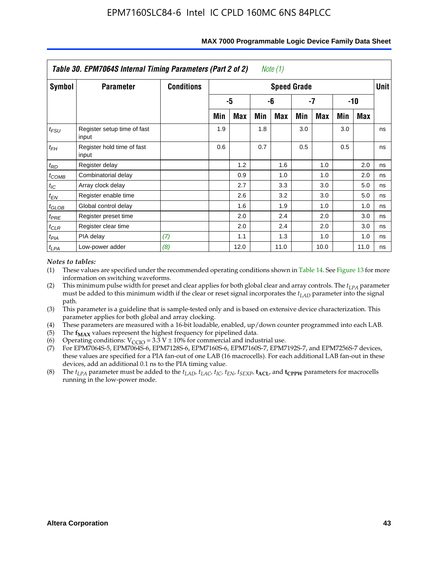|            | Table 30. EPM7064S Internal Timing Parameters (Part 2 of 2) |                   |     |      |     | Note (1)           |     |            |     |            |             |
|------------|-------------------------------------------------------------|-------------------|-----|------|-----|--------------------|-----|------------|-----|------------|-------------|
| Symbol     | <b>Parameter</b>                                            | <b>Conditions</b> |     |      |     | <b>Speed Grade</b> |     |            |     |            | <b>Unit</b> |
|            |                                                             |                   |     | -5   |     | -6                 |     | -7         |     | -10        |             |
|            |                                                             |                   | Min | Max  | Min | Max                | Min | <b>Max</b> | Min | <b>Max</b> |             |
| $t_{FSU}$  | Register setup time of fast<br>input                        |                   | 1.9 |      | 1.8 |                    | 3.0 |            | 3.0 |            | ns          |
| $t_{FH}$   | Register hold time of fast<br>input                         |                   | 0.6 |      | 0.7 |                    | 0.5 |            | 0.5 |            | ns          |
| $t_{RD}$   | Register delay                                              |                   |     | 1.2  |     | 1.6                |     | 1.0        |     | 2.0        | ns          |
| $t_{COMB}$ | Combinatorial delay                                         |                   |     | 0.9  |     | 1.0                |     | 1.0        |     | 2.0        | ns          |
| $t_{IC}$   | Array clock delay                                           |                   |     | 2.7  |     | 3.3                |     | 3.0        |     | 5.0        | ns          |
| $t_{EN}$   | Register enable time                                        |                   |     | 2.6  |     | 3.2                |     | 3.0        |     | 5.0        | ns          |
| $t_{GLOB}$ | Global control delay                                        |                   |     | 1.6  |     | 1.9                |     | 1.0        |     | 1.0        | ns          |
| $t_{PRE}$  | Register preset time                                        |                   |     | 2.0  |     | 2.4                |     | 2.0        |     | 3.0        | ns          |
| $t_{CLR}$  | Register clear time                                         |                   |     | 2.0  |     | 2.4                |     | 2.0        |     | 3.0        | ns          |
| $t_{PIA}$  | PIA delay                                                   | (7)               |     | 1.1  |     | 1.3                |     | 1.0        |     | 1.0        | ns          |
| $t_{LPA}$  | Low-power adder                                             | (8)               |     | 12.0 |     | 11.0               |     | 10.0       |     | 11.0       | ns          |

#### **MAX 7000 Programmable Logic Device Family Data Sheet**

#### *Notes to tables:*

- (1) These values are specified under the recommended operating conditions shown in Table 14. See Figure 13 for more information on switching waveforms.
- (2) This minimum pulse width for preset and clear applies for both global clear and array controls. The  $t_{LPA}$  parameter must be added to this minimum width if the clear or reset signal incorporates the *t<sub>LAD</sub>* parameter into the signal path.
- (3) This parameter is a guideline that is sample-tested only and is based on extensive device characterization. This parameter applies for both global and array clocking.
- (4) These parameters are measured with a 16-bit loadable, enabled, up/down counter programmed into each LAB.
- (5) The  $f_{MAX}$  values represent the highest frequency for pipelined data.
- (6) Operating conditions:  $V_{\text{CGO}} = 3.3 \text{ V} \pm 10\%$  for commercial and industrial use.
- (7) For EPM7064S-5, EPM7064S-6, EPM7128S-6, EPM7160S-6, EPM7160S-7, EPM7192S-7, and EPM7256S-7 devices, these values are specified for a PIA fan-out of one LAB (16 macrocells). For each additional LAB fan-out in these devices, add an additional 0.1 ns to the PIA timing value.
- (8) The  $t_{LPA}$  parameter must be added to the  $t_{LAD}$ ,  $t_{LAC}$ ,  $t_{IC}$ ,  $t_{EN}$ ,  $t_{SEXP}$ ,  $t_{ACL}$ , and  $t_{CPPW}$  parameters for macrocells running in the low-power mode.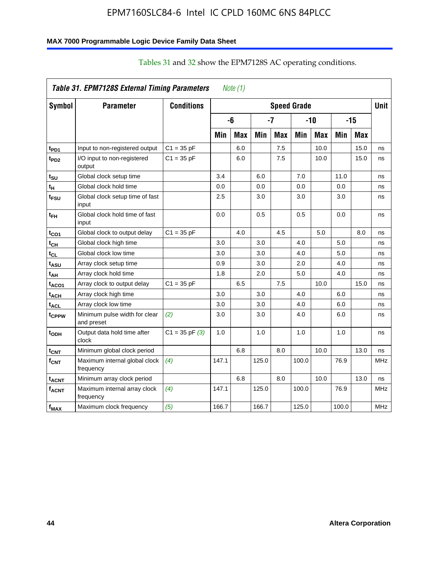#### **MAX 7000 Programmable Logic Device Family Data Sheet**

| Table 31. EPM7128S External Timing Parameters<br>Note $(1)$ |                                             |                    |       |            |       |            |                    |            |       |            |             |  |  |
|-------------------------------------------------------------|---------------------------------------------|--------------------|-------|------------|-------|------------|--------------------|------------|-------|------------|-------------|--|--|
| Symbol                                                      | <b>Parameter</b>                            | <b>Conditions</b>  |       |            |       |            | <b>Speed Grade</b> |            |       |            | <b>Unit</b> |  |  |
|                                                             |                                             |                    |       | -6         |       | -7         |                    | $-10$      |       | $-15$      |             |  |  |
|                                                             |                                             |                    | Min   | <b>Max</b> | Min   | <b>Max</b> | Min                | <b>Max</b> | Min   | <b>Max</b> |             |  |  |
| t <sub>PD1</sub>                                            | Input to non-registered output              | $C1 = 35 pF$       |       | 6.0        |       | 7.5        |                    | 10.0       |       | 15.0       | ns          |  |  |
| t <sub>PD2</sub>                                            | I/O input to non-registered<br>output       | $C1 = 35 pF$       |       | 6.0        |       | 7.5        |                    | 10.0       |       | 15.0       | ns          |  |  |
| t <sub>SU</sub>                                             | Global clock setup time                     |                    | 3.4   |            | 6.0   |            | 7.0                |            | 11.0  |            | ns          |  |  |
| t <sub>H</sub>                                              | Global clock hold time                      |                    | 0.0   |            | 0.0   |            | 0.0                |            | 0.0   |            | ns          |  |  |
| t <sub>FSU</sub>                                            | Global clock setup time of fast<br>input    |                    | 2.5   |            | 3.0   |            | 3.0                |            | 3.0   |            | ns          |  |  |
| t <sub>ЕН</sub>                                             | Global clock hold time of fast<br>input     |                    | 0.0   |            | 0.5   |            | 0.5                |            | 0.0   |            | ns          |  |  |
| tco1                                                        | Global clock to output delay                | $C1 = 35 pF$       |       | 4.0        |       | 4.5        |                    | 5.0        |       | 8.0        | ns          |  |  |
| $t_{\mathsf{CH}}$                                           | Global clock high time                      |                    | 3.0   |            | 3.0   |            | 4.0                |            | 5.0   |            | ns          |  |  |
| t <sub>CL</sub>                                             | Global clock low time                       |                    | 3.0   |            | 3.0   |            | 4.0                |            | 5.0   |            | ns          |  |  |
| t <sub>ASU</sub>                                            | Array clock setup time                      |                    | 0.9   |            | 3.0   |            | 2.0                |            | 4.0   |            | ns          |  |  |
| t <sub>АН</sub>                                             | Array clock hold time                       |                    | 1.8   |            | 2.0   |            | 5.0                |            | 4.0   |            | ns          |  |  |
| t <sub>ACO1</sub>                                           | Array clock to output delay                 | $C1 = 35 pF$       |       | 6.5        |       | 7.5        |                    | 10.0       |       | 15.0       | ns          |  |  |
| t <sub>АСН</sub>                                            | Array clock high time                       |                    | 3.0   |            | 3.0   |            | 4.0                |            | 6.0   |            | ns          |  |  |
| $t_{\sf ACL}$                                               | Array clock low time                        |                    | 3.0   |            | 3.0   |            | 4.0                |            | 6.0   |            | ns          |  |  |
| tcppw                                                       | Minimum pulse width for clear<br>and preset | (2)                | 3.0   |            | 3.0   |            | 4.0                |            | 6.0   |            | ns          |  |  |
| t <sub>ODH</sub>                                            | Output data hold time after<br>clock        | $C1 = 35$ pF $(3)$ | 1.0   |            | 1.0   |            | 1.0                |            | 1.0   |            | ns          |  |  |
| $t_{\mathsf{CNT}}$                                          | Minimum global clock period                 |                    |       | 6.8        |       | 8.0        |                    | 10.0       |       | 13.0       | ns          |  |  |
| $f_{\text{CNT}}$                                            | Maximum internal global clock<br>frequency  | (4)                | 147.1 |            | 125.0 |            | 100.0              |            | 76.9  |            | <b>MHz</b>  |  |  |
| t <sub>ACNT</sub>                                           | Minimum array clock period                  |                    |       | 6.8        |       | 8.0        |                    | 10.0       |       | 13.0       | ns          |  |  |
| <b>f<sub>ACNT</sub></b>                                     | Maximum internal array clock<br>frequency   | (4)                | 147.1 |            | 125.0 |            | 100.0              |            | 76.9  |            | <b>MHz</b>  |  |  |
| f <sub>MAX</sub>                                            | Maximum clock frequency                     | (5)                | 166.7 |            | 166.7 |            | 125.0              |            | 100.0 |            | <b>MHz</b>  |  |  |

#### Tables 31 and 32 show the EPM7128S AC operating conditions.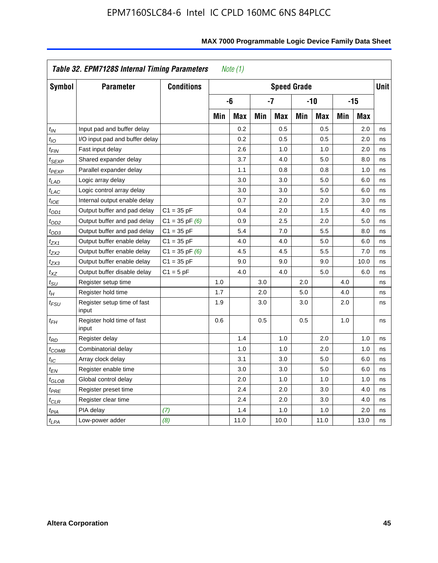|                            | Table 32. EPM7128S Internal Timing Parameters |                    |     | Note $(1)$ |     |                    |     |            |     |       |             |
|----------------------------|-----------------------------------------------|--------------------|-----|------------|-----|--------------------|-----|------------|-----|-------|-------------|
| Symbol                     | <b>Parameter</b>                              | <b>Conditions</b>  |     |            |     | <b>Speed Grade</b> |     |            |     |       | <b>Unit</b> |
|                            |                                               |                    |     | -6         |     | $-7$               |     | $-10$      |     | $-15$ |             |
|                            |                                               |                    | Min | <b>Max</b> | Min | <b>Max</b>         | Min | <b>Max</b> | Min | Max   |             |
| $t_{IN}$                   | Input pad and buffer delay                    |                    |     | 0.2        |     | 0.5                |     | 0.5        |     | 2.0   | ns          |
| t <sub>IΟ</sub>            | I/O input pad and buffer delay                |                    |     | 0.2        |     | 0.5                |     | 0.5        |     | 2.0   | ns          |
| t <sub>FIN</sub>           | Fast input delay                              |                    |     | 2.6        |     | 1.0                |     | 1.0        |     | 2.0   | ns          |
| t <sub>SEXP</sub>          | Shared expander delay                         |                    |     | 3.7        |     | 4.0                |     | 5.0        |     | 8.0   | ns          |
| t <sub>PEXP</sub>          | Parallel expander delay                       |                    |     | 1.1        |     | 0.8                |     | 0.8        |     | 1.0   | ns          |
| $t_{LAD}$                  | Logic array delay                             |                    |     | 3.0        |     | 3.0                |     | 5.0        |     | 6.0   | ns          |
| $t_{LAC}$                  | Logic control array delay                     |                    |     | 3.0        |     | 3.0                |     | 5.0        |     | 6.0   | ns          |
| $t_{IOE}$                  | Internal output enable delay                  |                    |     | 0.7        |     | 2.0                |     | 2.0        |     | 3.0   | ns          |
| $t_{OD1}$                  | Output buffer and pad delay                   | $C1 = 35 pF$       |     | 0.4        |     | 2.0                |     | 1.5        |     | 4.0   | ns          |
| $t_{OD2}$                  | Output buffer and pad delay                   | $C1 = 35$ pF $(6)$ |     | 0.9        |     | 2.5                |     | 2.0        |     | 5.0   | ns          |
| $t_{OD3}$                  | Output buffer and pad delay                   | $C1 = 35 pF$       |     | 5.4        |     | 7.0                |     | 5.5        |     | 8.0   | ns          |
| $t_{ZX1}$                  | Output buffer enable delay                    | $C1 = 35 pF$       |     | 4.0        |     | 4.0                |     | 5.0        |     | 6.0   | ns          |
| t <sub>ZX2</sub>           | Output buffer enable delay                    | $C1 = 35$ pF $(6)$ |     | 4.5        |     | 4.5                |     | 5.5        |     | 7.0   | ns          |
| tzx3                       | Output buffer enable delay                    | $C1 = 35 pF$       |     | 9.0        |     | 9.0                |     | 9.0        |     | 10.0  | ns          |
| $t_{\mathsf{XZ}}$          | Output buffer disable delay                   | $C1 = 5pF$         |     | 4.0        |     | 4.0                |     | 5.0        |     | 6.0   | ns          |
| $t_{\text{SU}}$            | Register setup time                           |                    | 1.0 |            | 3.0 |                    | 2.0 |            | 4.0 |       | ns          |
| $t_H$                      | Register hold time                            |                    | 1.7 |            | 2.0 |                    | 5.0 |            | 4.0 |       | ns          |
| $t_{\mathit{FSU}}$         | Register setup time of fast<br>input          |                    | 1.9 |            | 3.0 |                    | 3.0 |            | 2.0 |       | ns          |
| $t_{FH}$                   | Register hold time of fast<br>input           |                    | 0.6 |            | 0.5 |                    | 0.5 |            | 1.0 |       | ns          |
| $t_{RD}$                   | Register delay                                |                    |     | 1.4        |     | 1.0                |     | 2.0        |     | 1.0   | ns          |
| $t_{\sf COMB}$             | Combinatorial delay                           |                    |     | 1.0        |     | 1.0                |     | 2.0        |     | 1.0   | ns          |
| $t_{\mathcal{IC}}$         | Array clock delay                             |                    |     | 3.1        |     | 3.0                |     | 5.0        |     | 6.0   | ns          |
| t <sub>EN</sub>            | Register enable time                          |                    |     | 3.0        |     | 3.0                |     | 5.0        |     | 6.0   | ns          |
| $t_{\scriptstyle\rm GLOB}$ | Global control delay                          |                    |     | 2.0        |     | 1.0                |     | 1.0        |     | 1.0   | ns          |
| $t_{PRE}$                  | Register preset time                          |                    |     | 2.4        |     | 2.0                |     | 3.0        |     | 4.0   | ns          |
| $t_{CLR}$                  | Register clear time                           |                    |     | 2.4        |     | 2.0                |     | 3.0        |     | 4.0   | ns          |
| t <sub>PIA</sub>           | PIA delay                                     | (7)                |     | 1.4        |     | 1.0                |     | 1.0        |     | 2.0   | ns          |
| $t_{LPA}$                  | Low-power adder                               | (8)                |     | 11.0       |     | 10.0               |     | 11.0       |     | 13.0  | ns          |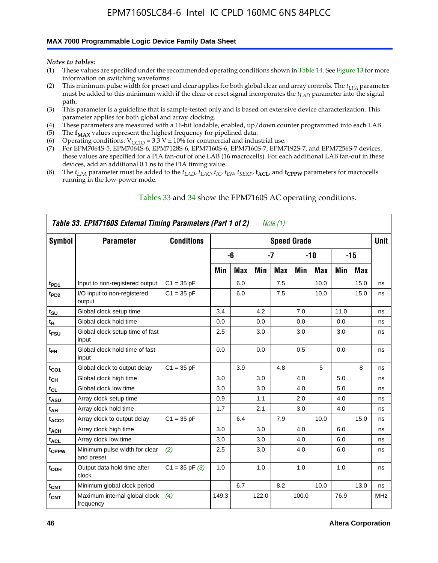#### **MAX 7000 Programmable Logic Device Family Data Sheet**

*Notes to tables:*

- (1) These values are specified under the recommended operating conditions shown in Table 14. See Figure 13 for more information on switching waveforms.
- (2) This minimum pulse width for preset and clear applies for both global clear and array controls. The  $t_{LPA}$  parameter must be added to this minimum width if the clear or reset signal incorporates the *tLAD* parameter into the signal path.
- (3) This parameter is a guideline that is sample-tested only and is based on extensive device characterization. This parameter applies for both global and array clocking.
- (4) These parameters are measured with a 16-bit loadable, enabled, up/down counter programmed into each LAB.
- (5) The  $f_{MAX}$  values represent the highest frequency for pipelined data.
- (6) Operating conditions:  $V_{\text{CCIO}} = 3.3 \text{ V} \pm 10\%$  for commercial and industrial use.
- (7) For EPM7064S-5, EPM7064S-6, EPM7128S-6, EPM7160S-6, EPM7160S-7, EPM7192S-7, and EPM7256S-7 devices, these values are specified for a PIA fan-out of one LAB (16 macrocells). For each additional LAB fan-out in these devices, add an additional 0.1 ns to the PIA timing value.
- (8) The  $t_{LPA}$  parameter must be added to the  $t_{LAD}$ ,  $t_{LAC}$ ,  $t_{IC}$ ,  $t_{EN}$ ,  $t_{SEXP}$ ,  $t_{ACL}$ , and  $t_{CPPW}$  parameters for macrocells running in the low-power mode.

| Table 33. EPM7160S External Timing Parameters (Part 1 of 2)<br>Note (1) |                                             |                    |       |            |       |      |                    |            |      |      |            |
|-------------------------------------------------------------------------|---------------------------------------------|--------------------|-------|------------|-------|------|--------------------|------------|------|------|------------|
| Symbol                                                                  | <b>Parameter</b>                            | <b>Conditions</b>  |       |            |       |      | <b>Speed Grade</b> |            |      |      | Unit       |
|                                                                         |                                             |                    |       | -6         |       | $-7$ |                    | $-10$      |      | -15  |            |
|                                                                         |                                             |                    | Min   | <b>Max</b> | Min   | Max  | Min                | <b>Max</b> | Min  | Max  |            |
| t <sub>PD1</sub>                                                        | Input to non-registered output              | $C1 = 35 pF$       |       | 6.0        |       | 7.5  |                    | 10.0       |      | 15.0 | ns         |
| $t_{PD2}$                                                               | I/O input to non-registered<br>output       | $C1 = 35 pF$       |       | 6.0        |       | 7.5  |                    | 10.0       |      | 15.0 | ns         |
| $t_{\text{SU}}$                                                         | Global clock setup time                     |                    | 3.4   |            | 4.2   |      | 7.0                |            | 11.0 |      | ns         |
| $t_H$                                                                   | Global clock hold time                      |                    | 0.0   |            | 0.0   |      | 0.0                |            | 0.0  |      | ns         |
| t <sub>FSU</sub>                                                        | Global clock setup time of fast<br>input    |                    | 2.5   |            | 3.0   |      | 3.0                |            | 3.0  |      | ns         |
| $t_{FH}$                                                                | Global clock hold time of fast<br>input     |                    | 0.0   |            | 0.0   |      | 0.5                |            | 0.0  |      | ns         |
| $t_{CO1}$                                                               | Global clock to output delay                | $C1 = 35 pF$       |       | 3.9        |       | 4.8  |                    | 5          |      | 8    | ns         |
| $t_{CH}$                                                                | Global clock high time                      |                    | 3.0   |            | 3.0   |      | 4.0                |            | 5.0  |      | ns         |
| $t_{CL}$                                                                | Global clock low time                       |                    | 3.0   |            | 3.0   |      | 4.0                |            | 5.0  |      | ns         |
| t <sub>ASU</sub>                                                        | Array clock setup time                      |                    | 0.9   |            | 1.1   |      | 2.0                |            | 4.0  |      | ns         |
| t <sub>AH</sub>                                                         | Array clock hold time                       |                    | 1.7   |            | 2.1   |      | 3.0                |            | 4.0  |      | ns         |
| t <sub>ACO1</sub>                                                       | Array clock to output delay                 | $C1 = 35 pF$       |       | 6.4        |       | 7.9  |                    | 10.0       |      | 15.0 | ns         |
| $t_{ACH}$                                                               | Array clock high time                       |                    | 3.0   |            | 3.0   |      | 4.0                |            | 6.0  |      | ns         |
| t <sub>ACL</sub>                                                        | Array clock low time                        |                    | 3.0   |            | 3.0   |      | 4.0                |            | 6.0  |      | ns         |
| tcppw                                                                   | Minimum pulse width for clear<br>and preset | (2)                | 2.5   |            | 3.0   |      | 4.0                |            | 6.0  |      | ns         |
| $t_{ODH}$                                                               | Output data hold time after<br>clock        | $C1 = 35$ pF $(3)$ | 1.0   |            | 1.0   |      | 1.0                |            | 1.0  |      | ns         |
| $t_{\text{CNT}}$                                                        | Minimum global clock period                 |                    |       | 6.7        |       | 8.2  |                    | 10.0       |      | 13.0 | ns         |
| $f_{\text{CNT}}$                                                        | Maximum internal global clock<br>frequency  | (4)                | 149.3 |            | 122.0 |      | 100.0              |            | 76.9 |      | <b>MHz</b> |

#### Tables 33 and 34 show the EPM7160S AC operating conditions.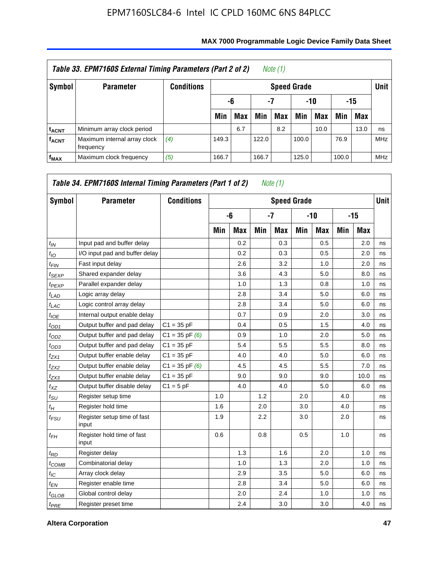| Table 33. EPM7160S External Timing Parameters (Part 2 of 2)<br>Note (1) |                                           |                   |                    |                        |       |     |       |      |       |            |            |  |  |
|-------------------------------------------------------------------------|-------------------------------------------|-------------------|--------------------|------------------------|-------|-----|-------|------|-------|------------|------------|--|--|
| Symbol                                                                  | <b>Parameter</b>                          | <b>Conditions</b> | <b>Speed Grade</b> |                        |       |     |       |      |       |            |            |  |  |
|                                                                         |                                           |                   |                    | -15<br>-7<br>-10<br>-6 |       |     |       |      |       |            |            |  |  |
|                                                                         |                                           |                   | Min                | <b>Max</b>             | Min   | Max | Min   | Max  | Min   | <b>Max</b> |            |  |  |
| <b>t<sub>ACNT</sub></b>                                                 | Minimum array clock period                |                   |                    | 6.7                    |       | 8.2 |       | 10.0 |       | 13.0       | ns         |  |  |
| <b>f<sub>ACNT</sub></b>                                                 | Maximum internal array clock<br>frequency | (4)               | 149.3              |                        | 122.0 |     | 100.0 |      | 76.9  |            | <b>MHz</b> |  |  |
| $f_{MAX}$                                                               | Maximum clock frequency                   | (5)               | 166.7              |                        | 166.7 |     | 125.0 |      | 100.0 |            | <b>MHz</b> |  |  |

| Symbol          | <b>Parameter</b>                     | <b>Conditions</b>  |     |            |     | <b>Speed Grade</b> |     |            |     |       | <b>Unit</b> |
|-----------------|--------------------------------------|--------------------|-----|------------|-----|--------------------|-----|------------|-----|-------|-------------|
|                 |                                      |                    |     | -6         |     | $-7$               |     | -10        |     | $-15$ |             |
|                 |                                      |                    | Min | <b>Max</b> | Min | <b>Max</b>         | Min | <b>Max</b> | Min | Max   |             |
| $t_{IN}$        | Input pad and buffer delay           |                    |     | 0.2        |     | 0.3                |     | 0.5        |     | 2.0   | ns          |
| $t_{IO}$        | I/O input pad and buffer delay       |                    |     | 0.2        |     | 0.3                |     | 0.5        |     | 2.0   | ns          |
| $t_{FIN}$       | Fast input delay                     |                    |     | 2.6        |     | 3.2                |     | 1.0        |     | 2.0   | ns          |
| $t_{SEXP}$      | Shared expander delay                |                    |     | 3.6        |     | 4.3                |     | 5.0        |     | 8.0   | ns          |
| $t_{PEXP}$      | Parallel expander delay              |                    |     | 1.0        |     | 1.3                |     | 0.8        |     | 1.0   | ns          |
| $t_{LAD}$       | Logic array delay                    |                    |     | 2.8        |     | 3.4                |     | 5.0        |     | 6.0   | ns          |
| $t_{LAC}$       | Logic control array delay            |                    |     | 2.8        |     | 3.4                |     | 5.0        |     | 6.0   | ns          |
| $t_{IOE}$       | Internal output enable delay         |                    |     | 0.7        |     | 0.9                |     | 2.0        |     | 3.0   | ns          |
| $t_{OD1}$       | Output buffer and pad delay          | $C1 = 35 pF$       |     | 0.4        |     | 0.5                |     | 1.5        |     | 4.0   | ns          |
| $t_{OD2}$       | Output buffer and pad delay          | $C1 = 35$ pF $(6)$ |     | 0.9        |     | 1.0                |     | 2.0        |     | 5.0   | ns          |
| $t_{OD3}$       | Output buffer and pad delay          | $C1 = 35 pF$       |     | 5.4        |     | 5.5                |     | 5.5        |     | 8.0   | ns          |
| $t_{ZX1}$       | Output buffer enable delay           | $C1 = 35 pF$       |     | 4.0        |     | 4.0                |     | 5.0        |     | 6.0   | ns          |
| $t_{ZX2}$       | Output buffer enable delay           | $C1 = 35$ pF $(6)$ |     | 4.5        |     | 4.5                |     | 5.5        |     | 7.0   | ns          |
| $t_{ZX3}$       | Output buffer enable delay           | $C1 = 35 pF$       |     | 9.0        |     | 9.0                |     | 9.0        |     | 10.0  | ns          |
| $t_{XZ}$        | Output buffer disable delay          | $C1 = 5pF$         |     | 4.0        |     | 4.0                |     | 5.0        |     | 6.0   | ns          |
| $t_{\rm SU}$    | Register setup time                  |                    | 1.0 |            | 1.2 |                    | 2.0 |            | 4.0 |       | ns          |
| $t_H$           | Register hold time                   |                    | 1.6 |            | 2.0 |                    | 3.0 |            | 4.0 |       | ns          |
| $t_{FSU}$       | Register setup time of fast<br>input |                    | 1.9 |            | 2.2 |                    | 3.0 |            | 2.0 |       | ns          |
| $t_{FH}$        | Register hold time of fast<br>input  |                    | 0.6 |            | 0.8 |                    | 0.5 |            | 1.0 |       | ns          |
| $t_{RD}$        | Register delay                       |                    |     | 1.3        |     | 1.6                |     | 2.0        |     | 1.0   | ns          |
| $t_{COMB}$      | Combinatorial delay                  |                    |     | 1.0        |     | 1.3                |     | 2.0        |     | 1.0   | ns          |
| $t_{\text{IC}}$ | Array clock delay                    |                    |     | 2.9        |     | 3.5                |     | 5.0        |     | 6.0   | ns          |
| $t_{EN}$        | Register enable time                 |                    |     | 2.8        |     | 3.4                |     | 5.0        |     | 6.0   | ns          |
| $t_{GLOB}$      | Global control delay                 |                    |     | 2.0        |     | 2.4                |     | 1.0        |     | 1.0   | ns          |
| $t_{PRE}$       | Register preset time                 |                    |     | 2.4        |     | 3.0                |     | 3.0        |     | 4.0   | ns          |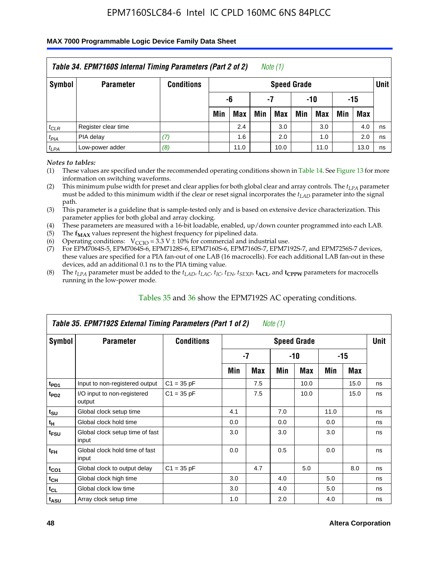#### **MAX 7000 Programmable Logic Device Family Data Sheet**

|           | Table 34. EPM7160S Internal Timing Parameters (Part 2 of 2)<br>Note $(1)$ |                   |                                |                          |     |                    |     |            |     |            |             |  |  |
|-----------|---------------------------------------------------------------------------|-------------------|--------------------------------|--------------------------|-----|--------------------|-----|------------|-----|------------|-------------|--|--|
| Symbol    | <b>Parameter</b>                                                          | <b>Conditions</b> |                                |                          |     | <b>Speed Grade</b> |     |            |     |            | <b>Unit</b> |  |  |
|           |                                                                           |                   |                                | $-10$<br>-6<br>-15<br>-7 |     |                    |     |            |     |            |             |  |  |
|           |                                                                           |                   | Min                            | <b>Max</b>               | Min | Max                | Min | <b>Max</b> | Min | <b>Max</b> |             |  |  |
| $t_{CLR}$ | Register clear time                                                       |                   |                                | 2.4                      |     | 3.0                |     | 3.0        |     | 4.0        | ns          |  |  |
| $t_{PIA}$ | PIA delay                                                                 | (7)               | 1.6<br>2.0<br>2.0<br>1.0<br>ns |                          |     |                    |     |            |     |            |             |  |  |
| $t_{LPA}$ | Low-power adder                                                           | (8)               |                                | 11.0                     |     | 10.0               |     | 11.0       |     | 13.0       | ns          |  |  |

*Notes to tables:*

- (1) These values are specified under the recommended operating conditions shown in Table 14. See Figure 13 for more information on switching waveforms.
- (2) This minimum pulse width for preset and clear applies for both global clear and array controls. The  $t_{LPA}$  parameter must be added to this minimum width if the clear or reset signal incorporates the *t<sub>LAD</sub>* parameter into the signal path.
- (3) This parameter is a guideline that is sample-tested only and is based on extensive device characterization. This parameter applies for both global and array clocking.
- (4) These parameters are measured with a 16-bit loadable, enabled, up/down counter programmed into each LAB.
- (5) The  $f_{MAX}$  values represent the highest frequency for pipelined data.
- (6) Operating conditions:  $V_{\text{CCIO}} = 3.3 V \pm 10\%$  for commercial and industrial use.
- (7) For EPM7064S-5, EPM7064S-6, EPM7128S-6, EPM7160S-6, EPM7160S-7, EPM7192S-7, and EPM7256S-7 devices, these values are specified for a PIA fan-out of one LAB (16 macrocells). For each additional LAB fan-out in these devices, add an additional 0.1 ns to the PIA timing value.
- (8) The  $t_{LPA}$  parameter must be added to the  $t_{LAP}$ ,  $t_{LAC}$ ,  $t_{IC}$ ,  $t_{EN}$ ,  $t_{SEXP}$ ,  $t_{ACL}$ , and  $t_{CPPW}$  parameters for macrocells running in the low-power mode.

|                             | Table 35. EPM7192S External Timing Parameters (Part 1 of 2)<br>Note (1) |                   |     |     |     |                    |      |      |             |  |  |  |  |  |
|-----------------------------|-------------------------------------------------------------------------|-------------------|-----|-----|-----|--------------------|------|------|-------------|--|--|--|--|--|
| Symbol                      | <b>Parameter</b>                                                        | <b>Conditions</b> |     |     |     | <b>Speed Grade</b> |      |      | <b>Unit</b> |  |  |  |  |  |
|                             |                                                                         |                   |     | -7  |     | $-15$<br>-10       |      |      |             |  |  |  |  |  |
|                             |                                                                         |                   | Min | Max | Min | Max                | Min  | Max  |             |  |  |  |  |  |
| t <sub>PD1</sub>            | Input to non-registered output                                          | $C1 = 35 pF$      |     | 7.5 |     | 10.0               |      | 15.0 | ns          |  |  |  |  |  |
| $t_{PD2}$                   | I/O input to non-registered<br>output                                   | $C1 = 35 pF$      |     | 7.5 |     | 10.0               |      | 15.0 | ns          |  |  |  |  |  |
| $t_{\scriptstyle\text{SU}}$ | Global clock setup time                                                 |                   | 4.1 |     | 7.0 |                    | 11.0 |      | ns          |  |  |  |  |  |
| $t_H$                       | Global clock hold time                                                  |                   | 0.0 |     | 0.0 |                    | 0.0  |      | ns          |  |  |  |  |  |
| t <sub>FSU</sub>            | Global clock setup time of fast<br>input                                |                   | 3.0 |     | 3.0 |                    | 3.0  |      | ns          |  |  |  |  |  |
| $t_{FH}$                    | Global clock hold time of fast<br>input                                 |                   | 0.0 |     | 0.5 |                    | 0.0  |      | ns          |  |  |  |  |  |
| $t_{CO1}$                   | Global clock to output delay                                            | $C1 = 35 pF$      |     | 4.7 |     | 5.0                |      | 8.0  | ns          |  |  |  |  |  |
| $t_{CH}$                    | Global clock high time                                                  |                   | 3.0 |     | 4.0 |                    | 5.0  |      | ns          |  |  |  |  |  |
| $t_{CL}$                    | Global clock low time                                                   |                   | 3.0 |     | 4.0 |                    | 5.0  |      | ns          |  |  |  |  |  |
| t <sub>ASU</sub>            | Array clock setup time                                                  |                   | 1.0 |     | 2.0 |                    | 4.0  |      | ns          |  |  |  |  |  |

#### Tables 35 and 36 show the EPM7192S AC operating conditions.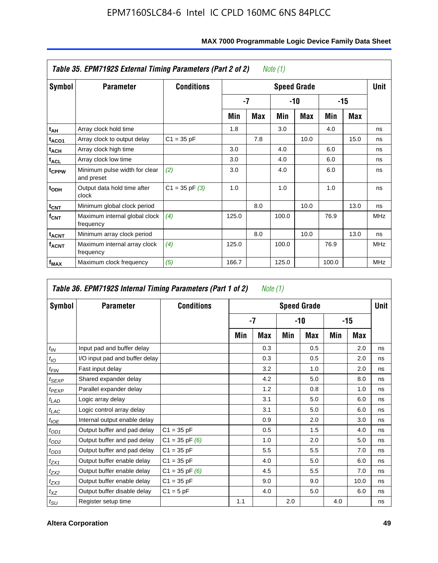|                         | Table 35. EPM7192S External Timing Parameters (Part 2 of 2)<br>Note (1) |                    |       |      |       |                    |       |      |            |  |  |  |  |  |
|-------------------------|-------------------------------------------------------------------------|--------------------|-------|------|-------|--------------------|-------|------|------------|--|--|--|--|--|
| Symbol                  | <b>Parameter</b>                                                        | <b>Conditions</b>  |       |      |       | <b>Speed Grade</b> |       |      | Unit       |  |  |  |  |  |
|                         |                                                                         |                    |       | $-7$ | -10   |                    |       | -15  |            |  |  |  |  |  |
|                         |                                                                         |                    | Min   | Max  | Min   | Max                | Min   | Max  |            |  |  |  |  |  |
| t <sub>АН</sub>         | Array clock hold time                                                   |                    | 1.8   |      | 3.0   |                    | 4.0   |      | ns         |  |  |  |  |  |
| t <sub>ACO1</sub>       | Array clock to output delay                                             | $C1 = 35 pF$       |       | 7.8  |       | 10.0               |       | 15.0 | ns         |  |  |  |  |  |
| $t_{\sf ACH}$           | Array clock high time                                                   |                    | 3.0   |      | 4.0   |                    | 6.0   |      | ns         |  |  |  |  |  |
| $t_{\sf ACL}$           | Array clock low time                                                    |                    | 3.0   |      | 4.0   |                    | 6.0   |      | ns         |  |  |  |  |  |
| t <sub>CPPW</sub>       | Minimum pulse width for clear<br>and preset                             | (2)                | 3.0   |      | 4.0   |                    | 6.0   |      | ns         |  |  |  |  |  |
| $t_{ODH}$               | Output data hold time after<br>clock                                    | $C1 = 35$ pF $(3)$ | 1.0   |      | 1.0   |                    | 1.0   |      | ns         |  |  |  |  |  |
| $t_{\mathsf{CNT}}$      | Minimum global clock period                                             |                    |       | 8.0  |       | 10.0               |       | 13.0 | ns         |  |  |  |  |  |
| $f_{\text{CNT}}$        | Maximum internal global clock<br>frequency                              | (4)                | 125.0 |      | 100.0 |                    | 76.9  |      | <b>MHz</b> |  |  |  |  |  |
| $t_{ACNT}$              | Minimum array clock period                                              |                    |       | 8.0  |       | 10.0               |       | 13.0 | ns         |  |  |  |  |  |
| <b>f<sub>ACNT</sub></b> | Maximum internal array clock<br>frequency                               | (4)                | 125.0 |      | 100.0 |                    | 76.9  |      | <b>MHz</b> |  |  |  |  |  |
| f <sub>MAX</sub>        | Maximum clock frequency                                                 | (5)                | 166.7 |      | 125.0 |                    | 100.0 |      | <b>MHz</b> |  |  |  |  |  |

#### **MAX 7000 Programmable Logic Device Family Data Sheet**

| Table 36. EPM7192S Internal Timing Parameters (Part 1 of 2)<br>Note (1) |                                |                    |     |     |     |                    |     |       |      |  |  |  |
|-------------------------------------------------------------------------|--------------------------------|--------------------|-----|-----|-----|--------------------|-----|-------|------|--|--|--|
| Symbol                                                                  | <b>Parameter</b>               | <b>Conditions</b>  |     |     |     | <b>Speed Grade</b> |     |       | Unit |  |  |  |
|                                                                         |                                |                    |     | -7  |     | -10                |     | $-15$ |      |  |  |  |
|                                                                         |                                |                    | Min | Max | Min | Max                | Min | Max   |      |  |  |  |
| $t_{IN}$                                                                | Input pad and buffer delay     |                    |     | 0.3 |     | 0.5                |     | 2.0   | ns   |  |  |  |
| $t_{IO}$                                                                | I/O input pad and buffer delay |                    |     | 0.3 |     | 0.5                |     | 2.0   | ns   |  |  |  |
| $t_{\textit{FIN}}$                                                      | Fast input delay               |                    |     | 3.2 |     | 1.0                |     | 2.0   | ns   |  |  |  |
| $t_{SEXP}$                                                              | Shared expander delay          |                    |     | 4.2 |     | 5.0                |     | 8.0   | ns   |  |  |  |
| $t_{PEXP}$                                                              | Parallel expander delay        |                    |     | 1.2 |     | 0.8                |     | 1.0   | ns   |  |  |  |
| $t_{LAD}$                                                               | Logic array delay              |                    |     | 3.1 |     | 5.0                |     | 6.0   | ns   |  |  |  |
| $t_{LAC}$                                                               | Logic control array delay      |                    |     | 3.1 |     | 5.0                |     | 6.0   | ns   |  |  |  |
| $t_{IOE}$                                                               | Internal output enable delay   |                    |     | 0.9 |     | 2.0                |     | 3.0   | ns   |  |  |  |
| $t_{OD1}$                                                               | Output buffer and pad delay    | $C1 = 35 pF$       |     | 0.5 |     | 1.5                |     | 4.0   | ns   |  |  |  |
| $t_{OD2}$                                                               | Output buffer and pad delay    | $C1 = 35$ pF $(6)$ |     | 1.0 |     | 2.0                |     | 5.0   | ns   |  |  |  |
| $t_{OD3}$                                                               | Output buffer and pad delay    | $C1 = 35 pF$       |     | 5.5 |     | 5.5                |     | 7.0   | ns   |  |  |  |
| $t_{ZX1}$                                                               | Output buffer enable delay     | $C1 = 35 pF$       |     | 4.0 |     | 5.0                |     | 6.0   | ns   |  |  |  |
| $t_{ZX2}$                                                               | Output buffer enable delay     | $C1 = 35$ pF $(6)$ |     | 4.5 |     | 5.5                |     | 7.0   | ns   |  |  |  |
| $t_{ZX3}$                                                               | Output buffer enable delay     | $C1 = 35 pF$       |     | 9.0 |     | 9.0                |     | 10.0  | ns   |  |  |  |
| $t_{XZ}$                                                                | Output buffer disable delay    | $C1 = 5pF$         |     | 4.0 |     | 5.0                |     | 6.0   | ns   |  |  |  |
| $t_{\text{SU}}$                                                         | Register setup time            |                    | 1.1 |     | 2.0 |                    | 4.0 |       | ns   |  |  |  |

**F**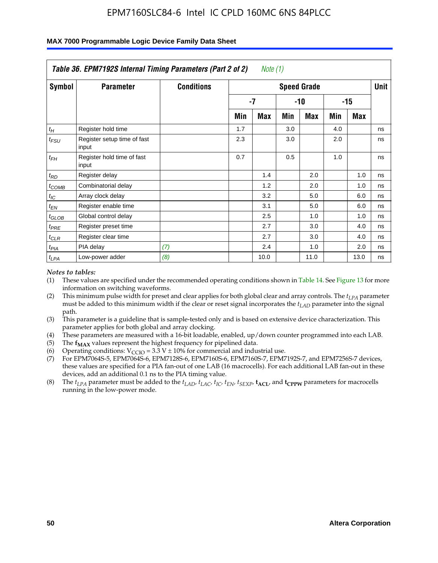|                    | Table 36. EPM7192S Internal Timing Parameters (Part 2 of 2) |                   |     | Note $(1)$         |     |                    |     |            |      |
|--------------------|-------------------------------------------------------------|-------------------|-----|--------------------|-----|--------------------|-----|------------|------|
| Symbol             | <b>Parameter</b>                                            | <b>Conditions</b> |     |                    |     | <b>Speed Grade</b> |     |            | Unit |
|                    |                                                             |                   |     | -7<br>$-15$<br>-10 |     |                    |     |            |      |
|                    |                                                             |                   | Min | Max                | Min | Max                | Min | <b>Max</b> |      |
| $t_H$              | Register hold time                                          |                   | 1.7 |                    | 3.0 |                    | 4.0 |            | ns   |
| $t_{\mathit{FSU}}$ | Register setup time of fast<br>input                        |                   | 2.3 |                    | 3.0 |                    | 2.0 |            | ns   |
| $t_{FH}$           | Register hold time of fast<br>input                         |                   | 0.7 |                    | 0.5 |                    | 1.0 |            | ns   |
| $t_{RD}$           | Register delay                                              |                   |     | 1.4                |     | 2.0                |     | 1.0        | ns   |
| $t_{\text{COMB}}$  | Combinatorial delay                                         |                   |     | 1.2                |     | 2.0                |     | 1.0        | ns   |
| $t_{IC}$           | Array clock delay                                           |                   |     | 3.2                |     | 5.0                |     | 6.0        | ns   |
| $t_{EN}$           | Register enable time                                        |                   |     | 3.1                |     | 5.0                |     | 6.0        | ns   |
| $t_{GLOB}$         | Global control delay                                        |                   |     | 2.5                |     | 1.0                |     | 1.0        | ns   |
| $t_{PRE}$          | Register preset time                                        |                   |     | 2.7                |     | 3.0                |     | 4.0        | ns   |
| $t_{CLR}$          | Register clear time                                         |                   |     | 2.7                |     | 3.0                |     | 4.0        | ns   |
| t <sub>PIA</sub>   | PIA delay                                                   | (7)               |     | 2.4                |     | 1.0                |     | 2.0        | ns   |
| $t_{LPA}$          | Low-power adder                                             | (8)               |     | 10.0               |     | 11.0               |     | 13.0       | ns   |

#### **MAX 7000 Programmable Logic Device Family Data Sheet**

#### *Notes to tables:*

- (1) These values are specified under the recommended operating conditions shown in Table 14. See Figure 13 for more information on switching waveforms.
- (2) This minimum pulse width for preset and clear applies for both global clear and array controls. The *tLPA* parameter must be added to this minimum width if the clear or reset signal incorporates the *t<sub>LAD</sub>* parameter into the signal path.
- (3) This parameter is a guideline that is sample-tested only and is based on extensive device characterization. This parameter applies for both global and array clocking.
- (4) These parameters are measured with a 16-bit loadable, enabled, up/down counter programmed into each LAB.
- (5) The  $f_{MAX}$  values represent the highest frequency for pipelined data.
- (6) Operating conditions:  $V_{\text{CCIO}} = 3.3 \text{ V} \pm 10\%$  for commercial and industrial use.
- (7) For EPM7064S-5, EPM7064S-6, EPM7128S-6, EPM7160S-6, EPM7160S-7, EPM7192S-7, and EPM7256S-7 devices, these values are specified for a PIA fan-out of one LAB (16 macrocells). For each additional LAB fan-out in these devices, add an additional 0.1 ns to the PIA timing value.
- (8) The  $t_{LPA}$  parameter must be added to the  $t_{LAD}$ ,  $t_{LAC}$ ,  $t_{IC}$ ,  $t_{EN}$ ,  $t_{SIX}$ ,  $t_{ACL}$ , and  $t_{CPW}$  parameters for macrocells running in the low-power mode.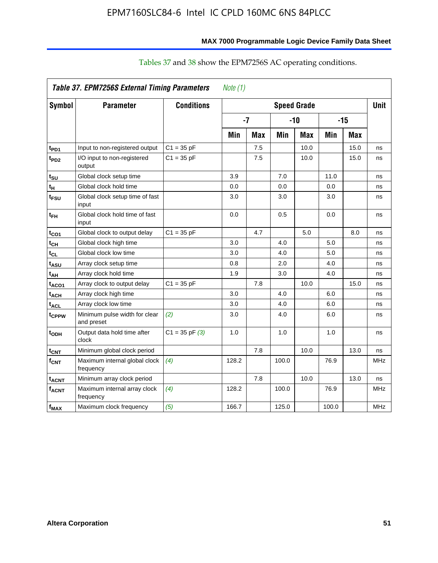| MAX 7000 Programmable Logic Device Family Data Sheet |  |  |  |  |
|------------------------------------------------------|--|--|--|--|
|                                                      |  |  |  |  |

|                         | Table 37. EPM7256S External Timing Parameters |                    | Note $(1)$ |            |       |                    |       |            |             |
|-------------------------|-----------------------------------------------|--------------------|------------|------------|-------|--------------------|-------|------------|-------------|
| <b>Symbol</b>           | <b>Parameter</b>                              | <b>Conditions</b>  |            |            |       | <b>Speed Grade</b> |       |            | <b>Unit</b> |
|                         |                                               |                    |            | $-7$       |       | -10                |       | $-15$      |             |
|                         |                                               |                    | Min        | <b>Max</b> | Min   | <b>Max</b>         | Min   | <b>Max</b> |             |
| t <sub>PD1</sub>        | Input to non-registered output                | $C1 = 35 pF$       |            | 7.5        |       | 10.0               |       | 15.0       | ns          |
| t <sub>PD2</sub>        | I/O input to non-registered<br>output         | $C1 = 35 pF$       |            | 7.5        |       | 10.0               |       | 15.0       | ns          |
| t <sub>su</sub>         | Global clock setup time                       |                    | 3.9        |            | 7.0   |                    | 11.0  |            | ns          |
| tμ                      | Global clock hold time                        |                    | 0.0        |            | 0.0   |                    | 0.0   |            | ns          |
| t <sub>FSU</sub>        | Global clock setup time of fast<br>input      |                    | 3.0        |            | 3.0   |                    | 3.0   |            | ns          |
| $t_{FH}$                | Global clock hold time of fast<br>input       |                    | 0.0        |            | 0.5   |                    | 0.0   |            | ns          |
| t <sub>CO1</sub>        | Global clock to output delay                  | $C1 = 35 pF$       |            | 4.7        |       | 5.0                |       | 8.0        | ns          |
| $t_{\mathsf{CH}}$       | Global clock high time                        |                    | 3.0        |            | 4.0   |                    | 5.0   |            | ns          |
| $t_{CL}$                | Global clock low time                         |                    | 3.0        |            | 4.0   |                    | 5.0   |            | ns          |
| t <sub>ASU</sub>        | Array clock setup time                        |                    | 0.8        |            | 2.0   |                    | 4.0   |            | ns          |
| t <sub>АН</sub>         | Array clock hold time                         |                    | 1.9        |            | 3.0   |                    | 4.0   |            | ns          |
| t <sub>ACO1</sub>       | Array clock to output delay                   | $C1 = 35 pF$       |            | 7.8        |       | 10.0               |       | 15.0       | ns          |
| $t_{ACH}$               | Array clock high time                         |                    | 3.0        |            | 4.0   |                    | 6.0   |            | ns          |
| $t_{\sf ACL}$           | Array clock low time                          |                    | 3.0        |            | 4.0   |                    | 6.0   |            | ns          |
| t <sub>CPPW</sub>       | Minimum pulse width for clear<br>and preset   | (2)                | 3.0        |            | 4.0   |                    | 6.0   |            | ns          |
| t <sub>ODH</sub>        | Output data hold time after<br>clock          | $C1 = 35$ pF $(3)$ | 1.0        |            | 1.0   |                    | 1.0   |            | ns          |
| $t_{\mathsf{CNT}}$      | Minimum global clock period                   |                    |            | 7.8        |       | 10.0               |       | 13.0       | ns          |
| f <sub>CNT</sub>        | Maximum internal global clock<br>frequency    | (4)                | 128.2      |            | 100.0 |                    | 76.9  |            | <b>MHz</b>  |
| <b>t<sub>ACNT</sub></b> | Minimum array clock period                    |                    |            | 7.8        |       | 10.0               |       | 13.0       | ns          |
| <b>f<sub>ACNT</sub></b> | Maximum internal array clock<br>frequency     | (4)                | 128.2      |            | 100.0 |                    | 76.9  |            | <b>MHz</b>  |
| f <sub>MAX</sub>        | Maximum clock frequency                       | (5)                | 166.7      |            | 125.0 |                    | 100.0 |            | <b>MHz</b>  |

#### Tables 37 and 38 show the EPM7256S AC operating conditions.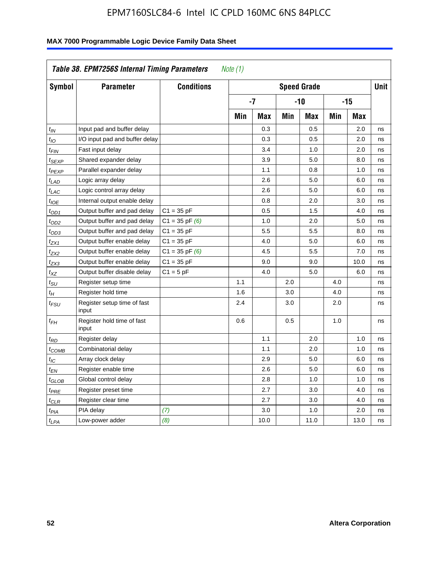| Symbol            | <b>Parameter</b>                     | <b>Conditions</b>  | <b>Speed Grade</b> |            |       |            |       | <b>Unit</b> |    |
|-------------------|--------------------------------------|--------------------|--------------------|------------|-------|------------|-------|-------------|----|
|                   |                                      |                    | $-7$               |            | $-10$ |            | $-15$ |             |    |
|                   |                                      |                    | Min                | <b>Max</b> | Min   | <b>Max</b> | Min   | <b>Max</b>  |    |
| $t_{IN}$          | Input pad and buffer delay           |                    |                    | 0.3        |       | 0.5        |       | 2.0         | ns |
| $t_{IO}$          | I/O input pad and buffer delay       |                    |                    | 0.3        |       | 0.5        |       | 2.0         | ns |
| t <sub>FIN</sub>  | Fast input delay                     |                    |                    | 3.4        |       | 1.0        |       | 2.0         | ns |
| t <sub>SEXP</sub> | Shared expander delay                |                    |                    | 3.9        |       | 5.0        |       | 8.0         | ns |
| t <sub>PEXP</sub> | Parallel expander delay              |                    |                    | 1.1        |       | 0.8        |       | 1.0         | ns |
| $t_{LAD}$         | Logic array delay                    |                    |                    | 2.6        |       | 5.0        |       | 6.0         | ns |
| $t_{LAC}$         | Logic control array delay            |                    |                    | 2.6        |       | 5.0        |       | 6.0         | ns |
| $t_{IOE}$         | Internal output enable delay         |                    |                    | 0.8        |       | 2.0        |       | 3.0         | ns |
| $t_{OD1}$         | Output buffer and pad delay          | $C1 = 35 pF$       |                    | 0.5        |       | 1.5        |       | 4.0         | ns |
| t <sub>OD2</sub>  | Output buffer and pad delay          | $C1 = 35$ pF $(6)$ |                    | 1.0        |       | 2.0        |       | 5.0         | ns |
| $t_{OD3}$         | Output buffer and pad delay          | $C1 = 35 pF$       |                    | 5.5        |       | 5.5        |       | 8.0         | ns |
| t <sub>ZX1</sub>  | Output buffer enable delay           | $C1 = 35 pF$       |                    | 4.0        |       | 5.0        |       | 6.0         | ns |
| t <sub>ZX2</sub>  | Output buffer enable delay           | $C1 = 35$ pF $(6)$ |                    | 4.5        |       | 5.5        |       | 7.0         | ns |
| t <sub>ZX3</sub>  | Output buffer enable delay           | $C1 = 35 pF$       |                    | 9.0        |       | 9.0        |       | 10.0        | ns |
| $t_{XZ}$          | Output buffer disable delay          | $C1 = 5pF$         |                    | 4.0        |       | 5.0        |       | 6.0         | ns |
| $t_{\rm SU}$      | Register setup time                  |                    | 1.1                |            | 2.0   |            | 4.0   |             | ns |
| $t_H$             | Register hold time                   |                    | 1.6                |            | 3.0   |            | 4.0   |             | ns |
| t <sub>FSU</sub>  | Register setup time of fast<br>input |                    | 2.4                |            | 3.0   |            | 2.0   |             | ns |
| $t_{FH}$          | Register hold time of fast<br>input  |                    | 0.6                |            | 0.5   |            | 1.0   |             | ns |
| t <sub>RD</sub>   | Register delay                       |                    |                    | 1.1        |       | 2.0        |       | 1.0         | ns |
| t <sub>COMB</sub> | Combinatorial delay                  |                    |                    | 1.1        |       | 2.0        |       | 1.0         | ns |
| $t_{IC}$          | Array clock delay                    |                    |                    | 2.9        |       | 5.0        |       | 6.0         | ns |
| t <sub>EN</sub>   | Register enable time                 |                    |                    | 2.6        |       | 5.0        |       | 6.0         | ns |
| t <sub>GLOB</sub> | Global control delay                 |                    |                    | 2.8        |       | 1.0        |       | 1.0         | ns |
| $t_{PRE}$         | Register preset time                 |                    |                    | 2.7        |       | 3.0        |       | 4.0         | ns |
| $t_{\text{CLR}}$  | Register clear time                  |                    |                    | 2.7        |       | 3.0        |       | 4.0         | ns |
| $t_{PIA}$         | PIA delay                            | (7)                |                    | 3.0        |       | 1.0        |       | 2.0         | ns |
| $t_{LPA}$         | Low-power adder                      | (8)                |                    | 10.0       |       | 11.0       |       | 13.0        | ns |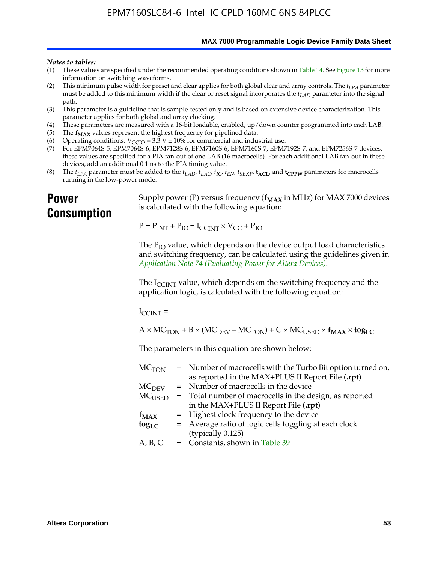**MAX 7000 Programmable Logic Device Family Data Sheet**

#### *Notes to tables:*

- (1) These values are specified under the recommended operating conditions shown in Table 14. See Figure 13 for more information on switching waveforms.
- (2) This minimum pulse width for preset and clear applies for both global clear and array controls. The  $t_{LPA}$  parameter must be added to this minimum width if the clear or reset signal incorporates the *tLAD* parameter into the signal path.
- (3) This parameter is a guideline that is sample-tested only and is based on extensive device characterization. This parameter applies for both global and array clocking.
- (4) These parameters are measured with a 16-bit loadable, enabled, up/down counter programmed into each LAB.
- (5) The  $f_{MAX}$  values represent the highest frequency for pipelined data.
- (6) Operating conditions:  $V_{\text{CCIO}} = 3.3 \text{ V} \pm 10\%$  for commercial and industrial use.
- (7) For EPM7064S-5, EPM7064S-6, EPM7128S-6, EPM7160S-6, EPM7160S-7, EPM7192S-7, and EPM7256S-7 devices, these values are specified for a PIA fan-out of one LAB (16 macrocells). For each additional LAB fan-out in these devices, add an additional 0.1 ns to the PIA timing value.
- (8) The  $t_{LPA}$  parameter must be added to the  $t_{LAD}$ ,  $t_{LAC}$ ,  $t_{IC}$ ,  $t_{EN}$ ,  $t_{SEXP}$ ,  $t_{ACL}$ , and  $t_{CPPW}$  parameters for macrocells running in the low-power mode.

### **Power Consumption**

[Supply power \(P\) versus frequency \(](http://www.altera.com/literature/an/an074.pdf) $f_{MAX}$  in MHz) for MAX 7000 devices is calculated with the following equation:

 $P = P_{INT} + P_{IO} = I_{CCLNT} \times V_{CC} + P_{IO}$ 

The  $P_{IO}$  value, which depends on the device output load characteristics and switching frequency, can be calculated using the guidelines given in *Application Note 74 (Evaluating Power for Altera Devices)*.

The  $I_{\text{CCINT}}$  value, which depends on the switching frequency and the application logic, is calculated with the following equation:

 $I_{\text{CCTNT}} =$ 

 $A \times MC_{TON} + B \times (MC_{DEFU} - MC_{TON}) + C \times MC_{LISED} \times f_{MAX} \times tog_{LC}$ 

The parameters in this equation are shown below:

| $MC$ <sub>TON</sub> | = Number of macrocells with the Turbo Bit option turned on,                |
|---------------------|----------------------------------------------------------------------------|
|                     | as reported in the MAX+PLUS II Report File (.rpt)                          |
| MC <sub>DFV</sub>   | = Number of macrocells in the device                                       |
|                     | $MC_{\text{USED}}$ = Total number of macrocells in the design, as reported |
|                     | in the MAX+PLUS II Report File (.rpt)                                      |
| $f_{MAX}$           | = Highest clock frequency to the device                                    |
| $tog_{LC}$          | = Average ratio of logic cells toggling at each clock                      |
|                     | (typically 0.125)                                                          |
| A, B, C             | = Constants, shown in Table 39                                             |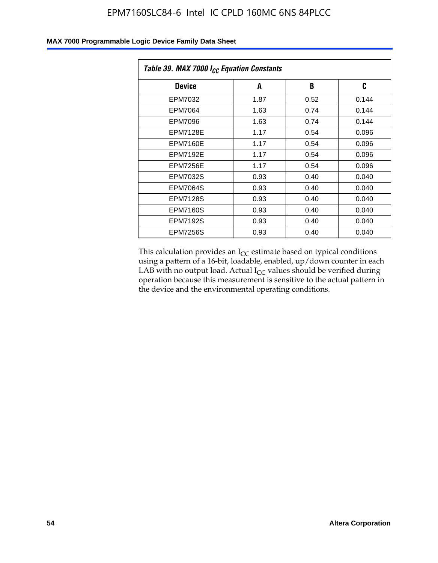| Table 39. MAX 7000 I <sub>CC</sub> Equation Constants |      |      |       |  |
|-------------------------------------------------------|------|------|-------|--|
| <b>Device</b>                                         | A    | B    | C     |  |
| EPM7032                                               | 1.87 | 0.52 | 0.144 |  |
| EPM7064                                               | 1.63 | 0.74 | 0.144 |  |
| EPM7096                                               | 1.63 | 0.74 | 0.144 |  |
| <b>EPM7128E</b>                                       | 1.17 | 0.54 | 0.096 |  |
| EPM7160E                                              | 1.17 | 0.54 | 0.096 |  |
| <b>EPM7192E</b>                                       | 1.17 | 0.54 | 0.096 |  |
| <b>EPM7256E</b>                                       | 1.17 | 0.54 | 0.096 |  |
| <b>EPM7032S</b>                                       | 0.93 | 0.40 | 0.040 |  |
| EPM7064S                                              | 0.93 | 0.40 | 0.040 |  |
| <b>EPM7128S</b>                                       | 0.93 | 0.40 | 0.040 |  |
| <b>EPM7160S</b>                                       | 0.93 | 0.40 | 0.040 |  |
| <b>EPM7192S</b>                                       | 0.93 | 0.40 | 0.040 |  |
| <b>EPM7256S</b>                                       | 0.93 | 0.40 | 0.040 |  |

This calculation provides an  $I_{CC}$  estimate based on typical conditions using a pattern of a 16-bit, loadable, enabled, up/down counter in each LAB with no output load. Actual  $I_{CC}$  values should be verified during operation because this measurement is sensitive to the actual pattern in the device and the environmental operating conditions.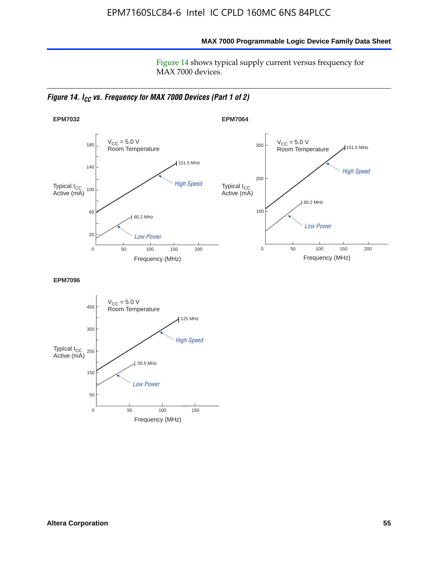**MAX 7000 Programmable Logic Device Family Data Sheet**

Figure 14 shows typical supply current versus frequency for MAX 7000 devices.

*Figure 14. I<sub>CC</sub> vs. Frequency for MAX 7000 Devices (Part 1 of 2)* 



**EPM7096**

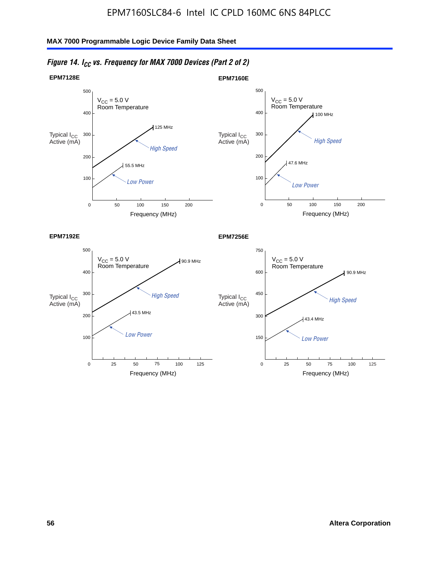

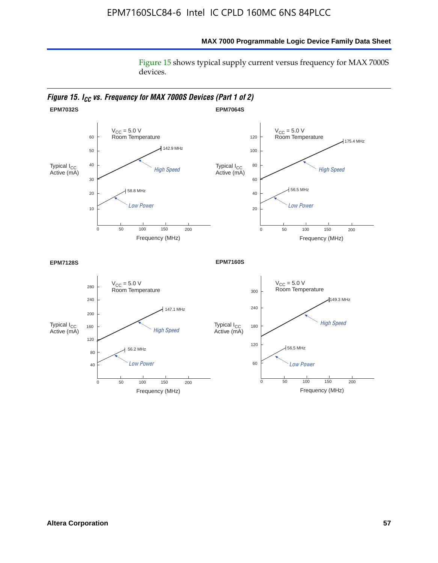#### **MAX 7000 Programmable Logic Device Family Data Sheet**

Figure 15 shows typical supply current versus frequency for MAX 7000S devices.

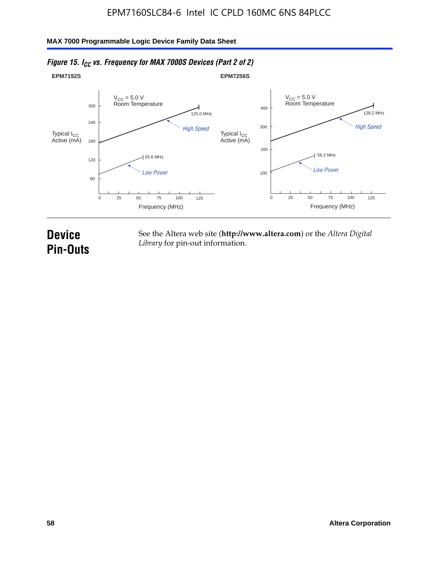

#### *Figure 15. I<sub>CC</sub> vs. Frequency for MAX 7000S Devices (Part 2 of 2)*

## **Device Pin-Outs**

See the Altera web site (**http://www.altera.com**) or the *Altera Digital Library* for pin-out information.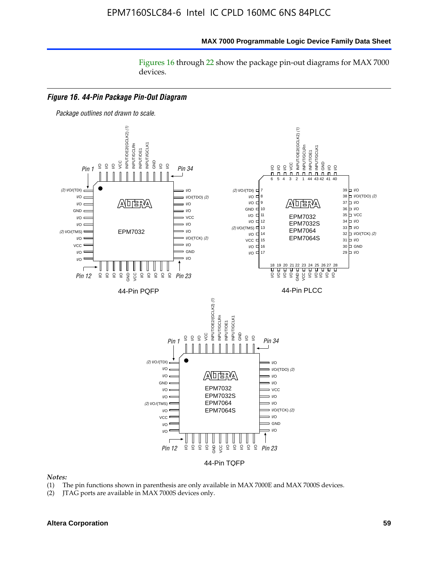#### **MAX 7000 Programmable Logic Device Family Data Sheet**

Figures 16 through 22 show the package pin-out diagrams for MAX 7000 devices.



#### *Notes:*

- (1) The pin functions shown in parenthesis are only available in MAX 7000E and MAX 7000S devices.
- (2) JTAG ports are available in MAX 7000S devices only.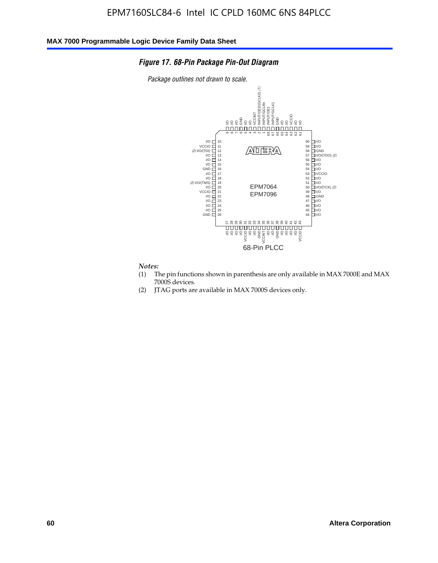#### *Figure 17. 68-Pin Package Pin-Out Diagram*

*Package outlines not drawn to scale.*



### *Notes:*<br>(1) T

- The pin functions shown in parenthesis are only available in MAX 7000E and MAX 7000S devices.
- (2) JTAG ports are available in MAX 7000S devices only.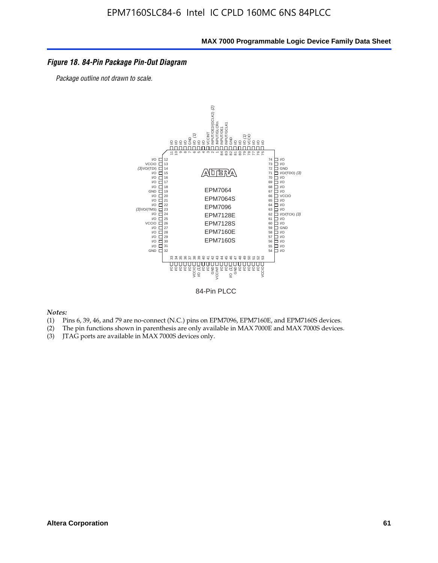#### *Figure 18. 84-Pin Package Pin-Out Diagram*

*Package outline not drawn to scale.*



84-Pin PLCC

*Notes:*

- (1) Pins 6, 39, 46, and 79 are no-connect (N.C.) pins on EPM7096, EPM7160E, and EPM7160S devices.
- (2) The pin functions shown in parenthesis are only available in MAX 7000E and MAX 7000S devices.
-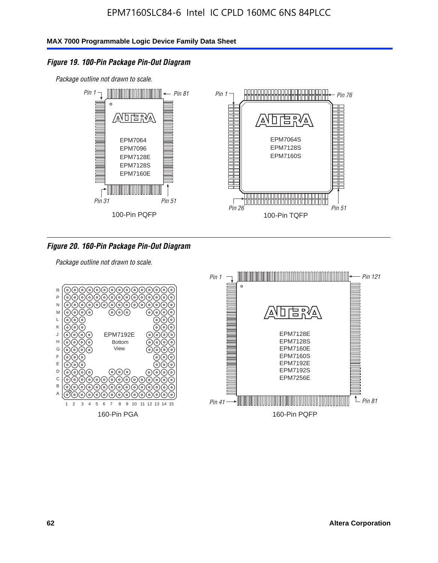#### *Figure 19. 100-Pin Package Pin-Out Diagram*

*Package outline not drawn to scale.*



#### *Figure 20. 160-Pin Package Pin-Out Diagram*

*Package outline not drawn to scale.*

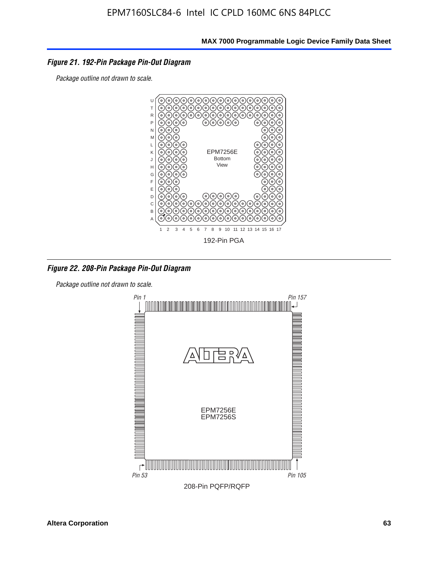#### *Figure 21. 192-Pin Package Pin-Out Diagram*

*Package outline not drawn to scale.*



*Figure 22. 208-Pin Package Pin-Out Diagram*

*Package outline not drawn to scale.*

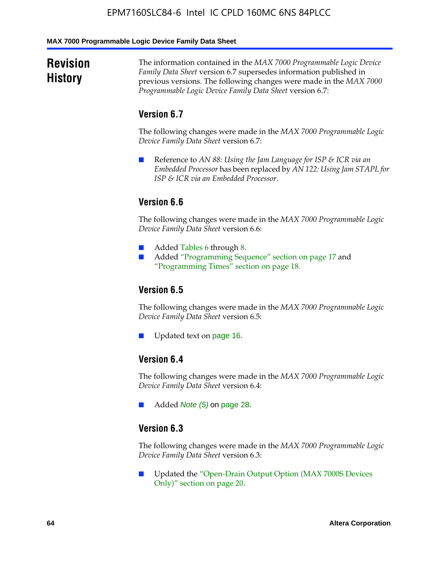#### **MAX 7000 Programmable Logic Device Family Data Sheet**

### **Revision History**

The information contained in the *MAX 7000 Programmable Logic Device Family Data Sheet* version 6.7 supersedes information published in previous versions. The following changes were made in the *MAX 7000 Programmable Logic Device Family Data Sheet* version 6.7:

#### **Version 6.7**

The following changes were made in the *MAX 7000 Programmable Logic Device Family Data Sheet* version 6.7:

■ Reference to *AN 88: Using the Jam Language for ISP & ICR via an Embedded Processor* has been replaced by *AN 122: Using Jam STAPL for ISP & ICR via an Embedded Processor*.

#### **Version 6.6**

The following changes were made in the *MAX 7000 Programmable Logic Device Family Data Sheet* version 6.6:

- Added Tables 6 through 8.
- Added "Programming Sequence" section on page 17 and "Programming Times" section on page 18.

#### **Version 6.5**

The following changes were made in the *MAX 7000 Programmable Logic Device Family Data Sheet* version 6.5:

Updated text on page 16.

#### **Version 6.4**

The following changes were made in the *MAX 7000 Programmable Logic Device Family Data Sheet* version 6.4:

■ Added *Note (5)* on page 28.

#### **Version 6.3**

The following changes were made in the *MAX 7000 Programmable Logic Device Family Data Sheet* version 6.3:

■ Updated the "Open-Drain Output Option (MAX 7000S Devices Only)" section on page 20.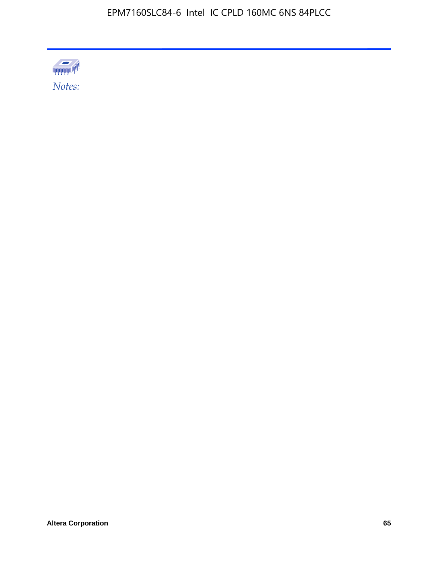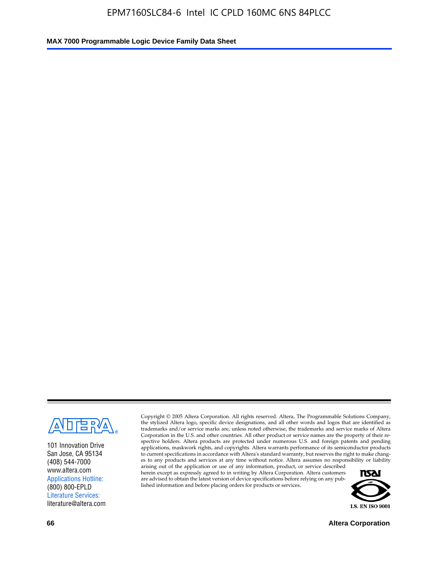

101 Innovation Drive San Jose, CA 95134 (408) 544-7000 www.altera.com Applications Hotline: (800) 800-EPLD Literature Services: literature@altera.com

Copyright © 2005 Altera Corporation. All rights reserved. Altera, The Programmable Solutions Company, the stylized Altera logo, specific device designations, and all other words and logos that are identified as trademarks and/or service marks are, unless noted otherwise, the trademarks and service marks of Altera Corporation in the U.S. and other countries. All other product or service names are the property of their respective holders. Altera products are protected under numerous U.S. and foreign patents and pending applications, maskwork rights, and copyrights. Altera warrants performance of its semiconductor products to current specifications in accordance with Altera's standard warranty, but reserves the right to make changes to any products and services at any time without notice. Altera assumes no responsibility or liability

arising out of the application or use of any information, product, or service described herein except as expressly agreed to in writing by Altera Corporation. Altera customers are advised to obtain the latest version of device specifications before relying on any published information and before placing orders for products or services.



**66 Altera Corporation**